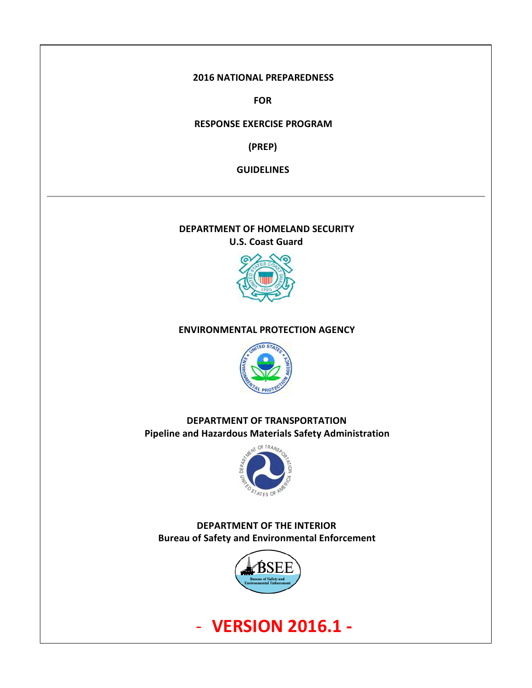#### **2016 NATIONAL PREPAREDNESS**

**FOR**

#### **RESPONSE EXERCISE PROGRAM**

**(PREP)**

**GUIDELINES**

#### **DEPARTMENT OF HOMELAND SECURITY U.S. Coast Guard**



#### **ENVIRONMENTAL PROTECTION AGENCY**



# **DEPARTMENT OF TRANSPORTATION Pipeline and Hazardous Materials Safety Administration**



**DEPARTMENT OF THE INTERIOR Bureau of Safety and Environmental Enforcement**



# - **VERSION 2016.1 -**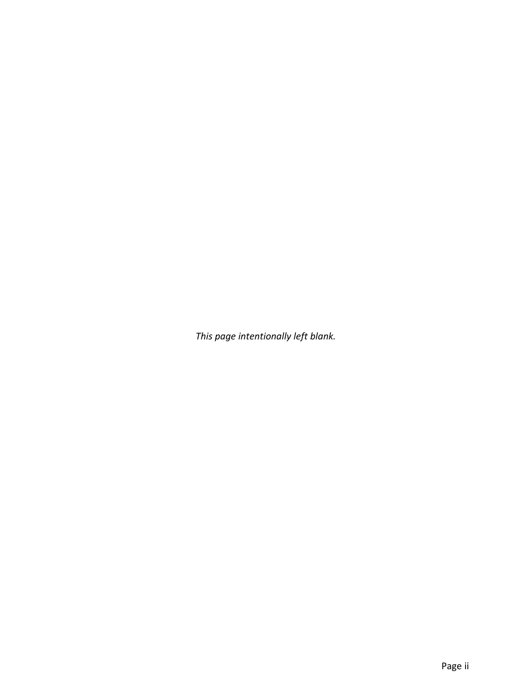*This page intentionally left blank.*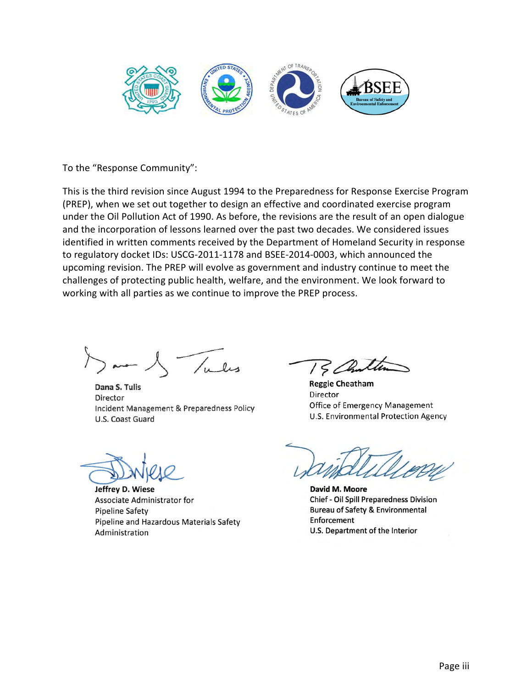

To the "Response Community":

This is the third revision since August 1994 to the Preparedness for Response Exercise Program (PREP), when we set out together to design an effective and coordinated exercise program under the Oil Pollution Act of 1990. As before, the revisions are the result of an open dialogue and the incorporation of lessons learned over the past two decades. We considered issues identified in written comments received by the Department of Homeland Security in response to regulatory docket IDs: USCG-2011-1178 and BSEE-2014-0003, which announced the upcoming revision. The PREP will evolve as government and industry continue to meet the challenges of protecting public health, welfare, and the environment. We look forward to working with all parties as we continue to improve the PREP process.

Tules

Dana S. Tulis Director Incident Management & Preparedness Policy U.S. Coast Guard

Jeffrey D. Wiese Associate Administrator for **Pipeline Safety** Pipeline and Hazardous Materials Safety Administration

**Reggie Cheatham** Director Office of Emergency Management U.S. Environmental Protection Agency

David M. Moore **Chief - Oil Spill Preparedness Division Bureau of Safety & Environmental** Enforcement U.S. Department of the Interior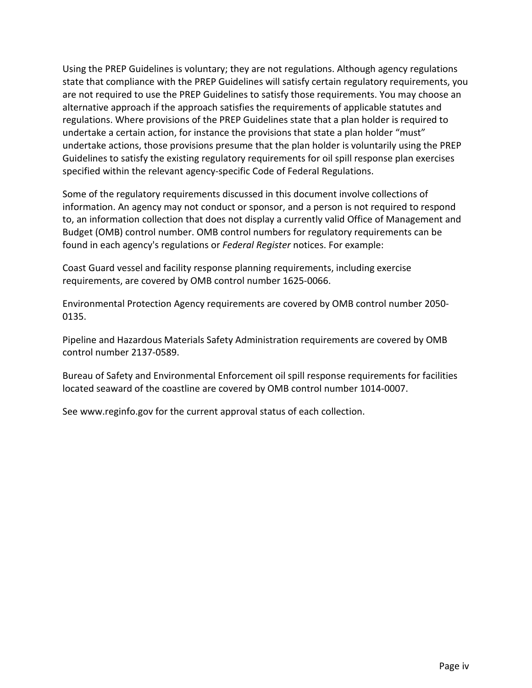Using the PREP Guidelines is voluntary; they are not regulations. Although agency regulations state that compliance with the PREP Guidelines will satisfy certain regulatory requirements, you are not required to use the PREP Guidelines to satisfy those requirements. You may choose an alternative approach if the approach satisfies the requirements of applicable statutes and regulations. Where provisions of the PREP Guidelines state that a plan holder is required to undertake a certain action, for instance the provisions that state a plan holder "must" undertake actions, those provisions presume that the plan holder is voluntarily using the PREP Guidelines to satisfy the existing regulatory requirements for oil spill response plan exercises specified within the relevant agency-specific Code of Federal Regulations.

Some of the regulatory requirements discussed in this document involve collections of information. An agency may not conduct or sponsor, and a person is not required to respond to, an information collection that does not display a currently valid Office of Management and Budget (OMB) control number. OMB control numbers for regulatory requirements can be found in each agency's regulations or *Federal Register* notices. For example:

Coast Guard vessel and facility response planning requirements, including exercise requirements, are covered by OMB control number 1625-0066.

Environmental Protection Agency requirements are covered by OMB control number 2050- 0135.

Pipeline and Hazardous Materials Safety Administration requirements are covered by OMB control number 2137-0589.

Bureau of Safety and Environmental Enforcement oil spill response requirements for facilities located seaward of the coastline are covered by OMB control number 1014-0007.

See www.reginfo.gov for the current approval status of each collection.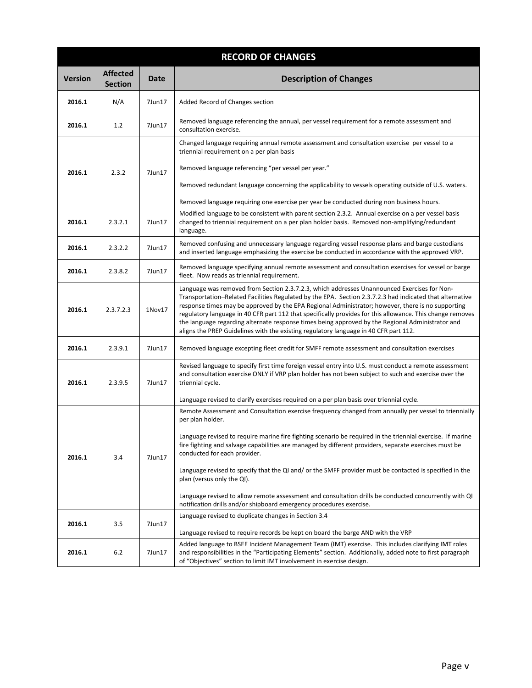|         |                                   |        | <b>RECORD OF CHANGES</b>                                                                                                                                                                                                                                                                                                                                                                                                                                                                                                                                                                                                                                                                                                                                          |
|---------|-----------------------------------|--------|-------------------------------------------------------------------------------------------------------------------------------------------------------------------------------------------------------------------------------------------------------------------------------------------------------------------------------------------------------------------------------------------------------------------------------------------------------------------------------------------------------------------------------------------------------------------------------------------------------------------------------------------------------------------------------------------------------------------------------------------------------------------|
| Version | <b>Affected</b><br><b>Section</b> | Date   | <b>Description of Changes</b>                                                                                                                                                                                                                                                                                                                                                                                                                                                                                                                                                                                                                                                                                                                                     |
| 2016.1  | N/A                               | 7Jun17 | Added Record of Changes section                                                                                                                                                                                                                                                                                                                                                                                                                                                                                                                                                                                                                                                                                                                                   |
| 2016.1  | 1.2                               | 7Jun17 | Removed language referencing the annual, per vessel requirement for a remote assessment and<br>consultation exercise.                                                                                                                                                                                                                                                                                                                                                                                                                                                                                                                                                                                                                                             |
| 2016.1  | 2.3.2                             | 7Jun17 | Changed language requiring annual remote assessment and consultation exercise per vessel to a<br>triennial requirement on a per plan basis<br>Removed language referencing "per vessel per year."<br>Removed redundant language concerning the applicability to vessels operating outside of U.S. waters.<br>Removed language requiring one exercise per year be conducted during non business hours.                                                                                                                                                                                                                                                                                                                                                             |
| 2016.1  | 2.3.2.1                           | 7Jun17 | Modified language to be consistent with parent section 2.3.2. Annual exercise on a per vessel basis<br>changed to triennial requirement on a per plan holder basis. Removed non-amplifying/redundant<br>language.                                                                                                                                                                                                                                                                                                                                                                                                                                                                                                                                                 |
| 2016.1  | 2.3.2.2                           | 7Jun17 | Removed confusing and unnecessary language regarding vessel response plans and barge custodians<br>and inserted language emphasizing the exercise be conducted in accordance with the approved VRP.                                                                                                                                                                                                                                                                                                                                                                                                                                                                                                                                                               |
| 2016.1  | 2.3.8.2                           | 7Jun17 | Removed language specifying annual remote assessment and consultation exercises for vessel or barge<br>fleet. Now reads as triennial requirement.                                                                                                                                                                                                                                                                                                                                                                                                                                                                                                                                                                                                                 |
| 2016.1  | 2.3.7.2.3                         | 1Nov17 | Language was removed from Section 2.3.7.2.3, which addresses Unannounced Exercises for Non-<br>Transportation-Related Facilities Regulated by the EPA. Section 2.3.7.2.3 had indicated that alternative<br>response times may be approved by the EPA Regional Administrator; however, there is no supporting<br>regulatory language in 40 CFR part 112 that specifically provides for this allowance. This change removes<br>the language regarding alternate response times being approved by the Regional Administrator and<br>aligns the PREP Guidelines with the existing regulatory language in 40 CFR part 112.                                                                                                                                             |
| 2016.1  | 2.3.9.1                           | 7Jun17 | Removed language excepting fleet credit for SMFF remote assessment and consultation exercises                                                                                                                                                                                                                                                                                                                                                                                                                                                                                                                                                                                                                                                                     |
| 2016.1  | 2.3.9.5                           | 7Jun17 | Revised language to specify first time foreign vessel entry into U.S. must conduct a remote assessment<br>and consultation exercise ONLY if VRP plan holder has not been subject to such and exercise over the<br>triennial cycle.<br>Language revised to clarify exercises required on a per plan basis over triennial cycle.                                                                                                                                                                                                                                                                                                                                                                                                                                    |
| 2016.1  | 3.4                               | 7Jun17 | Remote Assessment and Consultation exercise frequency changed from annually per vessel to triennially<br>per plan holder.<br>Language revised to require marine fire fighting scenario be required in the triennial exercise. If marine<br>fire fighting and salvage capabilities are managed by different providers, separate exercises must be<br>conducted for each provider.<br>Language revised to specify that the QI and/ or the SMFF provider must be contacted is specified in the<br>plan (versus only the QI).<br>Language revised to allow remote assessment and consultation drills be conducted concurrently with QI<br>notification drills and/or shipboard emergency procedures exercise.<br>Language revised to duplicate changes in Section 3.4 |
| 2016.1  | 3.5                               | 7Jun17 | Language revised to require records be kept on board the barge AND with the VRP                                                                                                                                                                                                                                                                                                                                                                                                                                                                                                                                                                                                                                                                                   |
| 2016.1  | $6.2$                             | 7Jun17 | Added language to BSEE Incident Management Team (IMT) exercise. This includes clarifying IMT roles<br>and responsibilities in the "Participating Elements" section. Additionally, added note to first paragraph<br>of "Objectives" section to limit IMT involvement in exercise design.                                                                                                                                                                                                                                                                                                                                                                                                                                                                           |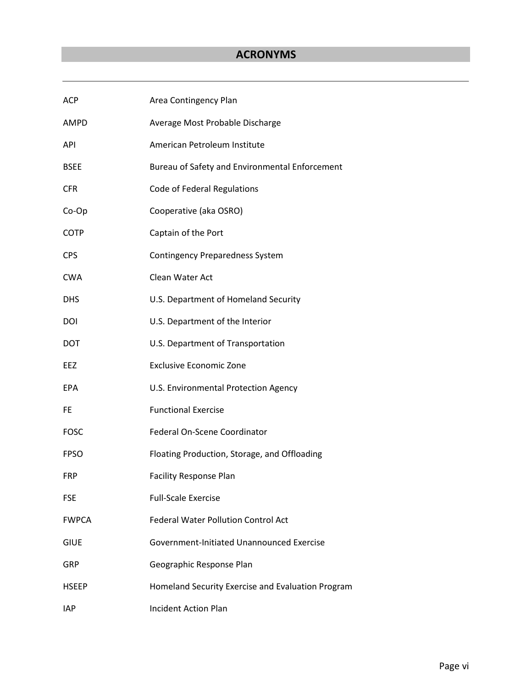| <b>ACP</b>   | Area Contingency Plan                             |
|--------------|---------------------------------------------------|
| AMPD         | Average Most Probable Discharge                   |
| <b>API</b>   | American Petroleum Institute                      |
| <b>BSEE</b>  | Bureau of Safety and Environmental Enforcement    |
| <b>CFR</b>   | Code of Federal Regulations                       |
| $Co-Op$      | Cooperative (aka OSRO)                            |
| <b>COTP</b>  | Captain of the Port                               |
| <b>CPS</b>   | Contingency Preparedness System                   |
| <b>CWA</b>   | Clean Water Act                                   |
| <b>DHS</b>   | U.S. Department of Homeland Security              |
| DOI          | U.S. Department of the Interior                   |
| DOT          | U.S. Department of Transportation                 |
| EEZ          | <b>Exclusive Economic Zone</b>                    |
| EPA          | U.S. Environmental Protection Agency              |
| FE           | <b>Functional Exercise</b>                        |
| <b>FOSC</b>  | Federal On-Scene Coordinator                      |
| <b>FPSO</b>  | Floating Production, Storage, and Offloading      |
| <b>FRP</b>   | <b>Facility Response Plan</b>                     |
| <b>FSE</b>   | <b>Full-Scale Exercise</b>                        |
| <b>FWPCA</b> | <b>Federal Water Pollution Control Act</b>        |
| <b>GIUE</b>  | Government-Initiated Unannounced Exercise         |
| GRP          | Geographic Response Plan                          |
| <b>HSEEP</b> | Homeland Security Exercise and Evaluation Program |
| IAP          | <b>Incident Action Plan</b>                       |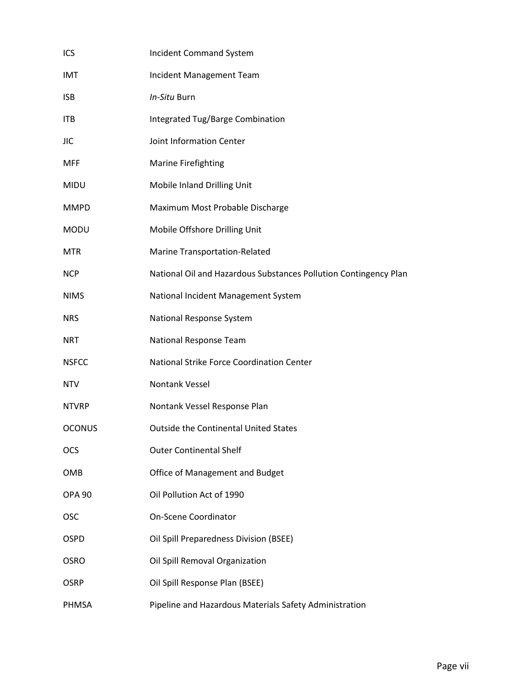| ICS           | <b>Incident Command System</b>                                   |
|---------------|------------------------------------------------------------------|
| IMT           | Incident Management Team                                         |
| <b>ISB</b>    | In-Situ Burn                                                     |
| <b>ITB</b>    | Integrated Tug/Barge Combination                                 |
| <b>JIC</b>    | Joint Information Center                                         |
| <b>MFF</b>    | <b>Marine Firefighting</b>                                       |
| <b>MIDU</b>   | Mobile Inland Drilling Unit                                      |
| <b>MMPD</b>   | Maximum Most Probable Discharge                                  |
| <b>MODU</b>   | Mobile Offshore Drilling Unit                                    |
| <b>MTR</b>    | Marine Transportation-Related                                    |
| <b>NCP</b>    | National Oil and Hazardous Substances Pollution Contingency Plan |
| <b>NIMS</b>   | National Incident Management System                              |
| <b>NRS</b>    | National Response System                                         |
| <b>NRT</b>    | National Response Team                                           |
| <b>NSFCC</b>  | National Strike Force Coordination Center                        |
| <b>NTV</b>    | Nontank Vessel                                                   |
| <b>NTVRP</b>  | Nontank Vessel Response Plan                                     |
| <b>OCONUS</b> | Outside the Continental United States                            |
| <b>OCS</b>    | <b>Outer Continental Shelf</b>                                   |
| OMB           | Office of Management and Budget                                  |
| <b>OPA 90</b> | Oil Pollution Act of 1990                                        |
| <b>OSC</b>    | <b>On-Scene Coordinator</b>                                      |
| <b>OSPD</b>   | Oil Spill Preparedness Division (BSEE)                           |
| <b>OSRO</b>   | Oil Spill Removal Organization                                   |
| <b>OSRP</b>   | Oil Spill Response Plan (BSEE)                                   |
| <b>PHMSA</b>  | Pipeline and Hazardous Materials Safety Administration           |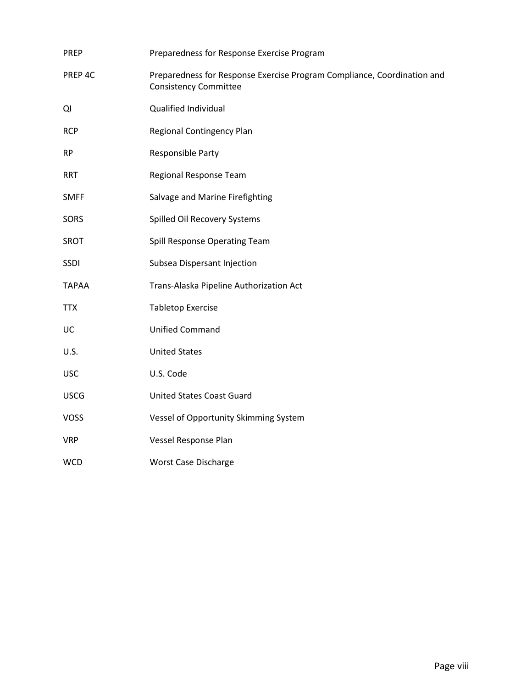| <b>PREP</b>  | Preparedness for Response Exercise Program                                                              |
|--------------|---------------------------------------------------------------------------------------------------------|
| PREP 4C      | Preparedness for Response Exercise Program Compliance, Coordination and<br><b>Consistency Committee</b> |
| QI           | Qualified Individual                                                                                    |
| <b>RCP</b>   | <b>Regional Contingency Plan</b>                                                                        |
| <b>RP</b>    | Responsible Party                                                                                       |
| <b>RRT</b>   | Regional Response Team                                                                                  |
| <b>SMFF</b>  | Salvage and Marine Firefighting                                                                         |
| SORS         | Spilled Oil Recovery Systems                                                                            |
| <b>SROT</b>  | Spill Response Operating Team                                                                           |
| <b>SSDI</b>  | Subsea Dispersant Injection                                                                             |
| <b>TAPAA</b> | Trans-Alaska Pipeline Authorization Act                                                                 |
| <b>TTX</b>   | <b>Tabletop Exercise</b>                                                                                |
| UC           | <b>Unified Command</b>                                                                                  |
| U.S.         | <b>United States</b>                                                                                    |
| <b>USC</b>   | U.S. Code                                                                                               |
| <b>USCG</b>  | <b>United States Coast Guard</b>                                                                        |
| <b>VOSS</b>  | Vessel of Opportunity Skimming System                                                                   |
| <b>VRP</b>   | Vessel Response Plan                                                                                    |
| <b>WCD</b>   | Worst Case Discharge                                                                                    |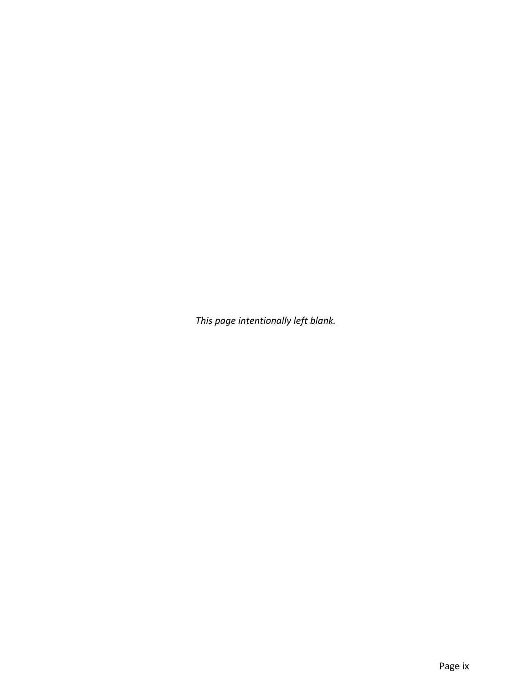*This page intentionally left blank.*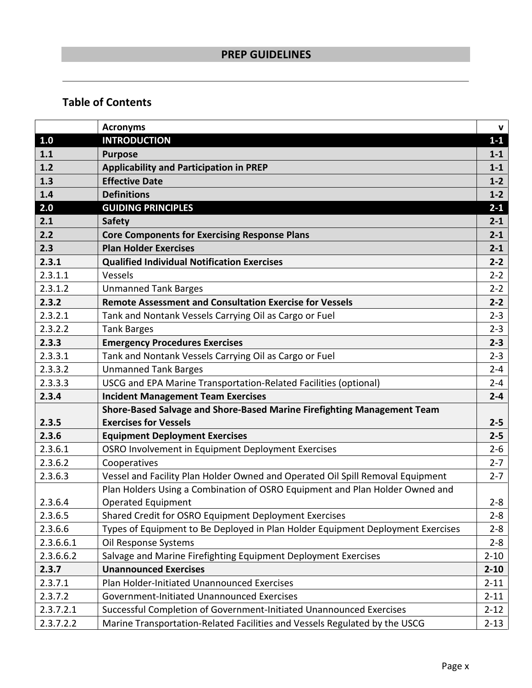# **PREP GUIDELINES**

# **Table of Contents**

|           | <b>Acronyms</b>                                                                 | $\mathbf{v}$ |
|-----------|---------------------------------------------------------------------------------|--------------|
| 1.0       | <b>INTRODUCTION</b>                                                             | $1 - 1$      |
| 1.1       | <b>Purpose</b>                                                                  | $1 - 1$      |
| 1.2       | <b>Applicability and Participation in PREP</b>                                  | $1 - 1$      |
| 1.3       | <b>Effective Date</b>                                                           | $1 - 2$      |
| 1.4       | <b>Definitions</b>                                                              | $1 - 2$      |
| 2.0       | <b>GUIDING PRINCIPLES</b>                                                       | $2 - 1$      |
| 2.1       | Safety                                                                          | $2 - 1$      |
| 2.2       | <b>Core Components for Exercising Response Plans</b>                            | $2 - 1$      |
| 2.3       | <b>Plan Holder Exercises</b>                                                    | $2 - 1$      |
| 2.3.1     | <b>Qualified Individual Notification Exercises</b>                              | $2 - 2$      |
| 2.3.1.1   | Vessels                                                                         | $2 - 2$      |
| 2.3.1.2   | <b>Unmanned Tank Barges</b>                                                     | $2 - 2$      |
| 2.3.2     | <b>Remote Assessment and Consultation Exercise for Vessels</b>                  | $2 - 2$      |
| 2.3.2.1   | Tank and Nontank Vessels Carrying Oil as Cargo or Fuel                          | $2 - 3$      |
| 2.3.2.2   | <b>Tank Barges</b>                                                              | $2 - 3$      |
| 2.3.3     | <b>Emergency Procedures Exercises</b>                                           | $2 - 3$      |
| 2.3.3.1   | Tank and Nontank Vessels Carrying Oil as Cargo or Fuel                          | $2 - 3$      |
| 2.3.3.2   | <b>Unmanned Tank Barges</b>                                                     | $2 - 4$      |
| 2.3.3.3   | USCG and EPA Marine Transportation-Related Facilities (optional)                | $2 - 4$      |
| 2.3.4     | <b>Incident Management Team Exercises</b>                                       | $2 - 4$      |
|           | Shore-Based Salvage and Shore-Based Marine Firefighting Management Team         |              |
| 2.3.5     | <b>Exercises for Vessels</b>                                                    | $2 - 5$      |
| 2.3.6     | <b>Equipment Deployment Exercises</b>                                           | $2 - 5$      |
| 2.3.6.1   | OSRO Involvement in Equipment Deployment Exercises                              | $2 - 6$      |
| 2.3.6.2   | Cooperatives                                                                    | $2 - 7$      |
| 2.3.6.3   | Vessel and Facility Plan Holder Owned and Operated Oil Spill Removal Equipment  | $2 - 7$      |
|           | Plan Holders Using a Combination of OSRO Equipment and Plan Holder Owned and    |              |
| 2.3.6.4   | <b>Operated Equipment</b>                                                       | $2 - 8$      |
| 2.3.6.5   | Shared Credit for OSRO Equipment Deployment Exercises                           | $2 - 8$      |
| 2.3.6.6   | Types of Equipment to Be Deployed in Plan Holder Equipment Deployment Exercises | $2 - 8$      |
| 2.3.6.6.1 | Oil Response Systems                                                            | $2 - 8$      |
| 2.3.6.6.2 | Salvage and Marine Firefighting Equipment Deployment Exercises                  | $2 - 10$     |
| 2.3.7     | <b>Unannounced Exercises</b>                                                    | $2 - 10$     |
| 2.3.7.1   | Plan Holder-Initiated Unannounced Exercises                                     | $2 - 11$     |
| 2.3.7.2   | Government-Initiated Unannounced Exercises                                      | $2 - 11$     |
| 2.3.7.2.1 | Successful Completion of Government-Initiated Unannounced Exercises             | $2 - 12$     |
| 2.3.7.2.2 | Marine Transportation-Related Facilities and Vessels Regulated by the USCG      | $2 - 13$     |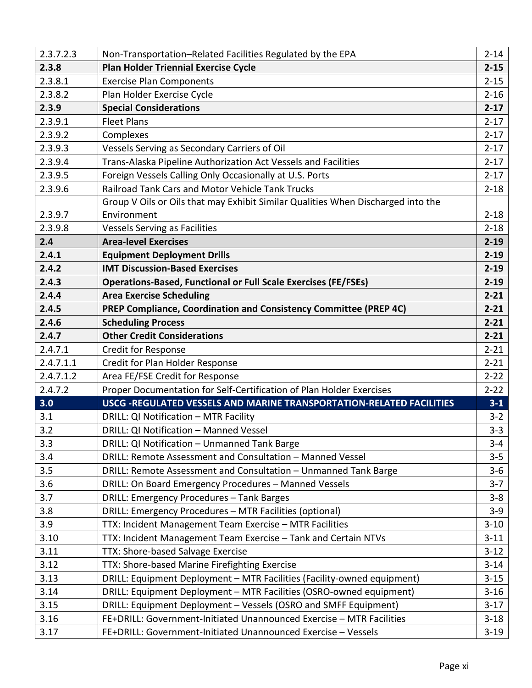| 2.3.7.2.3 | Non-Transportation-Related Facilities Regulated by the EPA                       | $2 - 14$ |
|-----------|----------------------------------------------------------------------------------|----------|
| 2.3.8     | <b>Plan Holder Triennial Exercise Cycle</b>                                      | $2 - 15$ |
| 2.3.8.1   | <b>Exercise Plan Components</b>                                                  | $2 - 15$ |
| 2.3.8.2   | Plan Holder Exercise Cycle                                                       | $2 - 16$ |
| 2.3.9     | <b>Special Considerations</b>                                                    | $2 - 17$ |
| 2.3.9.1   | <b>Fleet Plans</b>                                                               | $2 - 17$ |
| 2.3.9.2   | Complexes                                                                        | $2 - 17$ |
| 2.3.9.3   | Vessels Serving as Secondary Carriers of Oil                                     | $2 - 17$ |
| 2.3.9.4   | Trans-Alaska Pipeline Authorization Act Vessels and Facilities                   | $2 - 17$ |
| 2.3.9.5   | Foreign Vessels Calling Only Occasionally at U.S. Ports                          | $2 - 17$ |
| 2.3.9.6   | <b>Railroad Tank Cars and Motor Vehicle Tank Trucks</b>                          | $2 - 18$ |
|           | Group V Oils or Oils that may Exhibit Similar Qualities When Discharged into the |          |
| 2.3.9.7   | Environment                                                                      | $2 - 18$ |
| 2.3.9.8   | <b>Vessels Serving as Facilities</b>                                             | $2 - 18$ |
| 2.4       | <b>Area-level Exercises</b>                                                      | $2 - 19$ |
| 2.4.1     | <b>Equipment Deployment Drills</b>                                               | $2 - 19$ |
| 2.4.2     | <b>IMT Discussion-Based Exercises</b>                                            | $2 - 19$ |
| 2.4.3     | <b>Operations-Based, Functional or Full Scale Exercises (FE/FSEs)</b>            | $2 - 19$ |
| 2.4.4     | <b>Area Exercise Scheduling</b>                                                  | $2 - 21$ |
| 2.4.5     | PREP Compliance, Coordination and Consistency Committee (PREP 4C)                | $2 - 21$ |
| 2.4.6     | <b>Scheduling Process</b>                                                        | $2 - 21$ |
| 2.4.7     | <b>Other Credit Considerations</b>                                               | $2 - 21$ |
| 2.4.7.1   | <b>Credit for Response</b>                                                       | $2 - 21$ |
| 2.4.7.1.1 | Credit for Plan Holder Response                                                  | $2 - 21$ |
| 2.4.7.1.2 | Area FE/FSE Credit for Response                                                  | $2 - 22$ |
| 2.4.7.2   | Proper Documentation for Self-Certification of Plan Holder Exercises             | $2 - 22$ |
| 3.0       | USCG -REGULATED VESSELS AND MARINE TRANSPORTATION-RELATED FACILITIES             | $3-1$    |
| 3.1       | DRILL: QI Notification - MTR Facility                                            | $3 - 2$  |
| 3.2       | DRILL: QI Notification - Manned Vessel                                           | $3 - 3$  |
| 3.3       | DRILL: QI Notification - Unmanned Tank Barge                                     | $3 - 4$  |
| 3.4       | DRILL: Remote Assessment and Consultation - Manned Vessel                        | $3 - 5$  |
| 3.5       | DRILL: Remote Assessment and Consultation - Unmanned Tank Barge                  | $3-6$    |
| 3.6       | DRILL: On Board Emergency Procedures - Manned Vessels                            | $3 - 7$  |
| 3.7       | DRILL: Emergency Procedures - Tank Barges                                        | $3-8$    |
| 3.8       | DRILL: Emergency Procedures - MTR Facilities (optional)                          | $3 - 9$  |
| 3.9       | TTX: Incident Management Team Exercise - MTR Facilities                          | $3 - 10$ |
| 3.10      | TTX: Incident Management Team Exercise - Tank and Certain NTVs                   | $3 - 11$ |
| 3.11      | TTX: Shore-based Salvage Exercise                                                | $3 - 12$ |
| 3.12      | TTX: Shore-based Marine Firefighting Exercise                                    | $3 - 14$ |
| 3.13      | DRILL: Equipment Deployment - MTR Facilities (Facility-owned equipment)          | $3 - 15$ |
| 3.14      | DRILL: Equipment Deployment - MTR Facilities (OSRO-owned equipment)              | $3 - 16$ |
| 3.15      | DRILL: Equipment Deployment - Vessels (OSRO and SMFF Equipment)                  | $3 - 17$ |
| 3.16      | FE+DRILL: Government-Initiated Unannounced Exercise - MTR Facilities             | $3 - 18$ |
| 3.17      | FE+DRILL: Government-Initiated Unannounced Exercise - Vessels                    | $3 - 19$ |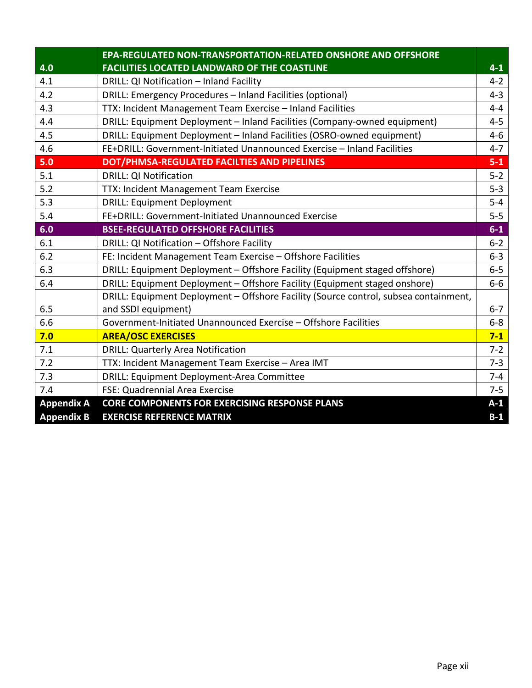|                   | <b>EPA-REGULATED NON-TRANSPORTATION-RELATED ONSHORE AND OFFSHORE</b>                 |         |
|-------------------|--------------------------------------------------------------------------------------|---------|
| 4.0               | <b>FACILITIES LOCATED LANDWARD OF THE COASTLINE</b>                                  | $4 - 1$ |
| 4.1               | DRILL: QI Notification - Inland Facility                                             | $4 - 2$ |
| 4.2               | DRILL: Emergency Procedures - Inland Facilities (optional)                           | $4 - 3$ |
| 4.3               | TTX: Incident Management Team Exercise - Inland Facilities                           | 4-4     |
| 4.4               | DRILL: Equipment Deployment - Inland Facilities (Company-owned equipment)            | $4 - 5$ |
| 4.5               | DRILL: Equipment Deployment - Inland Facilities (OSRO-owned equipment)               | 4-6     |
| 4.6               | FE+DRILL: Government-Initiated Unannounced Exercise - Inland Facilities              | $4 - 7$ |
| 5.0               | DOT/PHMSA-REGULATED FACILTIES AND PIPELINES                                          | $5-1$   |
| 5.1               | <b>DRILL: QI Notification</b>                                                        | $5 - 2$ |
| 5.2               | TTX: Incident Management Team Exercise                                               | $5 - 3$ |
| 5.3               | <b>DRILL: Equipment Deployment</b>                                                   | $5 - 4$ |
| 5.4               | FE+DRILL: Government-Initiated Unannounced Exercise                                  | $5 - 5$ |
| 6.0               | <b>BSEE-REGULATED OFFSHORE FACILITIES</b>                                            | $6-1$   |
| 6.1               | DRILL: QI Notification - Offshore Facility                                           | $6-2$   |
| 6.2               | FE: Incident Management Team Exercise - Offshore Facilities                          | $6-3$   |
| 6.3               | DRILL: Equipment Deployment - Offshore Facility (Equipment staged offshore)          | $6-5$   |
| 6.4               | DRILL: Equipment Deployment - Offshore Facility (Equipment staged onshore)           | $6-6$   |
|                   | DRILL: Equipment Deployment - Offshore Facility (Source control, subsea containment, |         |
| 6.5               | and SSDI equipment)                                                                  | $6 - 7$ |
| 6.6               | Government-Initiated Unannounced Exercise - Offshore Facilities                      | $6-8$   |
| 7.0               | <b>AREA/OSC EXERCISES</b>                                                            | $7-1$   |
| 7.1               | <b>DRILL: Quarterly Area Notification</b>                                            | $7 - 2$ |
| 7.2               | TTX: Incident Management Team Exercise - Area IMT                                    | $7-3$   |
| 7.3               | DRILL: Equipment Deployment-Area Committee                                           | $7 - 4$ |
| 7.4               | FSE: Quadrennial Area Exercise                                                       | $7 - 5$ |
| <b>Appendix A</b> | <b>CORE COMPONENTS FOR EXERCISING RESPONSE PLANS</b>                                 | $A-1$   |
| <b>Appendix B</b> | <b>EXERCISE REFERENCE MATRIX</b>                                                     | $B-1$   |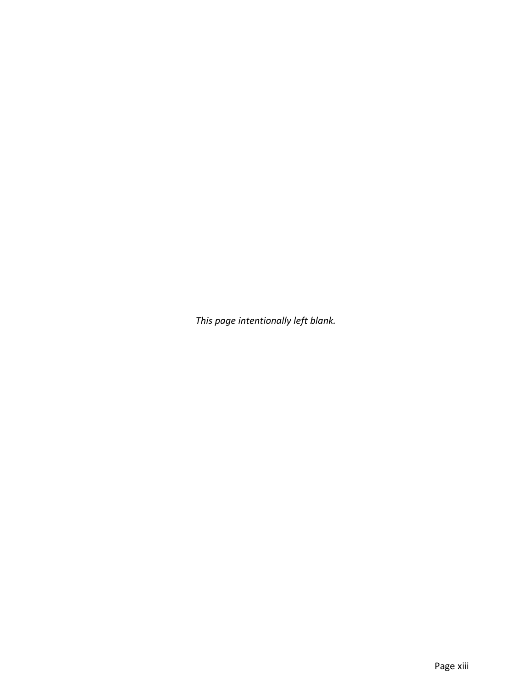*This page intentionally left blank.*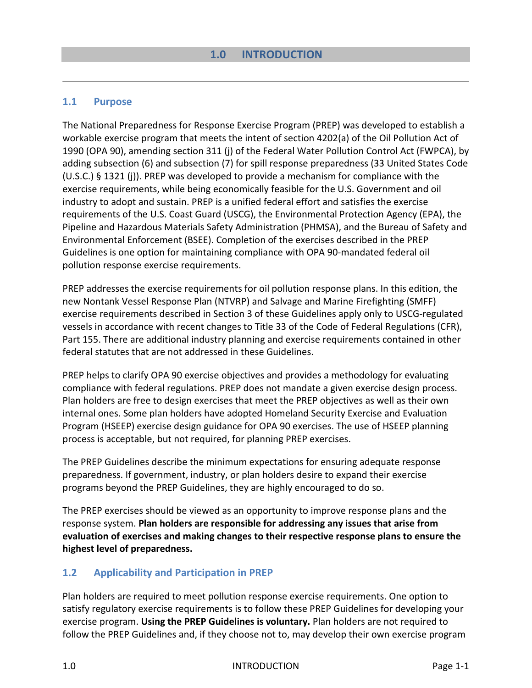## **1.1 Purpose**

The National Preparedness for Response Exercise Program (PREP) was developed to establish a workable exercise program that meets the intent of section 4202(a) of the Oil Pollution Act of 1990 (OPA 90), amending section 311 (j) of the Federal Water Pollution Control Act (FWPCA), by adding subsection (6) and subsection (7) for spill response preparedness (33 United States Code (U.S.C.) § 1321 (j)). PREP was developed to provide a mechanism for compliance with the exercise requirements, while being economically feasible for the U.S. Government and oil industry to adopt and sustain. PREP is a unified federal effort and satisfies the exercise requirements of the U.S. Coast Guard (USCG), the Environmental Protection Agency (EPA), the Pipeline and Hazardous Materials Safety Administration (PHMSA), and the Bureau of Safety and Environmental Enforcement (BSEE). Completion of the exercises described in the PREP Guidelines is one option for maintaining compliance with OPA 90-mandated federal oil pollution response exercise requirements.

PREP addresses the exercise requirements for oil pollution response plans. In this edition, the new Nontank Vessel Response Plan (NTVRP) and Salvage and Marine Firefighting (SMFF) exercise requirements described in Section 3 of these Guidelines apply only to USCG-regulated vessels in accordance with recent changes to Title 33 of the Code of Federal Regulations (CFR), Part 155. There are additional industry planning and exercise requirements contained in other federal statutes that are not addressed in these Guidelines.

PREP helps to clarify OPA 90 exercise objectives and provides a methodology for evaluating compliance with federal regulations. PREP does not mandate a given exercise design process. Plan holders are free to design exercises that meet the PREP objectives as well as their own internal ones. Some plan holders have adopted Homeland Security Exercise and Evaluation Program (HSEEP) exercise design guidance for OPA 90 exercises. The use of HSEEP planning process is acceptable, but not required, for planning PREP exercises.

The PREP Guidelines describe the minimum expectations for ensuring adequate response preparedness. If government, industry, or plan holders desire to expand their exercise programs beyond the PREP Guidelines, they are highly encouraged to do so.

The PREP exercises should be viewed as an opportunity to improve response plans and the response system. **Plan holders are responsible for addressing any issues that arise from evaluation of exercises and making changes to their respective response plans to ensure the highest level of preparedness.**

## **1.2 Applicability and Participation in PREP**

Plan holders are required to meet pollution response exercise requirements. One option to satisfy regulatory exercise requirements is to follow these PREP Guidelines for developing your exercise program. **Using the PREP Guidelines is voluntary.** Plan holders are not required to follow the PREP Guidelines and, if they choose not to, may develop their own exercise program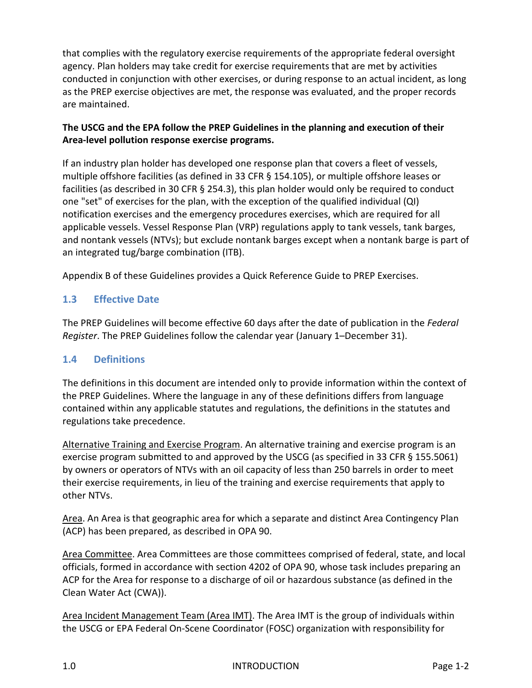that complies with the regulatory exercise requirements of the appropriate federal oversight agency. Plan holders may take credit for exercise requirements that are met by activities conducted in conjunction with other exercises, or during response to an actual incident, as long as the PREP exercise objectives are met, the response was evaluated, and the proper records are maintained.

## **The USCG and the EPA follow the PREP Guidelines in the planning and execution of their Area-level pollution response exercise programs.**

If an industry plan holder has developed one response plan that covers a fleet of vessels, multiple offshore facilities (as defined in 33 CFR § 154.105), or multiple offshore leases or facilities (as described in 30 CFR § 254.3), this plan holder would only be required to conduct one "set" of exercises for the plan, with the exception of the qualified individual (QI) notification exercises and the emergency procedures exercises, which are required for all applicable vessels. Vessel Response Plan (VRP) regulations apply to tank vessels, tank barges, and nontank vessels (NTVs); but exclude nontank barges except when a nontank barge is part of an integrated tug/barge combination (ITB).

Appendix B of these Guidelines provides a Quick Reference Guide to PREP Exercises.

# **1.3 Effective Date**

The PREP Guidelines will become effective 60 days after the date of publication in the *Federal Register*. The PREP Guidelines follow the calendar year (January 1–December 31).

# **1.4 Definitions**

The definitions in this document are intended only to provide information within the context of the PREP Guidelines. Where the language in any of these definitions differs from language contained within any applicable statutes and regulations, the definitions in the statutes and regulations take precedence.

Alternative Training and Exercise Program. An alternative training and exercise program is an exercise program submitted to and approved by the USCG (as specified in 33 CFR § 155.5061) by owners or operators of NTVs with an oil capacity of less than 250 barrels in order to meet their exercise requirements, in lieu of the training and exercise requirements that apply to other NTVs.

Area. An Area is that geographic area for which a separate and distinct Area Contingency Plan (ACP) has been prepared, as described in OPA 90.

Area Committee. Area Committees are those committees comprised of federal, state, and local officials, formed in accordance with section 4202 of OPA 90, whose task includes preparing an ACP for the Area for response to a discharge of oil or hazardous substance (as defined in the Clean Water Act (CWA)).

Area Incident Management Team (Area IMT). The Area IMT is the group of individuals within the USCG or EPA Federal On-Scene Coordinator (FOSC) organization with responsibility for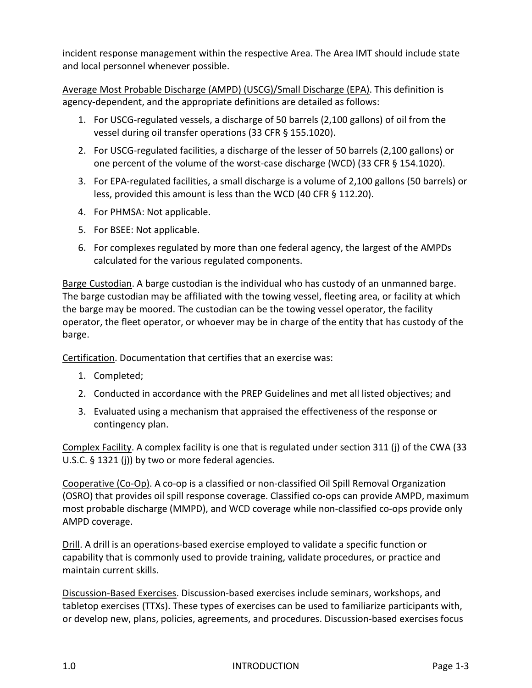incident response management within the respective Area. The Area IMT should include state and local personnel whenever possible.

Average Most Probable Discharge (AMPD) (USCG)/Small Discharge (EPA). This definition is agency-dependent, and the appropriate definitions are detailed as follows:

- 1. For USCG-regulated vessels, a discharge of 50 barrels (2,100 gallons) of oil from the vessel during oil transfer operations (33 CFR § 155.1020).
- 2. For USCG-regulated facilities, a discharge of the lesser of 50 barrels (2,100 gallons) or one percent of the volume of the worst-case discharge (WCD) (33 CFR § 154.1020).
- 3. For EPA-regulated facilities, a small discharge is a volume of 2,100 gallons (50 barrels) or less, provided this amount is less than the WCD (40 CFR § 112.20).
- 4. For PHMSA: Not applicable.
- 5. For BSEE: Not applicable.
- 6. For complexes regulated by more than one federal agency, the largest of the AMPDs calculated for the various regulated components.

Barge Custodian. A barge custodian is the individual who has custody of an unmanned barge. The barge custodian may be affiliated with the towing vessel, fleeting area, or facility at which the barge may be moored. The custodian can be the towing vessel operator, the facility operator, the fleet operator, or whoever may be in charge of the entity that has custody of the barge.

Certification. Documentation that certifies that an exercise was:

- 1. Completed;
- 2. Conducted in accordance with the PREP Guidelines and met all listed objectives; and
- 3. Evaluated using a mechanism that appraised the effectiveness of the response or contingency plan.

Complex Facility. A complex facility is one that is regulated under section 311 (j) of the CWA (33 U.S.C. § 1321 (j)) by two or more federal agencies.

Cooperative (Co-Op). A co-op is a classified or non-classified Oil Spill Removal Organization (OSRO) that provides oil spill response coverage. Classified co-ops can provide AMPD, maximum most probable discharge (MMPD), and WCD coverage while non-classified co-ops provide only AMPD coverage.

Drill. A drill is an operations-based exercise employed to validate a specific function or capability that is commonly used to provide training, validate procedures, or practice and maintain current skills.

Discussion-Based Exercises. Discussion-based exercises include seminars, workshops, and tabletop exercises (TTXs). These types of exercises can be used to familiarize participants with, or develop new, plans, policies, agreements, and procedures. Discussion-based exercises focus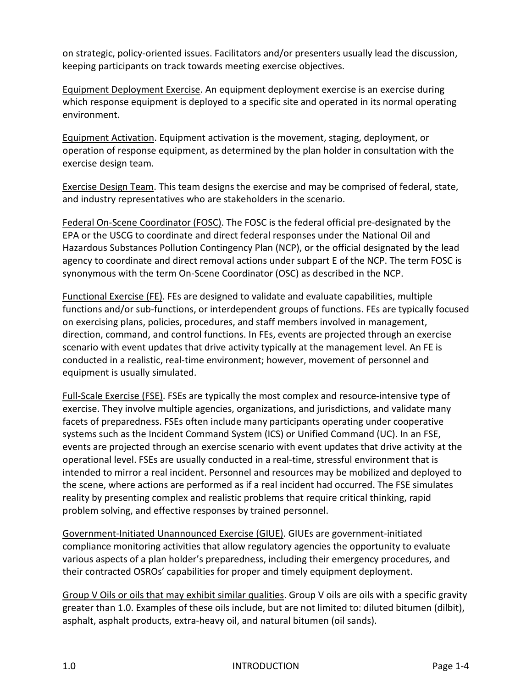on strategic, policy-oriented issues. Facilitators and/or presenters usually lead the discussion, keeping participants on track towards meeting exercise objectives.

Equipment Deployment Exercise. An equipment deployment exercise is an exercise during which response equipment is deployed to a specific site and operated in its normal operating environment.

Equipment Activation. Equipment activation is the movement, staging, deployment, or operation of response equipment, as determined by the plan holder in consultation with the exercise design team.

Exercise Design Team. This team designs the exercise and may be comprised of federal, state, and industry representatives who are stakeholders in the scenario.

Federal On-Scene Coordinator (FOSC). The FOSC is the federal official pre-designated by the EPA or the USCG to coordinate and direct federal responses under the National Oil and Hazardous Substances Pollution Contingency Plan (NCP), or the official designated by the lead agency to coordinate and direct removal actions under subpart E of the NCP. The term FOSC is synonymous with the term On-Scene Coordinator (OSC) as described in the NCP.

Functional Exercise (FE). FEs are designed to validate and evaluate capabilities, multiple functions and/or sub-functions, or interdependent groups of functions. FEs are typically focused on exercising plans, policies, procedures, and staff members involved in management, direction, command, and control functions. In FEs, events are projected through an exercise scenario with event updates that drive activity typically at the management level. An FE is conducted in a realistic, real-time environment; however, movement of personnel and equipment is usually simulated.

Full-Scale Exercise (FSE). FSEs are typically the most complex and resource-intensive type of exercise. They involve multiple agencies, organizations, and jurisdictions, and validate many facets of preparedness. FSEs often include many participants operating under cooperative systems such as the Incident Command System (ICS) or Unified Command (UC). In an FSE, events are projected through an exercise scenario with event updates that drive activity at the operational level. FSEs are usually conducted in a real-time, stressful environment that is intended to mirror a real incident. Personnel and resources may be mobilized and deployed to the scene, where actions are performed as if a real incident had occurred. The FSE simulates reality by presenting complex and realistic problems that require critical thinking, rapid problem solving, and effective responses by trained personnel.

Government-Initiated Unannounced Exercise (GIUE). GIUEs are government-initiated compliance monitoring activities that allow regulatory agencies the opportunity to evaluate various aspects of a plan holder's preparedness, including their emergency procedures, and their contracted OSROs' capabilities for proper and timely equipment deployment.

Group V Oils or oils that may exhibit similar qualities. Group V oils are oils with a specific gravity greater than 1.0. Examples of these oils include, but are not limited to: diluted bitumen (dilbit), asphalt, asphalt products, extra-heavy oil, and natural bitumen (oil sands).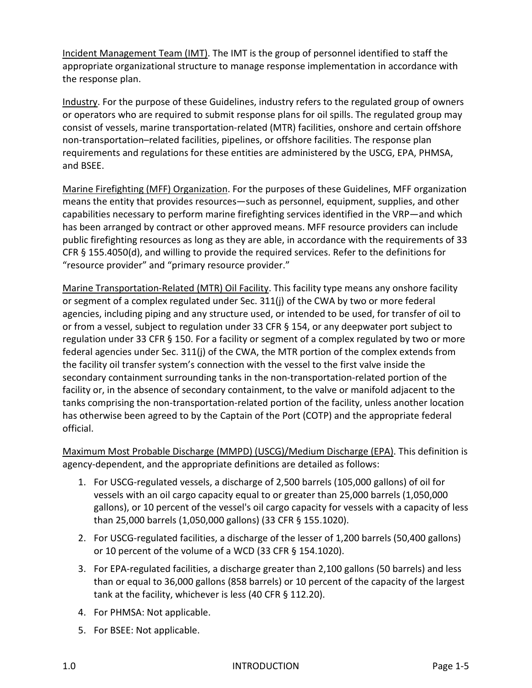Incident Management Team (IMT). The IMT is the group of personnel identified to staff the appropriate organizational structure to manage response implementation in accordance with the response plan.

Industry. For the purpose of these Guidelines, industry refers to the regulated group of owners or operators who are required to submit response plans for oil spills. The regulated group may consist of vessels, marine transportation-related (MTR) facilities, onshore and certain offshore non-transportation–related facilities, pipelines, or offshore facilities. The response plan requirements and regulations for these entities are administered by the USCG, EPA, PHMSA, and BSEE.

Marine Firefighting (MFF) Organization. For the purposes of these Guidelines, MFF organization means the entity that provides resources—such as personnel, equipment, supplies, and other capabilities necessary to perform marine firefighting services identified in the VRP—and which has been arranged by contract or other approved means. MFF resource providers can include public firefighting resources as long as they are able, in accordance with the requirements of 33 CFR § 155.4050(d), and willing to provide the required services. Refer to the definitions for "resource provider" and "primary resource provider."

Marine Transportation-Related (MTR) Oil Facility. This facility type means any onshore facility or segment of a complex regulated under Sec. 311(j) of the CWA by two or more federal agencies, including piping and any structure used, or intended to be used, for transfer of oil to or from a vessel, subject to regulation under 33 CFR § 154, or any deepwater port subject to regulation under 33 CFR § 150. For a facility or segment of a complex regulated by two or more federal agencies under Sec. 311(j) of the CWA, the MTR portion of the complex extends from the facility oil transfer system's connection with the vessel to the first valve inside the secondary containment surrounding tanks in the non-transportation-related portion of the facility or, in the absence of secondary containment, to the valve or manifold adjacent to the tanks comprising the non-transportation-related portion of the facility, unless another location has otherwise been agreed to by the Captain of the Port (COTP) and the appropriate federal official.

Maximum Most Probable Discharge (MMPD) (USCG)/Medium Discharge (EPA). This definition is agency-dependent, and the appropriate definitions are detailed as follows:

- 1. For USCG-regulated vessels, a discharge of 2,500 barrels (105,000 gallons) of oil for vessels with an oil cargo capacity equal to or greater than 25,000 barrels (1,050,000 gallons), or 10 percent of the vessel's oil cargo capacity for vessels with a capacity of less than 25,000 barrels (1,050,000 gallons) (33 CFR § 155.1020).
- 2. For USCG-regulated facilities, a discharge of the lesser of 1,200 barrels (50,400 gallons) or 10 percent of the volume of a WCD (33 CFR § 154.1020).
- 3. For EPA-regulated facilities, a discharge greater than 2,100 gallons (50 barrels) and less than or equal to 36,000 gallons (858 barrels) or 10 percent of the capacity of the largest tank at the facility, whichever is less (40 CFR § 112.20).
- 4. For PHMSA: Not applicable.
- 5. For BSEE: Not applicable.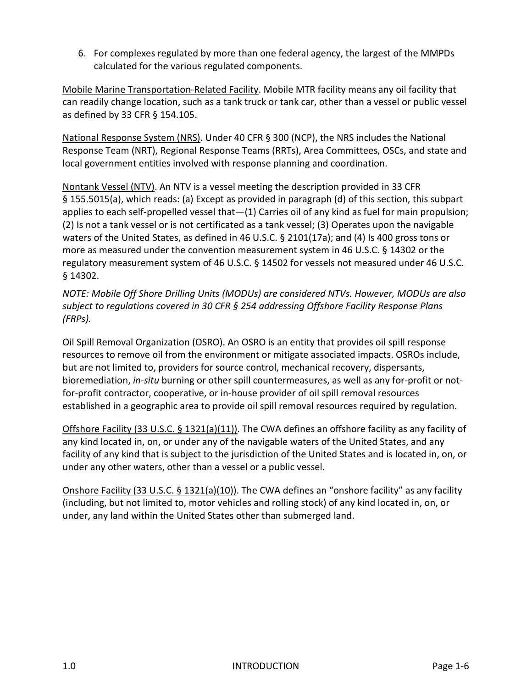6. For complexes regulated by more than one federal agency, the largest of the MMPDs calculated for the various regulated components.

Mobile Marine Transportation-Related Facility. Mobile MTR facility means any oil facility that can readily change location, such as a tank truck or tank car, other than a vessel or public vessel as defined by 33 CFR § 154.105.

National Response System (NRS). Under 40 CFR § 300 (NCP), the NRS includes the National Response Team (NRT), Regional Response Teams (RRTs), Area Committees, OSCs, and state and local government entities involved with response planning and coordination.

Nontank Vessel (NTV). An NTV is a vessel meeting the description provided in 33 CFR § 155.5015(a), which reads: (a) Except as provided in paragraph (d) of this section, this subpart applies to each self-propelled vessel that—(1) Carries oil of any kind as fuel for main propulsion; (2) Is not a tank vessel or is not certificated as a tank vessel; (3) Operates upon the navigable waters of the United States, as defined in 46 U.S.C. § 2101(17a); and (4) Is 400 gross tons or more as measured under the convention measurement system in 46 U.S.C. § 14302 or the regulatory measurement system of 46 U.S.C. § 14502 for vessels not measured under 46 U.S.C. § 14302.

*NOTE: Mobile Off Shore Drilling Units (MODUs) are considered NTVs. However, MODUs are also subject to regulations covered in 30 CFR § 254 addressing Offshore Facility Response Plans (FRPs).*

Oil Spill Removal Organization (OSRO). An OSRO is an entity that provides oil spill response resources to remove oil from the environment or mitigate associated impacts. OSROs include, but are not limited to, providers for source control, mechanical recovery, dispersants, bioremediation, *in-situ* burning or other spill countermeasures, as well as any for-profit or notfor-profit contractor, cooperative, or in-house provider of oil spill removal resources established in a geographic area to provide oil spill removal resources required by regulation.

Offshore Facility (33 U.S.C. § 1321(a)(11)). The CWA defines an offshore facility as any facility of any kind located in, on, or under any of the navigable waters of the United States, and any facility of any kind that is subject to the jurisdiction of the United States and is located in, on, or under any other waters, other than a vessel or a public vessel.

Onshore Facility (33 U.S.C. § 1321(a)(10)). The CWA defines an "onshore facility" as any facility (including, but not limited to, motor vehicles and rolling stock) of any kind located in, on, or under, any land within the United States other than submerged land.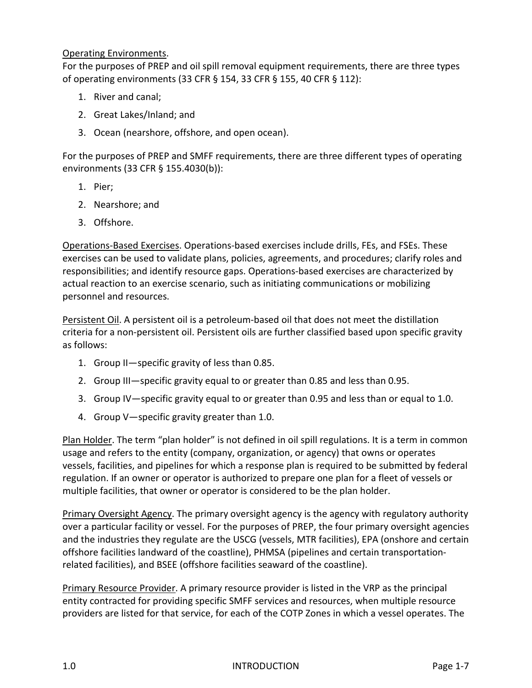## Operating Environments.

For the purposes of PREP and oil spill removal equipment requirements, there are three types of operating environments (33 CFR § 154, 33 CFR § 155, 40 CFR § 112):

- 1. River and canal;
- 2. Great Lakes/Inland; and
- 3. Ocean (nearshore, offshore, and open ocean).

For the purposes of PREP and SMFF requirements, there are three different types of operating environments (33 CFR § 155.4030(b)):

- 1. Pier;
- 2. Nearshore; and
- 3. Offshore.

Operations-Based Exercises. Operations-based exercises include drills, FEs, and FSEs. These exercises can be used to validate plans, policies, agreements, and procedures; clarify roles and responsibilities; and identify resource gaps. Operations-based exercises are characterized by actual reaction to an exercise scenario, such as initiating communications or mobilizing personnel and resources.

Persistent Oil. A persistent oil is a petroleum-based oil that does not meet the distillation criteria for a non-persistent oil. Persistent oils are further classified based upon specific gravity as follows:

- 1. Group II—specific gravity of less than 0.85.
- 2. Group III—specific gravity equal to or greater than 0.85 and less than 0.95.
- 3. Group IV—specific gravity equal to or greater than 0.95 and less than or equal to 1.0.
- 4. Group V—specific gravity greater than 1.0.

Plan Holder. The term "plan holder" is not defined in oil spill regulations. It is a term in common usage and refers to the entity (company, organization, or agency) that owns or operates vessels, facilities, and pipelines for which a response plan is required to be submitted by federal regulation. If an owner or operator is authorized to prepare one plan for a fleet of vessels or multiple facilities, that owner or operator is considered to be the plan holder.

Primary Oversight Agency. The primary oversight agency is the agency with regulatory authority over a particular facility or vessel. For the purposes of PREP, the four primary oversight agencies and the industries they regulate are the USCG (vessels, MTR facilities), EPA (onshore and certain offshore facilities landward of the coastline), PHMSA (pipelines and certain transportationrelated facilities), and BSEE (offshore facilities seaward of the coastline).

Primary Resource Provider. A primary resource provider is listed in the VRP as the principal entity contracted for providing specific SMFF services and resources, when multiple resource providers are listed for that service, for each of the COTP Zones in which a vessel operates. The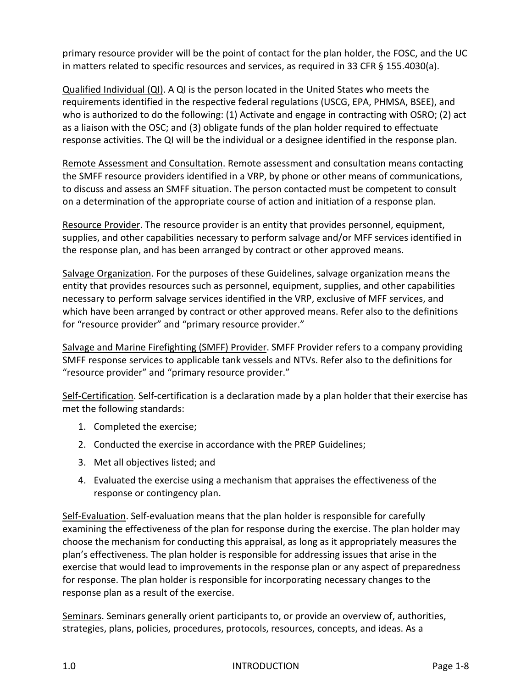primary resource provider will be the point of contact for the plan holder, the FOSC, and the UC in matters related to specific resources and services, as required in 33 CFR § 155.4030(a).

Qualified Individual (QI). A QI is the person located in the United States who meets the requirements identified in the respective federal regulations (USCG, EPA, PHMSA, BSEE), and who is authorized to do the following: (1) Activate and engage in contracting with OSRO; (2) act as a liaison with the OSC; and (3) obligate funds of the plan holder required to effectuate response activities. The QI will be the individual or a designee identified in the response plan.

Remote Assessment and Consultation. Remote assessment and consultation means contacting the SMFF resource providers identified in a VRP, by phone or other means of communications, to discuss and assess an SMFF situation. The person contacted must be competent to consult on a determination of the appropriate course of action and initiation of a response plan.

Resource Provider. The resource provider is an entity that provides personnel, equipment, supplies, and other capabilities necessary to perform salvage and/or MFF services identified in the response plan, and has been arranged by contract or other approved means.

Salvage Organization. For the purposes of these Guidelines, salvage organization means the entity that provides resources such as personnel, equipment, supplies, and other capabilities necessary to perform salvage services identified in the VRP, exclusive of MFF services, and which have been arranged by contract or other approved means. Refer also to the definitions for "resource provider" and "primary resource provider."

Salvage and Marine Firefighting (SMFF) Provider. SMFF Provider refers to a company providing SMFF response services to applicable tank vessels and NTVs. Refer also to the definitions for "resource provider" and "primary resource provider."

Self-Certification. Self-certification is a declaration made by a plan holder that their exercise has met the following standards:

- 1. Completed the exercise;
- 2. Conducted the exercise in accordance with the PREP Guidelines;
- 3. Met all objectives listed; and
- 4. Evaluated the exercise using a mechanism that appraises the effectiveness of the response or contingency plan.

Self-Evaluation. Self-evaluation means that the plan holder is responsible for carefully examining the effectiveness of the plan for response during the exercise. The plan holder may choose the mechanism for conducting this appraisal, as long as it appropriately measures the plan's effectiveness. The plan holder is responsible for addressing issues that arise in the exercise that would lead to improvements in the response plan or any aspect of preparedness for response. The plan holder is responsible for incorporating necessary changes to the response plan as a result of the exercise.

Seminars. Seminars generally orient participants to, or provide an overview of, authorities, strategies, plans, policies, procedures, protocols, resources, concepts, and ideas. As a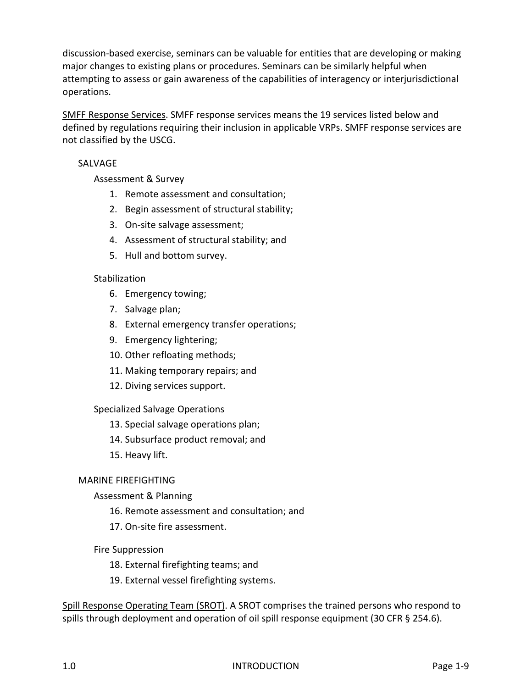discussion-based exercise, seminars can be valuable for entities that are developing or making major changes to existing plans or procedures. Seminars can be similarly helpful when attempting to assess or gain awareness of the capabilities of interagency or interjurisdictional operations.

SMFF Response Services. SMFF response services means the 19 services listed below and defined by regulations requiring their inclusion in applicable VRPs. SMFF response services are not classified by the USCG.

#### SALVAGE

Assessment & Survey

- 1. Remote assessment and consultation;
- 2. Begin assessment of structural stability;
- 3. On-site salvage assessment;
- 4. Assessment of structural stability; and
- 5. Hull and bottom survey.

#### Stabilization

- 6. Emergency towing;
- 7. Salvage plan;
- 8. External emergency transfer operations;
- 9. Emergency lightering;
- 10. Other refloating methods;
- 11. Making temporary repairs; and
- 12. Diving services support.

#### Specialized Salvage Operations

- 13. Special salvage operations plan;
- 14. Subsurface product removal; and
- 15. Heavy lift.

## MARINE FIREFIGHTING

#### Assessment & Planning

- 16. Remote assessment and consultation; and
- 17. On-site fire assessment.

#### Fire Suppression

- 18. External firefighting teams; and
- 19. External vessel firefighting systems.

Spill Response Operating Team (SROT). A SROT comprises the trained persons who respond to spills through deployment and operation of oil spill response equipment (30 CFR § 254.6).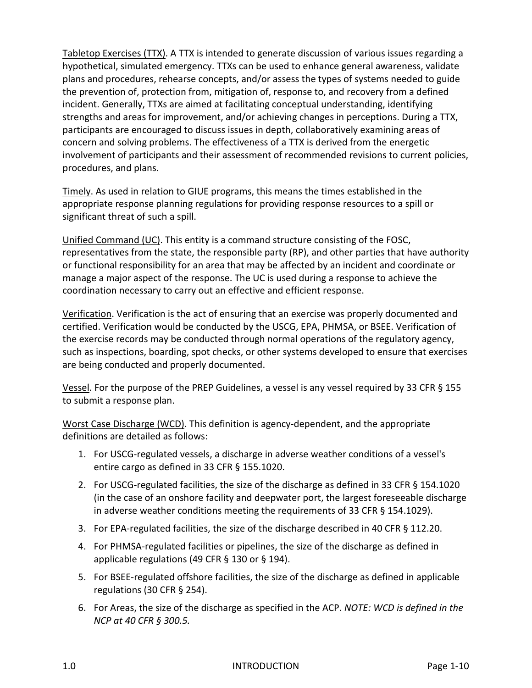Tabletop Exercises (TTX). A TTX is intended to generate discussion of various issues regarding a hypothetical, simulated emergency. TTXs can be used to enhance general awareness, validate plans and procedures, rehearse concepts, and/or assess the types of systems needed to guide the prevention of, protection from, mitigation of, response to, and recovery from a defined incident. Generally, TTXs are aimed at facilitating conceptual understanding, identifying strengths and areas for improvement, and/or achieving changes in perceptions. During a TTX, participants are encouraged to discuss issues in depth, collaboratively examining areas of concern and solving problems. The effectiveness of a TTX is derived from the energetic involvement of participants and their assessment of recommended revisions to current policies, procedures, and plans.

Timely. As used in relation to GIUE programs, this means the times established in the appropriate response planning regulations for providing response resources to a spill or significant threat of such a spill.

Unified Command (UC). This entity is a command structure consisting of the FOSC, representatives from the state, the responsible party (RP), and other parties that have authority or functional responsibility for an area that may be affected by an incident and coordinate or manage a major aspect of the response. The UC is used during a response to achieve the coordination necessary to carry out an effective and efficient response.

Verification. Verification is the act of ensuring that an exercise was properly documented and certified. Verification would be conducted by the USCG, EPA, PHMSA, or BSEE. Verification of the exercise records may be conducted through normal operations of the regulatory agency, such as inspections, boarding, spot checks, or other systems developed to ensure that exercises are being conducted and properly documented.

Vessel. For the purpose of the PREP Guidelines, a vessel is any vessel required by 33 CFR § 155 to submit a response plan.

Worst Case Discharge (WCD). This definition is agency-dependent, and the appropriate definitions are detailed as follows:

- 1. For USCG-regulated vessels, a discharge in adverse weather conditions of a vessel's entire cargo as defined in 33 CFR § 155.1020.
- 2. For USCG-regulated facilities, the size of the discharge as defined in 33 CFR § 154.1020 (in the case of an onshore facility and deepwater port, the largest foreseeable discharge in adverse weather conditions meeting the requirements of 33 CFR § 154.1029).
- 3. For EPA-regulated facilities, the size of the discharge described in 40 CFR § 112.20.
- 4. For PHMSA-regulated facilities or pipelines, the size of the discharge as defined in applicable regulations (49 CFR § 130 or § 194).
- 5. For BSEE-regulated offshore facilities, the size of the discharge as defined in applicable regulations (30 CFR § 254).
- 6. For Areas, the size of the discharge as specified in the ACP. *NOTE: WCD is defined in the NCP at 40 CFR § 300.5.*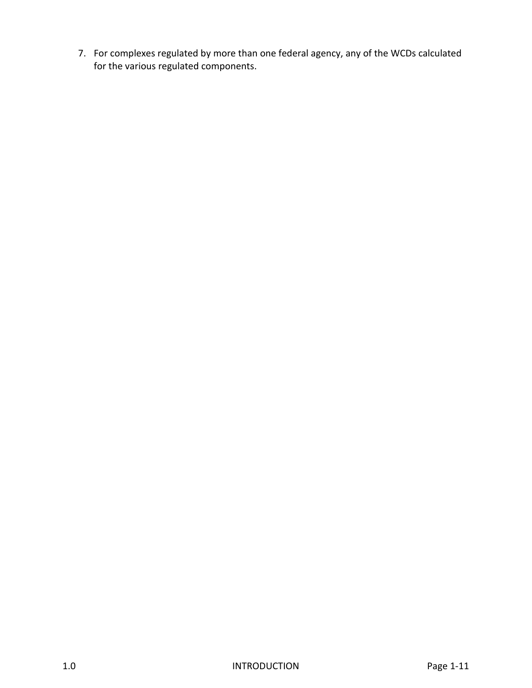7. For complexes regulated by more than one federal agency, any of the WCDs calculated for the various regulated components.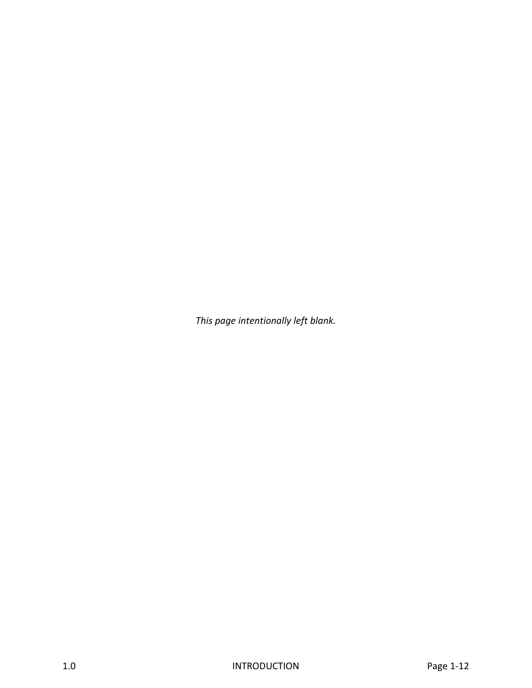*This page intentionally left blank.*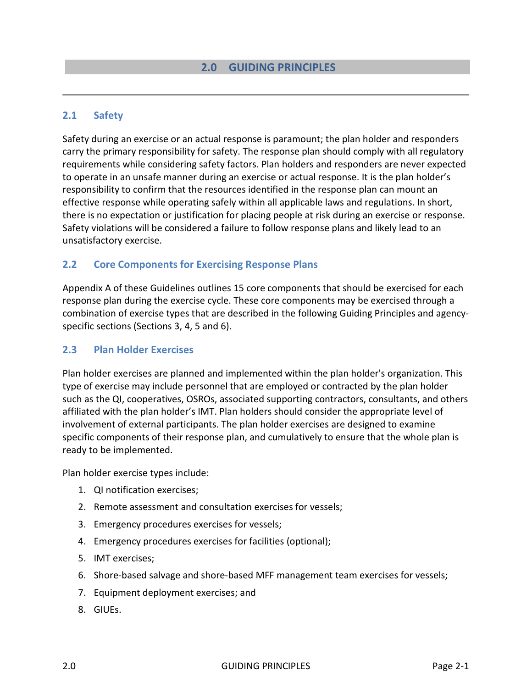## **2.1 Safety**

Safety during an exercise or an actual response is paramount; the plan holder and responders carry the primary responsibility for safety. The response plan should comply with all regulatory requirements while considering safety factors. Plan holders and responders are never expected to operate in an unsafe manner during an exercise or actual response. It is the plan holder's responsibility to confirm that the resources identified in the response plan can mount an effective response while operating safely within all applicable laws and regulations. In short, there is no expectation or justification for placing people at risk during an exercise or response. Safety violations will be considered a failure to follow response plans and likely lead to an unsatisfactory exercise.

#### **2.2 Core Components for Exercising Response Plans**

Appendix A of these Guidelines outlines 15 core components that should be exercised for each response plan during the exercise cycle. These core components may be exercised through a combination of exercise types that are described in the following Guiding Principles and agencyspecific sections (Sections 3, 4, 5 and 6).

#### **2.3 Plan Holder Exercises**

Plan holder exercises are planned and implemented within the plan holder's organization. This type of exercise may include personnel that are employed or contracted by the plan holder such as the QI, cooperatives, OSROs, associated supporting contractors, consultants, and others affiliated with the plan holder's IMT. Plan holders should consider the appropriate level of involvement of external participants. The plan holder exercises are designed to examine specific components of their response plan, and cumulatively to ensure that the whole plan is ready to be implemented.

Plan holder exercise types include:

- 1. QI notification exercises;
- 2. Remote assessment and consultation exercises for vessels;
- 3. Emergency procedures exercises for vessels;
- 4. Emergency procedures exercises for facilities (optional);
- 5. IMT exercises;
- 6. Shore-based salvage and shore-based MFF management team exercises for vessels;
- 7. Equipment deployment exercises; and
- 8. GIUEs.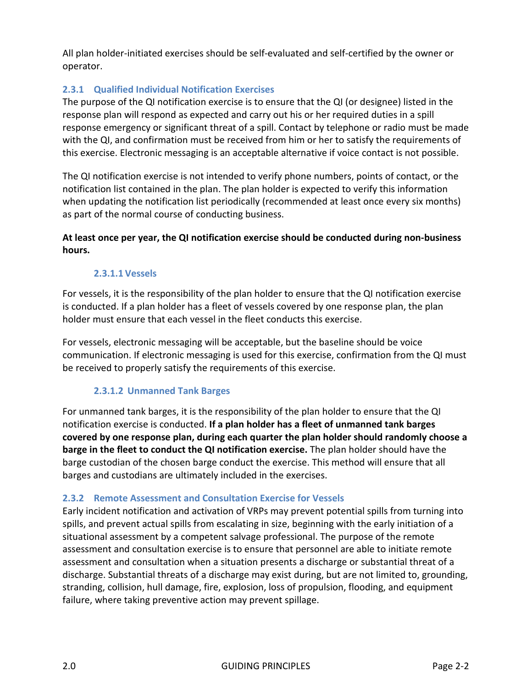All plan holder-initiated exercises should be self-evaluated and self-certified by the owner or operator.

# **2.3.1 Qualified Individual Notification Exercises**

The purpose of the QI notification exercise is to ensure that the QI (or designee) listed in the response plan will respond as expected and carry out his or her required duties in a spill response emergency or significant threat of a spill. Contact by telephone or radio must be made with the QI, and confirmation must be received from him or her to satisfy the requirements of this exercise. Electronic messaging is an acceptable alternative if voice contact is not possible.

The QI notification exercise is not intended to verify phone numbers, points of contact, or the notification list contained in the plan. The plan holder is expected to verify this information when updating the notification list periodically (recommended at least once every six months) as part of the normal course of conducting business.

## **At least once per year, the QI notification exercise should be conducted during non-business hours.**

## **2.3.1.1 Vessels**

For vessels, it is the responsibility of the plan holder to ensure that the QI notification exercise is conducted. If a plan holder has a fleet of vessels covered by one response plan, the plan holder must ensure that each vessel in the fleet conducts this exercise.

For vessels, electronic messaging will be acceptable, but the baseline should be voice communication. If electronic messaging is used for this exercise, confirmation from the QI must be received to properly satisfy the requirements of this exercise.

# **2.3.1.2 Unmanned Tank Barges**

For unmanned tank barges, it is the responsibility of the plan holder to ensure that the QI notification exercise is conducted. **If a plan holder has a fleet of unmanned tank barges covered by one response plan, during each quarter the plan holder should randomly choose a barge in the fleet to conduct the QI notification exercise.** The plan holder should have the barge custodian of the chosen barge conduct the exercise. This method will ensure that all barges and custodians are ultimately included in the exercises.

## **2.3.2 Remote Assessment and Consultation Exercise for Vessels**

Early incident notification and activation of VRPs may prevent potential spills from turning into spills, and prevent actual spills from escalating in size, beginning with the early initiation of a situational assessment by a competent salvage professional. The purpose of the remote assessment and consultation exercise is to ensure that personnel are able to initiate remote assessment and consultation when a situation presents a discharge or substantial threat of a discharge. Substantial threats of a discharge may exist during, but are not limited to, grounding, stranding, collision, hull damage, fire, explosion, loss of propulsion, flooding, and equipment failure, where taking preventive action may prevent spillage.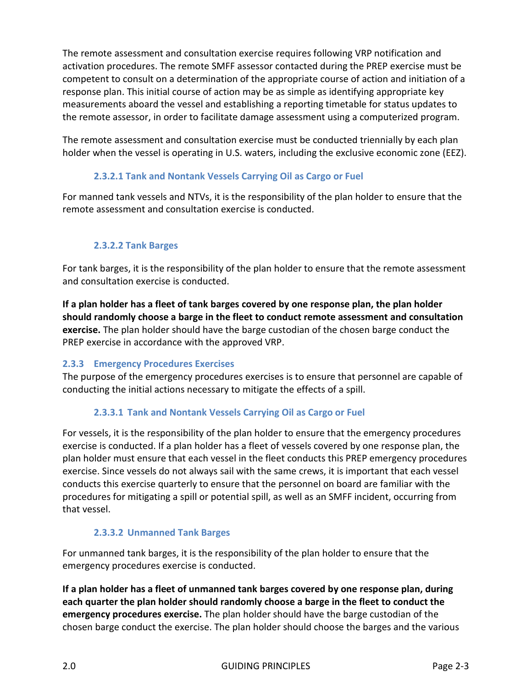The remote assessment and consultation exercise requires following VRP notification and activation procedures. The remote SMFF assessor contacted during the PREP exercise must be competent to consult on a determination of the appropriate course of action and initiation of a response plan. This initial course of action may be as simple as identifying appropriate key measurements aboard the vessel and establishing a reporting timetable for status updates to the remote assessor, in order to facilitate damage assessment using a computerized program.

The remote assessment and consultation exercise must be conducted triennially by each plan holder when the vessel is operating in U.S. waters, including the exclusive economic zone (EEZ).

## **2.3.2.1 Tank and Nontank Vessels Carrying Oil as Cargo or Fuel**

For manned tank vessels and NTVs, it is the responsibility of the plan holder to ensure that the remote assessment and consultation exercise is conducted.

## **2.3.2.2 Tank Barges**

For tank barges, it is the responsibility of the plan holder to ensure that the remote assessment and consultation exercise is conducted.

**If a plan holder has a fleet of tank barges covered by one response plan, the plan holder should randomly choose a barge in the fleet to conduct remote assessment and consultation exercise.** The plan holder should have the barge custodian of the chosen barge conduct the PREP exercise in accordance with the approved VRP.

## **2.3.3 Emergency Procedures Exercises**

The purpose of the emergency procedures exercises is to ensure that personnel are capable of conducting the initial actions necessary to mitigate the effects of a spill.

## **2.3.3.1 Tank and Nontank Vessels Carrying Oil as Cargo or Fuel**

For vessels, it is the responsibility of the plan holder to ensure that the emergency procedures exercise is conducted. If a plan holder has a fleet of vessels covered by one response plan, the plan holder must ensure that each vessel in the fleet conducts this PREP emergency procedures exercise. Since vessels do not always sail with the same crews, it is important that each vessel conducts this exercise quarterly to ensure that the personnel on board are familiar with the procedures for mitigating a spill or potential spill, as well as an SMFF incident, occurring from that vessel.

## **2.3.3.2 Unmanned Tank Barges**

For unmanned tank barges, it is the responsibility of the plan holder to ensure that the emergency procedures exercise is conducted.

**If a plan holder has a fleet of unmanned tank barges covered by one response plan, during each quarter the plan holder should randomly choose a barge in the fleet to conduct the emergency procedures exercise.** The plan holder should have the barge custodian of the chosen barge conduct the exercise. The plan holder should choose the barges and the various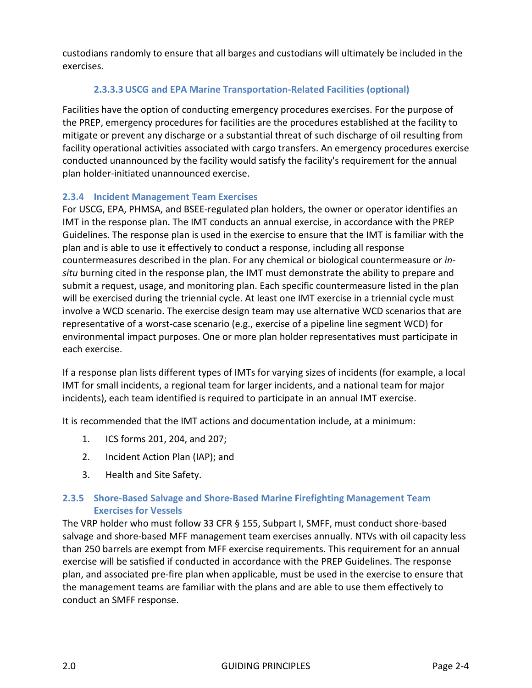custodians randomly to ensure that all barges and custodians will ultimately be included in the exercises.

# **2.3.3.3USCG and EPA Marine Transportation-Related Facilities (optional)**

Facilities have the option of conducting emergency procedures exercises. For the purpose of the PREP, emergency procedures for facilities are the procedures established at the facility to mitigate or prevent any discharge or a substantial threat of such discharge of oil resulting from facility operational activities associated with cargo transfers. An emergency procedures exercise conducted unannounced by the facility would satisfy the facility's requirement for the annual plan holder-initiated unannounced exercise.

## **2.3.4 Incident Management Team Exercises**

For USCG, EPA, PHMSA, and BSEE-regulated plan holders, the owner or operator identifies an IMT in the response plan. The IMT conducts an annual exercise, in accordance with the PREP Guidelines. The response plan is used in the exercise to ensure that the IMT is familiar with the plan and is able to use it effectively to conduct a response, including all response countermeasures described in the plan. For any chemical or biological countermeasure or *insitu* burning cited in the response plan, the IMT must demonstrate the ability to prepare and submit a request, usage, and monitoring plan. Each specific countermeasure listed in the plan will be exercised during the triennial cycle. At least one IMT exercise in a triennial cycle must involve a WCD scenario. The exercise design team may use alternative WCD scenarios that are representative of a worst-case scenario (e.g., exercise of a pipeline line segment WCD) for environmental impact purposes. One or more plan holder representatives must participate in each exercise.

If a response plan lists different types of IMTs for varying sizes of incidents (for example, a local IMT for small incidents, a regional team for larger incidents, and a national team for major incidents), each team identified is required to participate in an annual IMT exercise.

It is recommended that the IMT actions and documentation include, at a minimum:

- 1. ICS forms 201, 204, and 207;
- 2. Incident Action Plan (IAP); and
- 3. Health and Site Safety.

## **2.3.5 Shore-Based Salvage and Shore-Based Marine Firefighting Management Team Exercises for Vessels**

The VRP holder who must follow 33 CFR § 155, Subpart I, SMFF, must conduct shore-based salvage and shore-based MFF management team exercises annually. NTVs with oil capacity less than 250 barrels are exempt from MFF exercise requirements. This requirement for an annual exercise will be satisfied if conducted in accordance with the PREP Guidelines. The response plan, and associated pre-fire plan when applicable, must be used in the exercise to ensure that the management teams are familiar with the plans and are able to use them effectively to conduct an SMFF response.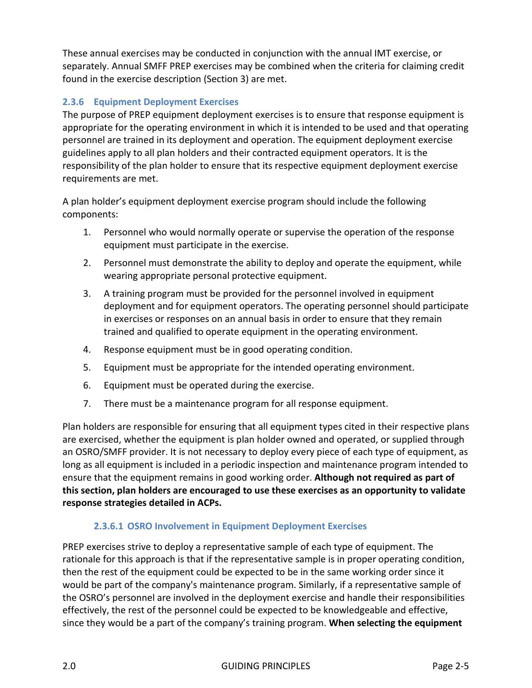These annual exercises may be conducted in conjunction with the annual IMT exercise, or separately. Annual SMFF PREP exercises may be combined when the criteria for claiming credit found in the exercise description (Section 3) are met.

# **2.3.6 Equipment Deployment Exercises**

The purpose of PREP equipment deployment exercises is to ensure that response equipment is appropriate for the operating environment in which it is intended to be used and that operating personnel are trained in its deployment and operation. The equipment deployment exercise guidelines apply to all plan holders and their contracted equipment operators. It is the responsibility of the plan holder to ensure that its respective equipment deployment exercise requirements are met.

A plan holder's equipment deployment exercise program should include the following components:

- 1. Personnel who would normally operate or supervise the operation of the response equipment must participate in the exercise.
- 2. Personnel must demonstrate the ability to deploy and operate the equipment, while wearing appropriate personal protective equipment.
- 3. A training program must be provided for the personnel involved in equipment deployment and for equipment operators. The operating personnel should participate in exercises or responses on an annual basis in order to ensure that they remain trained and qualified to operate equipment in the operating environment.
- 4. Response equipment must be in good operating condition.
- 5. Equipment must be appropriate for the intended operating environment.
- 6. Equipment must be operated during the exercise.
- 7. There must be a maintenance program for all response equipment.

Plan holders are responsible for ensuring that all equipment types cited in their respective plans are exercised, whether the equipment is plan holder owned and operated, or supplied through an OSRO/SMFF provider. It is not necessary to deploy every piece of each type of equipment, as long as all equipment is included in a periodic inspection and maintenance program intended to ensure that the equipment remains in good working order. **Although not required as part of this section, plan holders are encouraged to use these exercises as an opportunity to validate response strategies detailed in ACPs.**

## **2.3.6.1 OSRO Involvement in Equipment Deployment Exercises**

PREP exercises strive to deploy a representative sample of each type of equipment. The rationale for this approach is that if the representative sample is in proper operating condition, then the rest of the equipment could be expected to be in the same working order since it would be part of the company's maintenance program. Similarly, if a representative sample of the OSRO's personnel are involved in the deployment exercise and handle their responsibilities effectively, the rest of the personnel could be expected to be knowledgeable and effective, since they would be a part of the company's training program. **When selecting the equipment**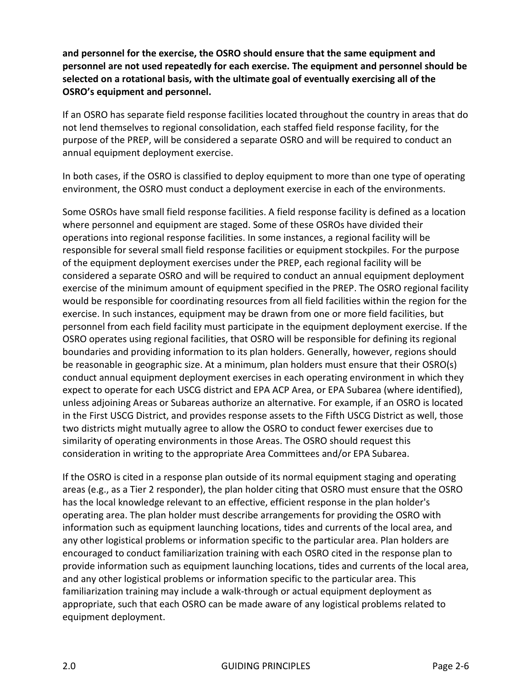**and personnel for the exercise, the OSRO should ensure that the same equipment and personnel are not used repeatedly for each exercise. The equipment and personnel should be selected on a rotational basis, with the ultimate goal of eventually exercising all of the OSRO's equipment and personnel.**

If an OSRO has separate field response facilities located throughout the country in areas that do not lend themselves to regional consolidation, each staffed field response facility, for the purpose of the PREP, will be considered a separate OSRO and will be required to conduct an annual equipment deployment exercise.

In both cases, if the OSRO is classified to deploy equipment to more than one type of operating environment, the OSRO must conduct a deployment exercise in each of the environments.

Some OSROs have small field response facilities. A field response facility is defined as a location where personnel and equipment are staged. Some of these OSROs have divided their operations into regional response facilities. In some instances, a regional facility will be responsible for several small field response facilities or equipment stockpiles. For the purpose of the equipment deployment exercises under the PREP, each regional facility will be considered a separate OSRO and will be required to conduct an annual equipment deployment exercise of the minimum amount of equipment specified in the PREP. The OSRO regional facility would be responsible for coordinating resources from all field facilities within the region for the exercise. In such instances, equipment may be drawn from one or more field facilities, but personnel from each field facility must participate in the equipment deployment exercise. If the OSRO operates using regional facilities, that OSRO will be responsible for defining its regional boundaries and providing information to its plan holders. Generally, however, regions should be reasonable in geographic size. At a minimum, plan holders must ensure that their OSRO(s) conduct annual equipment deployment exercises in each operating environment in which they expect to operate for each USCG district and EPA ACP Area, or EPA Subarea (where identified), unless adjoining Areas or Subareas authorize an alternative. For example, if an OSRO is located in the First USCG District, and provides response assets to the Fifth USCG District as well, those two districts might mutually agree to allow the OSRO to conduct fewer exercises due to similarity of operating environments in those Areas. The OSRO should request this consideration in writing to the appropriate Area Committees and/or EPA Subarea.

If the OSRO is cited in a response plan outside of its normal equipment staging and operating areas (e.g., as a Tier 2 responder), the plan holder citing that OSRO must ensure that the OSRO has the local knowledge relevant to an effective, efficient response in the plan holder's operating area. The plan holder must describe arrangements for providing the OSRO with information such as equipment launching locations, tides and currents of the local area, and any other logistical problems or information specific to the particular area. Plan holders are encouraged to conduct familiarization training with each OSRO cited in the response plan to provide information such as equipment launching locations, tides and currents of the local area, and any other logistical problems or information specific to the particular area. This familiarization training may include a walk-through or actual equipment deployment as appropriate, such that each OSRO can be made aware of any logistical problems related to equipment deployment.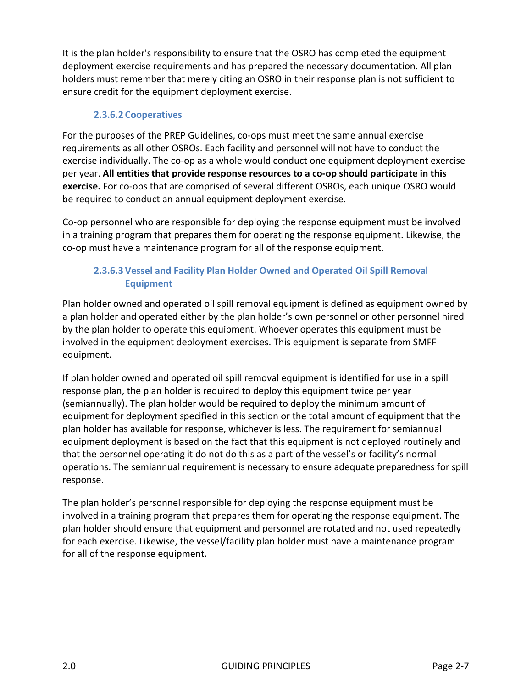It is the plan holder's responsibility to ensure that the OSRO has completed the equipment deployment exercise requirements and has prepared the necessary documentation. All plan holders must remember that merely citing an OSRO in their response plan is not sufficient to ensure credit for the equipment deployment exercise.

#### **2.3.6.2 Cooperatives**

For the purposes of the PREP Guidelines, co-ops must meet the same annual exercise requirements as all other OSROs. Each facility and personnel will not have to conduct the exercise individually. The co-op as a whole would conduct one equipment deployment exercise per year. **All entities that provide response resources to a co-op should participate in this exercise.** For co-ops that are comprised of several different OSROs, each unique OSRO would be required to conduct an annual equipment deployment exercise.

Co-op personnel who are responsible for deploying the response equipment must be involved in a training program that prepares them for operating the response equipment. Likewise, the co-op must have a maintenance program for all of the response equipment.

## **2.3.6.3 Vessel and Facility Plan Holder Owned and Operated Oil Spill Removal Equipment**

Plan holder owned and operated oil spill removal equipment is defined as equipment owned by a plan holder and operated either by the plan holder's own personnel or other personnel hired by the plan holder to operate this equipment. Whoever operates this equipment must be involved in the equipment deployment exercises. This equipment is separate from SMFF equipment.

If plan holder owned and operated oil spill removal equipment is identified for use in a spill response plan, the plan holder is required to deploy this equipment twice per year (semiannually). The plan holder would be required to deploy the minimum amount of equipment for deployment specified in this section or the total amount of equipment that the plan holder has available for response, whichever is less. The requirement for semiannual equipment deployment is based on the fact that this equipment is not deployed routinely and that the personnel operating it do not do this as a part of the vessel's or facility's normal operations. The semiannual requirement is necessary to ensure adequate preparedness for spill response.

The plan holder's personnel responsible for deploying the response equipment must be involved in a training program that prepares them for operating the response equipment. The plan holder should ensure that equipment and personnel are rotated and not used repeatedly for each exercise. Likewise, the vessel/facility plan holder must have a maintenance program for all of the response equipment.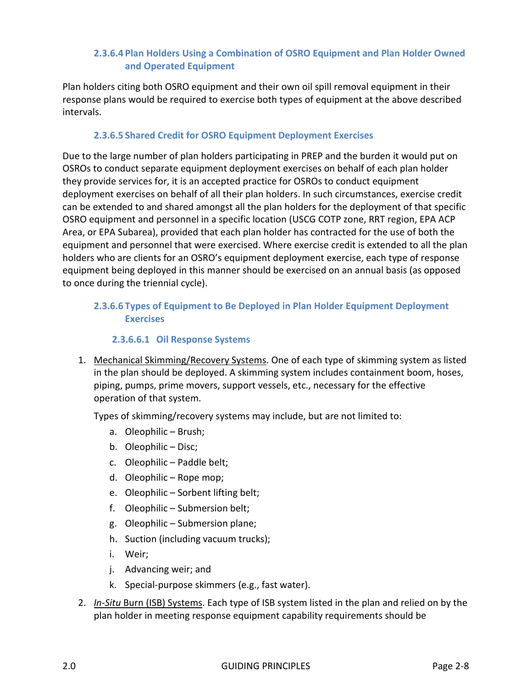## **2.3.6.4 Plan Holders Using a Combination of OSRO Equipment and Plan Holder Owned and Operated Equipment**

Plan holders citing both OSRO equipment and their own oil spill removal equipment in their response plans would be required to exercise both types of equipment at the above described intervals.

## **2.3.6.5 Shared Credit for OSRO Equipment Deployment Exercises**

Due to the large number of plan holders participating in PREP and the burden it would put on OSROs to conduct separate equipment deployment exercises on behalf of each plan holder they provide services for, it is an accepted practice for OSROs to conduct equipment deployment exercises on behalf of all their plan holders. In such circumstances, exercise credit can be extended to and shared amongst all the plan holders for the deployment of that specific OSRO equipment and personnel in a specific location (USCG COTP zone, RRT region, EPA ACP Area, or EPA Subarea), provided that each plan holder has contracted for the use of both the equipment and personnel that were exercised. Where exercise credit is extended to all the plan holders who are clients for an OSRO's equipment deployment exercise, each type of response equipment being deployed in this manner should be exercised on an annual basis (as opposed to once during the triennial cycle).

## **2.3.6.6 Types of Equipment to Be Deployed in Plan Holder Equipment Deployment Exercises**

## **2.3.6.6.1 Oil Response Systems**

1. Mechanical Skimming/Recovery Systems. One of each type of skimming system as listed in the plan should be deployed. A skimming system includes containment boom, hoses, piping, pumps, prime movers, support vessels, etc., necessary for the effective operation of that system.

Types of skimming/recovery systems may include, but are not limited to:

- a. Oleophilic Brush;
- b. Oleophilic Disc;
- c. Oleophilic Paddle belt;
- d. Oleophilic Rope mop;
- e. Oleophilic Sorbent lifting belt;
- f. Oleophilic Submersion belt;
- g. Oleophilic Submersion plane;
- h. Suction (including vacuum trucks);
- i. Weir;
- j. Advancing weir; and
- k. Special-purpose skimmers (e.g., fast water).
- 2. *In-Situ* Burn (ISB) Systems. Each type of ISB system listed in the plan and relied on by the plan holder in meeting response equipment capability requirements should be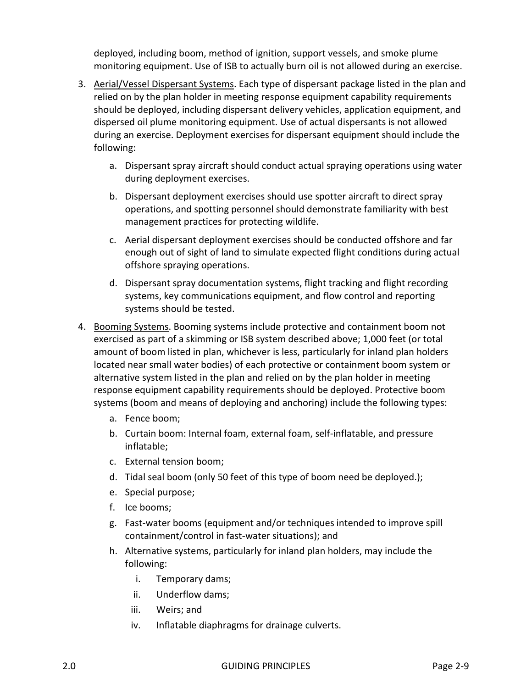deployed, including boom, method of ignition, support vessels, and smoke plume monitoring equipment. Use of ISB to actually burn oil is not allowed during an exercise.

- 3. Aerial/Vessel Dispersant Systems. Each type of dispersant package listed in the plan and relied on by the plan holder in meeting response equipment capability requirements should be deployed, including dispersant delivery vehicles, application equipment, and dispersed oil plume monitoring equipment. Use of actual dispersants is not allowed during an exercise. Deployment exercises for dispersant equipment should include the following:
	- a. Dispersant spray aircraft should conduct actual spraying operations using water during deployment exercises.
	- b. Dispersant deployment exercises should use spotter aircraft to direct spray operations, and spotting personnel should demonstrate familiarity with best management practices for protecting wildlife.
	- c. Aerial dispersant deployment exercises should be conducted offshore and far enough out of sight of land to simulate expected flight conditions during actual offshore spraying operations.
	- d. Dispersant spray documentation systems, flight tracking and flight recording systems, key communications equipment, and flow control and reporting systems should be tested.
- 4. Booming Systems. Booming systems include protective and containment boom not exercised as part of a skimming or ISB system described above; 1,000 feet (or total amount of boom listed in plan, whichever is less, particularly for inland plan holders located near small water bodies) of each protective or containment boom system or alternative system listed in the plan and relied on by the plan holder in meeting response equipment capability requirements should be deployed. Protective boom systems (boom and means of deploying and anchoring) include the following types:
	- a. Fence boom;
	- b. Curtain boom: Internal foam, external foam, self-inflatable, and pressure inflatable;
	- c. External tension boom;
	- d. Tidal seal boom (only 50 feet of this type of boom need be deployed.);
	- e. Special purpose;
	- f. Ice booms;
	- g. Fast-water booms (equipment and/or techniques intended to improve spill containment/control in fast-water situations); and
	- h. Alternative systems, particularly for inland plan holders, may include the following:
		- i. Temporary dams;
		- ii. Underflow dams;
		- iii. Weirs; and
		- iv. Inflatable diaphragms for drainage culverts.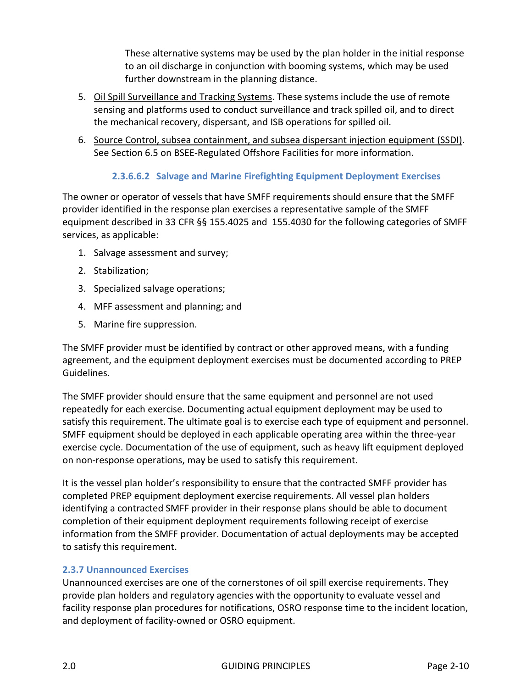These alternative systems may be used by the plan holder in the initial response to an oil discharge in conjunction with booming systems, which may be used further downstream in the planning distance.

- 5. Oil Spill Surveillance and Tracking Systems. These systems include the use of remote sensing and platforms used to conduct surveillance and track spilled oil, and to direct the mechanical recovery, dispersant, and ISB operations for spilled oil.
- 6. Source Control, subsea containment, and subsea dispersant injection equipment (SSDI). See Section 6.5 on BSEE-Regulated Offshore Facilities for more information.

# **2.3.6.6.2 Salvage and Marine Firefighting Equipment Deployment Exercises**

The owner or operator of vessels that have SMFF requirements should ensure that the SMFF provider identified in the response plan exercises a representative sample of the SMFF equipment described in 33 CFR §§ 155.4025 and 155.4030 for the following categories of SMFF services, as applicable:

- 1. Salvage assessment and survey;
- 2. Stabilization;
- 3. Specialized salvage operations;
- 4. MFF assessment and planning; and
- 5. Marine fire suppression.

The SMFF provider must be identified by contract or other approved means, with a funding agreement, and the equipment deployment exercises must be documented according to PREP Guidelines.

The SMFF provider should ensure that the same equipment and personnel are not used repeatedly for each exercise. Documenting actual equipment deployment may be used to satisfy this requirement. The ultimate goal is to exercise each type of equipment and personnel. SMFF equipment should be deployed in each applicable operating area within the three-year exercise cycle. Documentation of the use of equipment, such as heavy lift equipment deployed on non-response operations, may be used to satisfy this requirement.

It is the vessel plan holder's responsibility to ensure that the contracted SMFF provider has completed PREP equipment deployment exercise requirements. All vessel plan holders identifying a contracted SMFF provider in their response plans should be able to document completion of their equipment deployment requirements following receipt of exercise information from the SMFF provider. Documentation of actual deployments may be accepted to satisfy this requirement.

#### **2.3.7 Unannounced Exercises**

Unannounced exercises are one of the cornerstones of oil spill exercise requirements. They provide plan holders and regulatory agencies with the opportunity to evaluate vessel and facility response plan procedures for notifications, OSRO response time to the incident location, and deployment of facility-owned or OSRO equipment.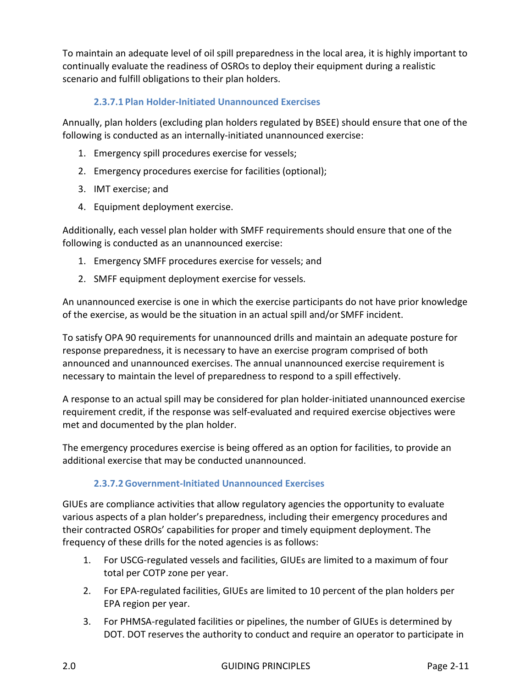To maintain an adequate level of oil spill preparedness in the local area, it is highly important to continually evaluate the readiness of OSROs to deploy their equipment during a realistic scenario and fulfill obligations to their plan holders.

## **2.3.7.1 Plan Holder-Initiated Unannounced Exercises**

Annually, plan holders (excluding plan holders regulated by BSEE) should ensure that one of the following is conducted as an internally-initiated unannounced exercise:

- 1. Emergency spill procedures exercise for vessels;
- 2. Emergency procedures exercise for facilities (optional);
- 3. IMT exercise; and
- 4. Equipment deployment exercise.

Additionally, each vessel plan holder with SMFF requirements should ensure that one of the following is conducted as an unannounced exercise:

- 1. Emergency SMFF procedures exercise for vessels; and
- 2. SMFF equipment deployment exercise for vessels.

An unannounced exercise is one in which the exercise participants do not have prior knowledge of the exercise, as would be the situation in an actual spill and/or SMFF incident.

To satisfy OPA 90 requirements for unannounced drills and maintain an adequate posture for response preparedness, it is necessary to have an exercise program comprised of both announced and unannounced exercises. The annual unannounced exercise requirement is necessary to maintain the level of preparedness to respond to a spill effectively.

A response to an actual spill may be considered for plan holder-initiated unannounced exercise requirement credit, if the response was self-evaluated and required exercise objectives were met and documented by the plan holder.

The emergency procedures exercise is being offered as an option for facilities, to provide an additional exercise that may be conducted unannounced.

# **2.3.7.2 Government-Initiated Unannounced Exercises**

GIUEs are compliance activities that allow regulatory agencies the opportunity to evaluate various aspects of a plan holder's preparedness, including their emergency procedures and their contracted OSROs' capabilities for proper and timely equipment deployment. The frequency of these drills for the noted agencies is as follows:

- 1. For USCG-regulated vessels and facilities, GIUEs are limited to a maximum of four total per COTP zone per year.
- 2. For EPA-regulated facilities, GIUEs are limited to 10 percent of the plan holders per EPA region per year.
- 3. For PHMSA-regulated facilities or pipelines, the number of GIUEs is determined by DOT. DOT reserves the authority to conduct and require an operator to participate in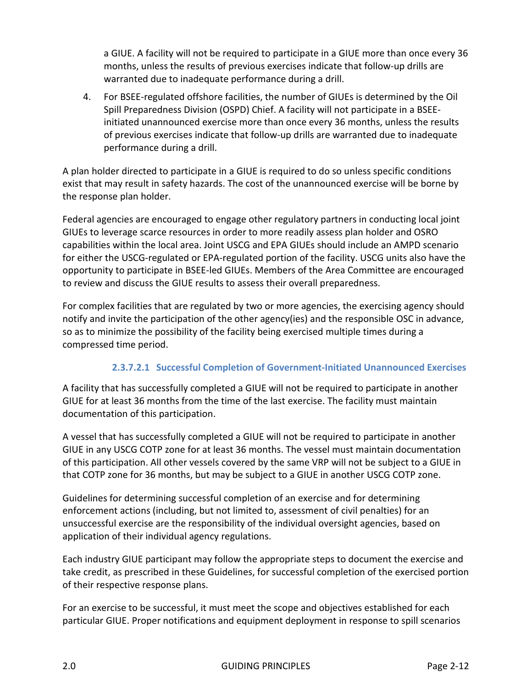a GIUE. A facility will not be required to participate in a GIUE more than once every 36 months, unless the results of previous exercises indicate that follow-up drills are warranted due to inadequate performance during a drill.

4. For BSEE-regulated offshore facilities, the number of GIUEs is determined by the Oil Spill Preparedness Division (OSPD) Chief. A facility will not participate in a BSEEinitiated unannounced exercise more than once every 36 months, unless the results of previous exercises indicate that follow-up drills are warranted due to inadequate performance during a drill.

A plan holder directed to participate in a GIUE is required to do so unless specific conditions exist that may result in safety hazards. The cost of the unannounced exercise will be borne by the response plan holder.

Federal agencies are encouraged to engage other regulatory partners in conducting local joint GIUEs to leverage scarce resources in order to more readily assess plan holder and OSRO capabilities within the local area. Joint USCG and EPA GIUEs should include an AMPD scenario for either the USCG-regulated or EPA-regulated portion of the facility. USCG units also have the opportunity to participate in BSEE-led GIUEs. Members of the Area Committee are encouraged to review and discuss the GIUE results to assess their overall preparedness.

For complex facilities that are regulated by two or more agencies, the exercising agency should notify and invite the participation of the other agency(ies) and the responsible OSC in advance, so as to minimize the possibility of the facility being exercised multiple times during a compressed time period.

# **2.3.7.2.1 Successful Completion of Government-Initiated Unannounced Exercises**

A facility that has successfully completed a GIUE will not be required to participate in another GIUE for at least 36 months from the time of the last exercise. The facility must maintain documentation of this participation.

A vessel that has successfully completed a GIUE will not be required to participate in another GIUE in any USCG COTP zone for at least 36 months. The vessel must maintain documentation of this participation. All other vessels covered by the same VRP will not be subject to a GIUE in that COTP zone for 36 months, but may be subject to a GIUE in another USCG COTP zone.

Guidelines for determining successful completion of an exercise and for determining enforcement actions (including, but not limited to, assessment of civil penalties) for an unsuccessful exercise are the responsibility of the individual oversight agencies, based on application of their individual agency regulations.

Each industry GIUE participant may follow the appropriate steps to document the exercise and take credit, as prescribed in these Guidelines, for successful completion of the exercised portion of their respective response plans.

For an exercise to be successful, it must meet the scope and objectives established for each particular GIUE. Proper notifications and equipment deployment in response to spill scenarios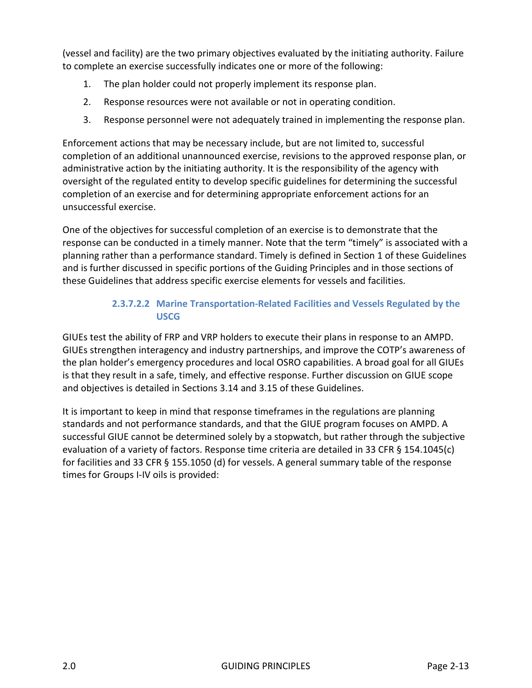(vessel and facility) are the two primary objectives evaluated by the initiating authority. Failure to complete an exercise successfully indicates one or more of the following:

- 1. The plan holder could not properly implement its response plan.
- 2. Response resources were not available or not in operating condition.
- 3. Response personnel were not adequately trained in implementing the response plan.

Enforcement actions that may be necessary include, but are not limited to, successful completion of an additional unannounced exercise, revisions to the approved response plan, or administrative action by the initiating authority. It is the responsibility of the agency with oversight of the regulated entity to develop specific guidelines for determining the successful completion of an exercise and for determining appropriate enforcement actions for an unsuccessful exercise.

One of the objectives for successful completion of an exercise is to demonstrate that the response can be conducted in a timely manner. Note that the term "timely" is associated with a planning rather than a performance standard. Timely is defined in Section 1 of these Guidelines and is further discussed in specific portions of the Guiding Principles and in those sections of these Guidelines that address specific exercise elements for vessels and facilities.

#### **2.3.7.2.2 Marine Transportation-Related Facilities and Vessels Regulated by the USCG**

GIUEs test the ability of FRP and VRP holders to execute their plans in response to an AMPD. GIUEs strengthen interagency and industry partnerships, and improve the COTP's awareness of the plan holder's emergency procedures and local OSRO capabilities. A broad goal for all GIUEs is that they result in a safe, timely, and effective response. Further discussion on GIUE scope and objectives is detailed in Sections 3.14 and 3.15 of these Guidelines.

It is important to keep in mind that response timeframes in the regulations are planning standards and not performance standards, and that the GIUE program focuses on AMPD. A successful GIUE cannot be determined solely by a stopwatch, but rather through the subjective evaluation of a variety of factors. Response time criteria are detailed in 33 CFR § 154.1045(c) for facilities and 33 CFR § 155.1050 (d) for vessels. A general summary table of the response times for Groups I-IV oils is provided: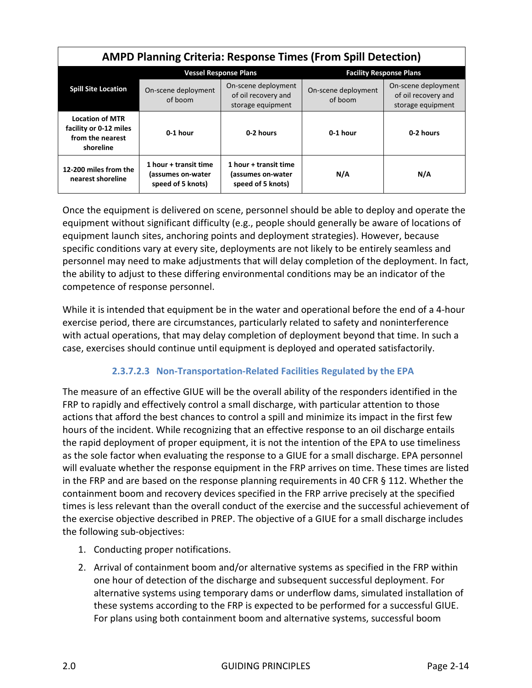| <b>AMPD Planning Criteria: Response Times (From Spill Detection)</b>              |                                                                 |                                                                 |                                |                                                                 |
|-----------------------------------------------------------------------------------|-----------------------------------------------------------------|-----------------------------------------------------------------|--------------------------------|-----------------------------------------------------------------|
| <b>Spill Site Location</b>                                                        | <b>Vessel Response Plans</b>                                    |                                                                 | <b>Facility Response Plans</b> |                                                                 |
|                                                                                   | On-scene deployment<br>of boom                                  | On-scene deployment<br>of oil recovery and<br>storage equipment | On-scene deployment<br>of boom | On-scene deployment<br>of oil recovery and<br>storage equipment |
| <b>Location of MTR</b><br>facility or 0-12 miles<br>from the nearest<br>shoreline | $0-1$ hour                                                      | 0-2 hours                                                       | 0-1 hour                       | 0-2 hours                                                       |
| 12-200 miles from the<br>nearest shoreline                                        | 1 hour + transit time<br>(assumes on-water<br>speed of 5 knots) | 1 hour + transit time<br>(assumes on-water<br>speed of 5 knots) | N/A                            | N/A                                                             |

Once the equipment is delivered on scene, personnel should be able to deploy and operate the equipment without significant difficulty (e.g., people should generally be aware of locations of equipment launch sites, anchoring points and deployment strategies). However, because specific conditions vary at every site, deployments are not likely to be entirely seamless and personnel may need to make adjustments that will delay completion of the deployment. In fact, the ability to adjust to these differing environmental conditions may be an indicator of the competence of response personnel.

While it is intended that equipment be in the water and operational before the end of a 4-hour exercise period, there are circumstances, particularly related to safety and noninterference with actual operations, that may delay completion of deployment beyond that time. In such a case, exercises should continue until equipment is deployed and operated satisfactorily.

### **2.3.7.2.3 Non-Transportation-Related Facilities Regulated by the EPA**

The measure of an effective GIUE will be the overall ability of the responders identified in the FRP to rapidly and effectively control a small discharge, with particular attention to those actions that afford the best chances to control a spill and minimize its impact in the first few hours of the incident. While recognizing that an effective response to an oil discharge entails the rapid deployment of proper equipment, it is not the intention of the EPA to use timeliness as the sole factor when evaluating the response to a GIUE for a small discharge. EPA personnel will evaluate whether the response equipment in the FRP arrives on time. These times are listed in the FRP and are based on the response planning requirements in 40 CFR § 112. Whether the containment boom and recovery devices specified in the FRP arrive precisely at the specified times is less relevant than the overall conduct of the exercise and the successful achievement of the exercise objective described in PREP. The objective of a GIUE for a small discharge includes the following sub-objectives:

- 1. Conducting proper notifications.
- 2. Arrival of containment boom and/or alternative systems as specified in the FRP within one hour of detection of the discharge and subsequent successful deployment. For alternative systems using temporary dams or underflow dams, simulated installation of these systems according to the FRP is expected to be performed for a successful GIUE. For plans using both containment boom and alternative systems, successful boom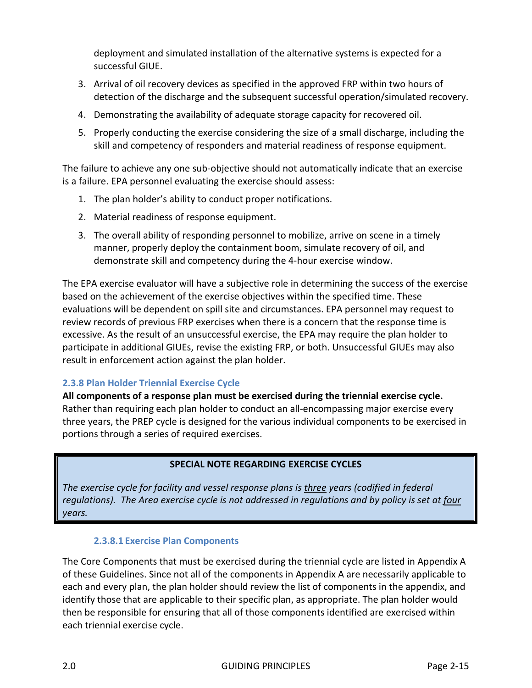deployment and simulated installation of the alternative systems is expected for a successful GIUE.

- 3. Arrival of oil recovery devices as specified in the approved FRP within two hours of detection of the discharge and the subsequent successful operation/simulated recovery.
- 4. Demonstrating the availability of adequate storage capacity for recovered oil.
- 5. Properly conducting the exercise considering the size of a small discharge, including the skill and competency of responders and material readiness of response equipment.

The failure to achieve any one sub-objective should not automatically indicate that an exercise is a failure. EPA personnel evaluating the exercise should assess:

- 1. The plan holder's ability to conduct proper notifications.
- 2. Material readiness of response equipment.
- 3. The overall ability of responding personnel to mobilize, arrive on scene in a timely manner, properly deploy the containment boom, simulate recovery of oil, and demonstrate skill and competency during the 4-hour exercise window.

The EPA exercise evaluator will have a subjective role in determining the success of the exercise based on the achievement of the exercise objectives within the specified time. These evaluations will be dependent on spill site and circumstances. EPA personnel may request to review records of previous FRP exercises when there is a concern that the response time is excessive. As the result of an unsuccessful exercise, the EPA may require the plan holder to participate in additional GIUEs, revise the existing FRP, or both. Unsuccessful GIUEs may also result in enforcement action against the plan holder.

### **2.3.8 Plan Holder Triennial Exercise Cycle**

**All components of a response plan must be exercised during the triennial exercise cycle.** Rather than requiring each plan holder to conduct an all-encompassing major exercise every three years, the PREP cycle is designed for the various individual components to be exercised in portions through a series of required exercises.

#### **SPECIAL NOTE REGARDING EXERCISE CYCLES**

*The exercise cycle for facility and vessel response plans is three years (codified in federal regulations). The Area exercise cycle is not addressed in regulations and by policy is set at four years.*

#### **2.3.8.1 Exercise Plan Components**

The Core Components that must be exercised during the triennial cycle are listed in Appendix A of these Guidelines. Since not all of the components in Appendix A are necessarily applicable to each and every plan, the plan holder should review the list of components in the appendix, and identify those that are applicable to their specific plan, as appropriate. The plan holder would then be responsible for ensuring that all of those components identified are exercised within each triennial exercise cycle.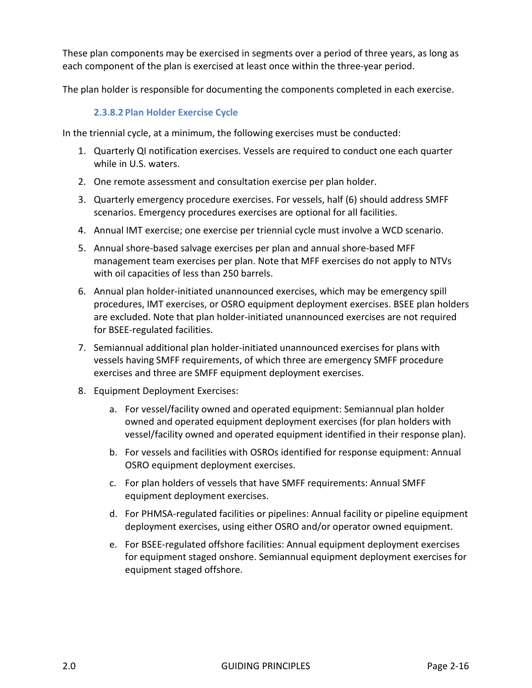These plan components may be exercised in segments over a period of three years, as long as each component of the plan is exercised at least once within the three-year period.

The plan holder is responsible for documenting the components completed in each exercise.

#### **2.3.8.2 Plan Holder Exercise Cycle**

In the triennial cycle, at a minimum, the following exercises must be conducted:

- 1. Quarterly QI notification exercises. Vessels are required to conduct one each quarter while in U.S. waters.
- 2. One remote assessment and consultation exercise per plan holder.
- 3. Quarterly emergency procedure exercises. For vessels, half (6) should address SMFF scenarios. Emergency procedures exercises are optional for all facilities.
- 4. Annual IMT exercise; one exercise per triennial cycle must involve a WCD scenario.
- 5. Annual shore-based salvage exercises per plan and annual shore-based MFF management team exercises per plan. Note that MFF exercises do not apply to NTVs with oil capacities of less than 250 barrels.
- 6. Annual plan holder-initiated unannounced exercises, which may be emergency spill procedures, IMT exercises, or OSRO equipment deployment exercises. BSEE plan holders are excluded. Note that plan holder-initiated unannounced exercises are not required for BSEE-regulated facilities.
- 7. Semiannual additional plan holder-initiated unannounced exercises for plans with vessels having SMFF requirements, of which three are emergency SMFF procedure exercises and three are SMFF equipment deployment exercises.
- 8. Equipment Deployment Exercises:
	- a. For vessel/facility owned and operated equipment: Semiannual plan holder owned and operated equipment deployment exercises (for plan holders with vessel/facility owned and operated equipment identified in their response plan).
	- b. For vessels and facilities with OSROs identified for response equipment: Annual OSRO equipment deployment exercises.
	- c. For plan holders of vessels that have SMFF requirements: Annual SMFF equipment deployment exercises.
	- d. For PHMSA-regulated facilities or pipelines: Annual facility or pipeline equipment deployment exercises, using either OSRO and/or operator owned equipment.
	- e. For BSEE-regulated offshore facilities: Annual equipment deployment exercises for equipment staged onshore. Semiannual equipment deployment exercises for equipment staged offshore.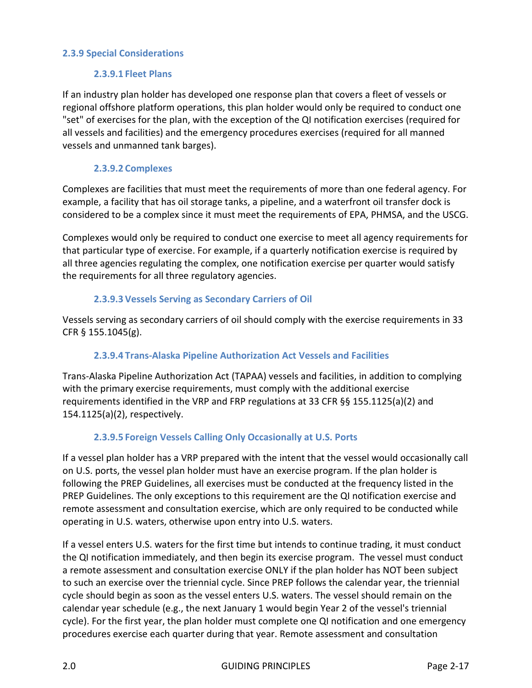#### **2.3.9 Special Considerations**

#### **2.3.9.1 Fleet Plans**

If an industry plan holder has developed one response plan that covers a fleet of vessels or regional offshore platform operations, this plan holder would only be required to conduct one "set" of exercises for the plan, with the exception of the QI notification exercises (required for all vessels and facilities) and the emergency procedures exercises (required for all manned vessels and unmanned tank barges).

#### **2.3.9.2 Complexes**

Complexes are facilities that must meet the requirements of more than one federal agency. For example, a facility that has oil storage tanks, a pipeline, and a waterfront oil transfer dock is considered to be a complex since it must meet the requirements of EPA, PHMSA, and the USCG.

Complexes would only be required to conduct one exercise to meet all agency requirements for that particular type of exercise. For example, if a quarterly notification exercise is required by all three agencies regulating the complex, one notification exercise per quarter would satisfy the requirements for all three regulatory agencies.

#### **2.3.9.3 Vessels Serving as Secondary Carriers of Oil**

Vessels serving as secondary carriers of oil should comply with the exercise requirements in 33 CFR § 155.1045(g).

### **2.3.9.4 Trans-Alaska Pipeline Authorization Act Vessels and Facilities**

Trans-Alaska Pipeline Authorization Act (TAPAA) vessels and facilities, in addition to complying with the primary exercise requirements, must comply with the additional exercise requirements identified in the VRP and FRP regulations at 33 CFR §§ 155.1125(a)(2) and 154.1125(a)(2), respectively.

### **2.3.9.5 Foreign Vessels Calling Only Occasionally at U.S. Ports**

If a vessel plan holder has a VRP prepared with the intent that the vessel would occasionally call on U.S. ports, the vessel plan holder must have an exercise program. If the plan holder is following the PREP Guidelines, all exercises must be conducted at the frequency listed in the PREP Guidelines. The only exceptions to this requirement are the QI notification exercise and remote assessment and consultation exercise, which are only required to be conducted while operating in U.S. waters, otherwise upon entry into U.S. waters.

If a vessel enters U.S. waters for the first time but intends to continue trading, it must conduct the QI notification immediately, and then begin its exercise program. The vessel must conduct a remote assessment and consultation exercise ONLY if the plan holder has NOT been subject to such an exercise over the triennial cycle. Since PREP follows the calendar year, the triennial cycle should begin as soon as the vessel enters U.S. waters. The vessel should remain on the calendar year schedule (e.g., the next January 1 would begin Year 2 of the vessel's triennial cycle). For the first year, the plan holder must complete one QI notification and one emergency procedures exercise each quarter during that year. Remote assessment and consultation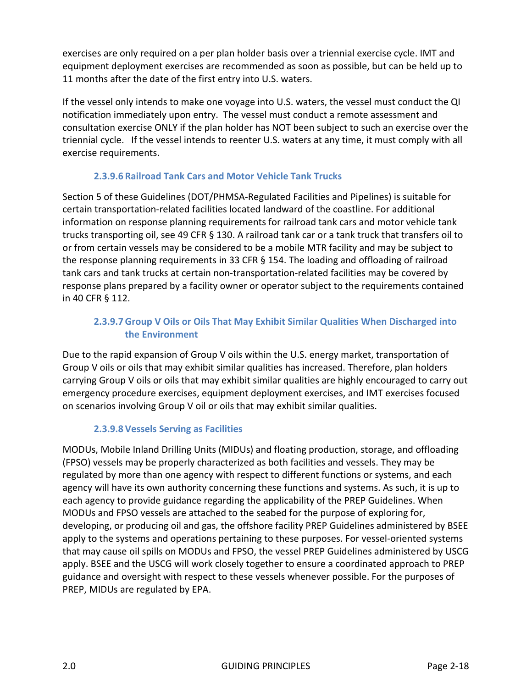exercises are only required on a per plan holder basis over a triennial exercise cycle. IMT and equipment deployment exercises are recommended as soon as possible, but can be held up to 11 months after the date of the first entry into U.S. waters.

If the vessel only intends to make one voyage into U.S. waters, the vessel must conduct the QI notification immediately upon entry. The vessel must conduct a remote assessment and consultation exercise ONLY if the plan holder has NOT been subject to such an exercise over the triennial cycle. If the vessel intends to reenter U.S. waters at any time, it must comply with all exercise requirements.

#### **2.3.9.6 Railroad Tank Cars and Motor Vehicle Tank Trucks**

Section 5 of these Guidelines (DOT/PHMSA-Regulated Facilities and Pipelines) is suitable for certain transportation-related facilities located landward of the coastline. For additional information on response planning requirements for railroad tank cars and motor vehicle tank trucks transporting oil, see 49 CFR § 130. A railroad tank car or a tank truck that transfers oil to or from certain vessels may be considered to be a mobile MTR facility and may be subject to the response planning requirements in 33 CFR § 154. The loading and offloading of railroad tank cars and tank trucks at certain non-transportation-related facilities may be covered by response plans prepared by a facility owner or operator subject to the requirements contained in 40 CFR § 112.

#### **2.3.9.7 Group V Oils or Oils That May Exhibit Similar Qualities When Discharged into the Environment**

Due to the rapid expansion of Group V oils within the U.S. energy market, transportation of Group V oils or oils that may exhibit similar qualities has increased. Therefore, plan holders carrying Group V oils or oils that may exhibit similar qualities are highly encouraged to carry out emergency procedure exercises, equipment deployment exercises, and IMT exercises focused on scenarios involving Group V oil or oils that may exhibit similar qualities.

### **2.3.9.8 Vessels Serving as Facilities**

MODUs, Mobile Inland Drilling Units (MIDUs) and floating production, storage, and offloading (FPSO) vessels may be properly characterized as both facilities and vessels. They may be regulated by more than one agency with respect to different functions or systems, and each agency will have its own authority concerning these functions and systems. As such, it is up to each agency to provide guidance regarding the applicability of the PREP Guidelines. When MODUs and FPSO vessels are attached to the seabed for the purpose of exploring for, developing, or producing oil and gas, the offshore facility PREP Guidelines administered by BSEE apply to the systems and operations pertaining to these purposes. For vessel-oriented systems that may cause oil spills on MODUs and FPSO, the vessel PREP Guidelines administered by USCG apply. BSEE and the USCG will work closely together to ensure a coordinated approach to PREP guidance and oversight with respect to these vessels whenever possible. For the purposes of PREP, MIDUs are regulated by EPA.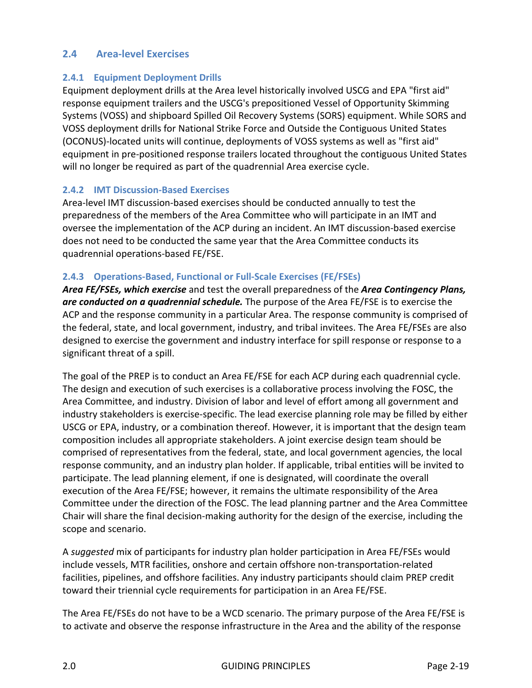#### **2.4 Area-level Exercises**

#### **2.4.1 Equipment Deployment Drills**

Equipment deployment drills at the Area level historically involved USCG and EPA "first aid" response equipment trailers and the USCG's prepositioned Vessel of Opportunity Skimming Systems (VOSS) and shipboard Spilled Oil Recovery Systems (SORS) equipment. While SORS and VOSS deployment drills for National Strike Force and Outside the Contiguous United States (OCONUS)-located units will continue, deployments of VOSS systems as well as "first aid" equipment in pre-positioned response trailers located throughout the contiguous United States will no longer be required as part of the quadrennial Area exercise cycle.

#### **2.4.2 IMT Discussion-Based Exercises**

Area-level IMT discussion-based exercises should be conducted annually to test the preparedness of the members of the Area Committee who will participate in an IMT and oversee the implementation of the ACP during an incident. An IMT discussion-based exercise does not need to be conducted the same year that the Area Committee conducts its quadrennial operations-based FE/FSE.

#### **2.4.3 Operations-Based, Functional or Full-Scale Exercises (FE/FSEs)**

*Area FE/FSEs, which exercise* and test the overall preparedness of the *Area Contingency Plans, are conducted on a quadrennial schedule.* The purpose of the Area FE/FSE is to exercise the ACP and the response community in a particular Area. The response community is comprised of the federal, state, and local government, industry, and tribal invitees. The Area FE/FSEs are also designed to exercise the government and industry interface for spill response or response to a significant threat of a spill.

The goal of the PREP is to conduct an Area FE/FSE for each ACP during each quadrennial cycle. The design and execution of such exercises is a collaborative process involving the FOSC, the Area Committee, and industry. Division of labor and level of effort among all government and industry stakeholders is exercise-specific. The lead exercise planning role may be filled by either USCG or EPA, industry, or a combination thereof. However, it is important that the design team composition includes all appropriate stakeholders. A joint exercise design team should be comprised of representatives from the federal, state, and local government agencies, the local response community, and an industry plan holder. If applicable, tribal entities will be invited to participate. The lead planning element, if one is designated, will coordinate the overall execution of the Area FE/FSE; however, it remains the ultimate responsibility of the Area Committee under the direction of the FOSC. The lead planning partner and the Area Committee Chair will share the final decision-making authority for the design of the exercise, including the scope and scenario.

A *suggested* mix of participants for industry plan holder participation in Area FE/FSEs would include vessels, MTR facilities, onshore and certain offshore non-transportation-related facilities, pipelines, and offshore facilities. Any industry participants should claim PREP credit toward their triennial cycle requirements for participation in an Area FE/FSE.

The Area FE/FSEs do not have to be a WCD scenario. The primary purpose of the Area FE/FSE is to activate and observe the response infrastructure in the Area and the ability of the response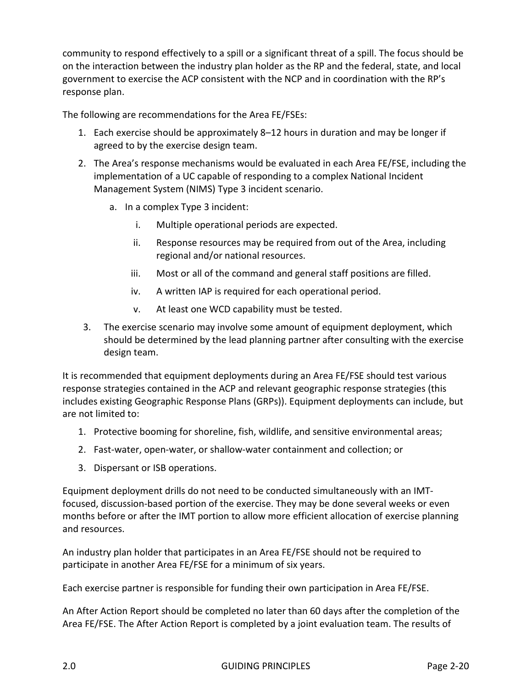community to respond effectively to a spill or a significant threat of a spill. The focus should be on the interaction between the industry plan holder as the RP and the federal, state, and local government to exercise the ACP consistent with the NCP and in coordination with the RP's response plan.

The following are recommendations for the Area FE/FSEs:

- 1. Each exercise should be approximately 8–12 hours in duration and may be longer if agreed to by the exercise design team.
- 2. The Area's response mechanisms would be evaluated in each Area FE/FSE, including the implementation of a UC capable of responding to a complex National Incident Management System (NIMS) Type 3 incident scenario.
	- a. In a complex Type 3 incident:
		- i. Multiple operational periods are expected.
		- ii. Response resources may be required from out of the Area, including regional and/or national resources.
		- iii. Most or all of the command and general staff positions are filled.
		- iv. A written IAP is required for each operational period.
		- v. At least one WCD capability must be tested.
	- 3. The exercise scenario may involve some amount of equipment deployment, which should be determined by the lead planning partner after consulting with the exercise design team.

It is recommended that equipment deployments during an Area FE/FSE should test various response strategies contained in the ACP and relevant geographic response strategies (this includes existing Geographic Response Plans (GRPs)). Equipment deployments can include, but are not limited to:

- 1. Protective booming for shoreline, fish, wildlife, and sensitive environmental areas;
- 2. Fast-water, open-water, or shallow-water containment and collection; or
- 3. Dispersant or ISB operations.

Equipment deployment drills do not need to be conducted simultaneously with an IMTfocused, discussion-based portion of the exercise. They may be done several weeks or even months before or after the IMT portion to allow more efficient allocation of exercise planning and resources.

An industry plan holder that participates in an Area FE/FSE should not be required to participate in another Area FE/FSE for a minimum of six years.

Each exercise partner is responsible for funding their own participation in Area FE/FSE.

An After Action Report should be completed no later than 60 days after the completion of the Area FE/FSE. The After Action Report is completed by a joint evaluation team. The results of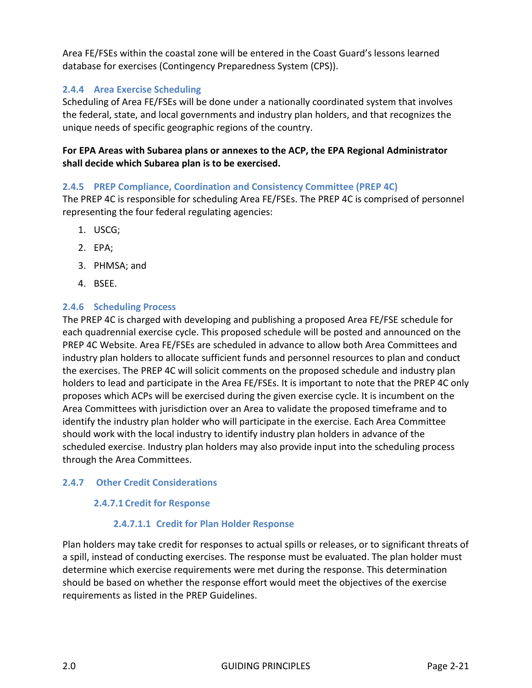Area FE/FSEs within the coastal zone will be entered in the Coast Guard's lessons learned database for exercises (Contingency Preparedness System (CPS)).

### **2.4.4 Area Exercise Scheduling**

Scheduling of Area FE/FSEs will be done under a nationally coordinated system that involves the federal, state, and local governments and industry plan holders, and that recognizes the unique needs of specific geographic regions of the country.

#### **For EPA Areas with Subarea plans or annexes to the ACP, the EPA Regional Administrator shall decide which Subarea plan is to be exercised.**

#### **2.4.5 PREP Compliance, Coordination and Consistency Committee (PREP 4C)**

The PREP 4C is responsible for scheduling Area FE/FSEs. The PREP 4C is comprised of personnel representing the four federal regulating agencies:

- 1. USCG;
- 2. EPA;
- 3. PHMSA; and
- 4. BSEE.

#### **2.4.6 Scheduling Process**

The PREP 4C is charged with developing and publishing a proposed Area FE/FSE schedule for each quadrennial exercise cycle. This proposed schedule will be posted and announced on the PREP 4C Website. Area FE/FSEs are scheduled in advance to allow both Area Committees and industry plan holders to allocate sufficient funds and personnel resources to plan and conduct the exercises. The PREP 4C will solicit comments on the proposed schedule and industry plan holders to lead and participate in the Area FE/FSEs. It is important to note that the PREP 4C only proposes which ACPs will be exercised during the given exercise cycle. It is incumbent on the Area Committees with jurisdiction over an Area to validate the proposed timeframe and to identify the industry plan holder who will participate in the exercise. Each Area Committee should work with the local industry to identify industry plan holders in advance of the scheduled exercise. Industry plan holders may also provide input into the scheduling process through the Area Committees.

#### **2.4.7 Other Credit Considerations**

#### **2.4.7.1 Credit for Response**

### **2.4.7.1.1 Credit for Plan Holder Response**

Plan holders may take credit for responses to actual spills or releases, or to significant threats of a spill, instead of conducting exercises. The response must be evaluated. The plan holder must determine which exercise requirements were met during the response. This determination should be based on whether the response effort would meet the objectives of the exercise requirements as listed in the PREP Guidelines.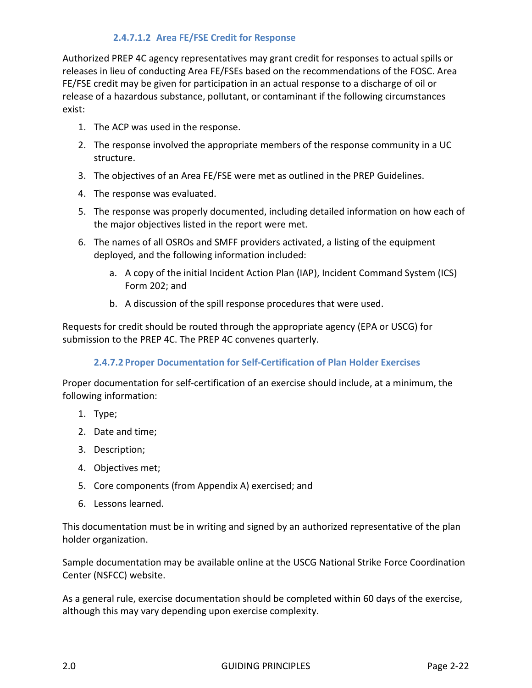#### **2.4.7.1.2 Area FE/FSE Credit for Response**

Authorized PREP 4C agency representatives may grant credit for responses to actual spills or releases in lieu of conducting Area FE/FSEs based on the recommendations of the FOSC. Area FE/FSE credit may be given for participation in an actual response to a discharge of oil or release of a hazardous substance, pollutant, or contaminant if the following circumstances exist:

- 1. The ACP was used in the response.
- 2. The response involved the appropriate members of the response community in a UC structure.
- 3. The objectives of an Area FE/FSE were met as outlined in the PREP Guidelines.
- 4. The response was evaluated.
- 5. The response was properly documented, including detailed information on how each of the major objectives listed in the report were met.
- 6. The names of all OSROs and SMFF providers activated, a listing of the equipment deployed, and the following information included:
	- a. A copy of the initial Incident Action Plan (IAP), Incident Command System (ICS) Form 202; and
	- b. A discussion of the spill response procedures that were used.

Requests for credit should be routed through the appropriate agency (EPA or USCG) for submission to the PREP 4C. The PREP 4C convenes quarterly.

#### **2.4.7.2 Proper Documentation for Self-Certification of Plan Holder Exercises**

Proper documentation for self-certification of an exercise should include, at a minimum, the following information:

- 1. Type;
- 2. Date and time;
- 3. Description;
- 4. Objectives met;
- 5. Core components (from Appendix A) exercised; and
- 6. Lessons learned.

This documentation must be in writing and signed by an authorized representative of the plan holder organization.

Sample documentation may be available online at the USCG National Strike Force Coordination Center (NSFCC) website.

As a general rule, exercise documentation should be completed within 60 days of the exercise, although this may vary depending upon exercise complexity.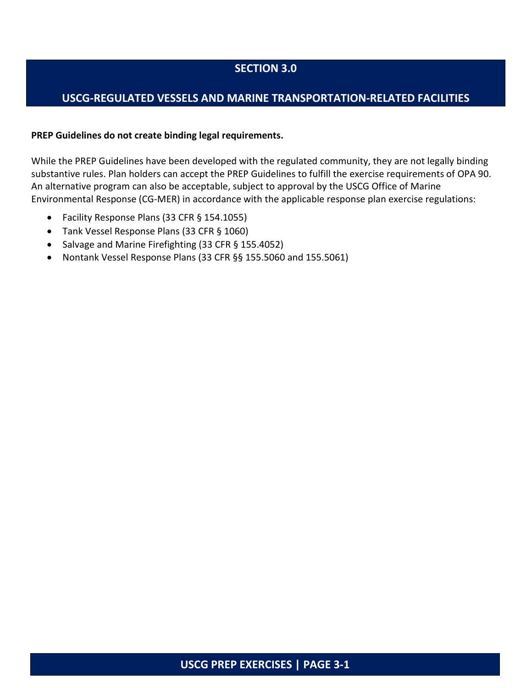# **SECTION 3.0**

## **USCG-REGULATED VESSELS AND MARINE TRANSPORTATION-RELATED FACILITIES**

#### **PREP Guidelines do not create binding legal requirements.**

While the PREP Guidelines have been developed with the regulated community, they are not legally binding substantive rules. Plan holders can accept the PREP Guidelines to fulfill the exercise requirements of OPA 90. An alternative program can also be acceptable, subject to approval by the USCG Office of Marine Environmental Response (CG-MER) in accordance with the applicable response plan exercise regulations:

- Facility Response Plans (33 CFR § 154.1055)
- Tank Vessel Response Plans (33 CFR § 1060)
- Salvage and Marine Firefighting (33 CFR § 155.4052)
- Nontank Vessel Response Plans (33 CFR §§ 155.5060 and 155.5061)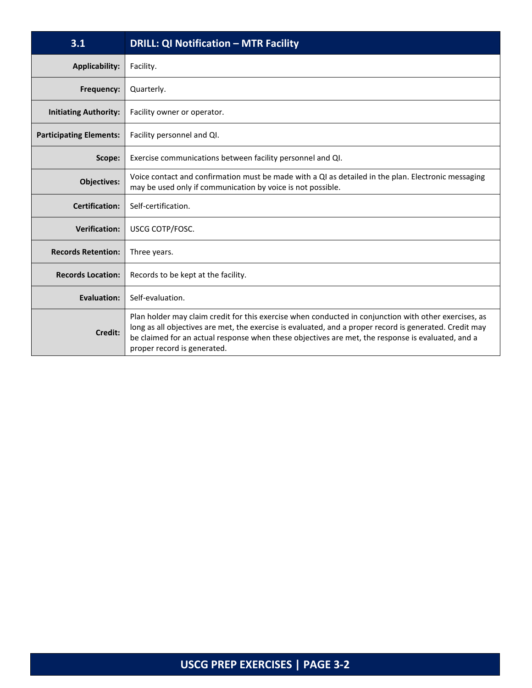| 3.1                            | <b>DRILL: QI Notification - MTR Facility</b>                                                                                                                                                                                                                                                                                                         |
|--------------------------------|------------------------------------------------------------------------------------------------------------------------------------------------------------------------------------------------------------------------------------------------------------------------------------------------------------------------------------------------------|
| <b>Applicability:</b>          | Facility.                                                                                                                                                                                                                                                                                                                                            |
| Frequency:                     | Quarterly.                                                                                                                                                                                                                                                                                                                                           |
| <b>Initiating Authority:</b>   | Facility owner or operator.                                                                                                                                                                                                                                                                                                                          |
| <b>Participating Elements:</b> | Facility personnel and QI.                                                                                                                                                                                                                                                                                                                           |
| Scope:                         | Exercise communications between facility personnel and QI.                                                                                                                                                                                                                                                                                           |
| <b>Objectives:</b>             | Voice contact and confirmation must be made with a QI as detailed in the plan. Electronic messaging<br>may be used only if communication by voice is not possible.                                                                                                                                                                                   |
| <b>Certification:</b>          | Self-certification.                                                                                                                                                                                                                                                                                                                                  |
| <b>Verification:</b>           | USCG COTP/FOSC.                                                                                                                                                                                                                                                                                                                                      |
| <b>Records Retention:</b>      | Three years.                                                                                                                                                                                                                                                                                                                                         |
| <b>Records Location:</b>       | Records to be kept at the facility.                                                                                                                                                                                                                                                                                                                  |
| Evaluation:                    | Self-evaluation.                                                                                                                                                                                                                                                                                                                                     |
| Credit:                        | Plan holder may claim credit for this exercise when conducted in conjunction with other exercises, as<br>long as all objectives are met, the exercise is evaluated, and a proper record is generated. Credit may<br>be claimed for an actual response when these objectives are met, the response is evaluated, and a<br>proper record is generated. |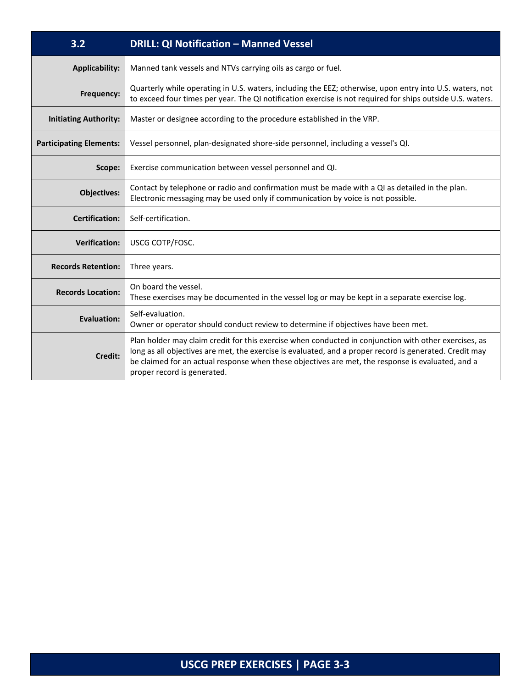| 3.2                            | <b>DRILL: QI Notification - Manned Vessel</b>                                                                                                                                                                                                                                                                                                        |
|--------------------------------|------------------------------------------------------------------------------------------------------------------------------------------------------------------------------------------------------------------------------------------------------------------------------------------------------------------------------------------------------|
| <b>Applicability:</b>          | Manned tank vessels and NTVs carrying oils as cargo or fuel.                                                                                                                                                                                                                                                                                         |
| Frequency:                     | Quarterly while operating in U.S. waters, including the EEZ; otherwise, upon entry into U.S. waters, not<br>to exceed four times per year. The QI notification exercise is not required for ships outside U.S. waters.                                                                                                                               |
| <b>Initiating Authority:</b>   | Master or designee according to the procedure established in the VRP.                                                                                                                                                                                                                                                                                |
| <b>Participating Elements:</b> | Vessel personnel, plan-designated shore-side personnel, including a vessel's QI.                                                                                                                                                                                                                                                                     |
| Scope:                         | Exercise communication between vessel personnel and QI.                                                                                                                                                                                                                                                                                              |
| <b>Objectives:</b>             | Contact by telephone or radio and confirmation must be made with a QI as detailed in the plan.<br>Electronic messaging may be used only if communication by voice is not possible.                                                                                                                                                                   |
| <b>Certification:</b>          | Self-certification.                                                                                                                                                                                                                                                                                                                                  |
| <b>Verification:</b>           | USCG COTP/FOSC.                                                                                                                                                                                                                                                                                                                                      |
| <b>Records Retention:</b>      | Three years.                                                                                                                                                                                                                                                                                                                                         |
| <b>Records Location:</b>       | On board the vessel.<br>These exercises may be documented in the vessel log or may be kept in a separate exercise log.                                                                                                                                                                                                                               |
| <b>Evaluation:</b>             | Self-evaluation.<br>Owner or operator should conduct review to determine if objectives have been met.                                                                                                                                                                                                                                                |
| Credit:                        | Plan holder may claim credit for this exercise when conducted in conjunction with other exercises, as<br>long as all objectives are met, the exercise is evaluated, and a proper record is generated. Credit may<br>be claimed for an actual response when these objectives are met, the response is evaluated, and a<br>proper record is generated. |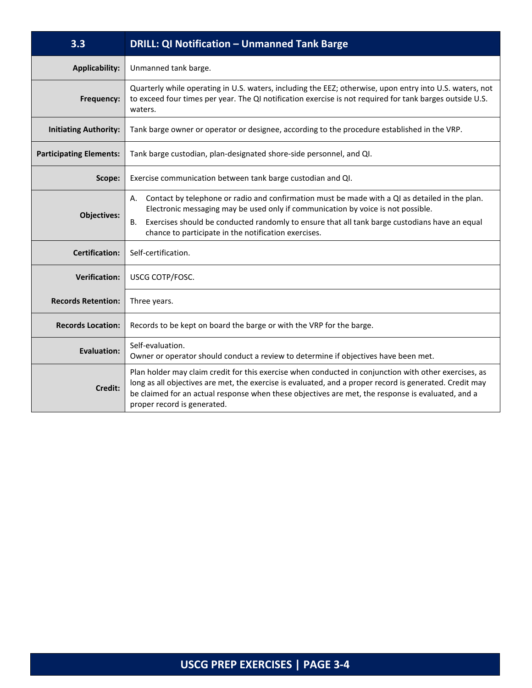| 3.3                            | <b>DRILL: QI Notification - Unmanned Tank Barge</b>                                                                                                                                                                                                                                                                                                     |
|--------------------------------|---------------------------------------------------------------------------------------------------------------------------------------------------------------------------------------------------------------------------------------------------------------------------------------------------------------------------------------------------------|
| <b>Applicability:</b>          | Unmanned tank barge.                                                                                                                                                                                                                                                                                                                                    |
| Frequency:                     | Quarterly while operating in U.S. waters, including the EEZ; otherwise, upon entry into U.S. waters, not<br>to exceed four times per year. The QI notification exercise is not required for tank barges outside U.S.<br>waters.                                                                                                                         |
| <b>Initiating Authority:</b>   | Tank barge owner or operator or designee, according to the procedure established in the VRP.                                                                                                                                                                                                                                                            |
| <b>Participating Elements:</b> | Tank barge custodian, plan-designated shore-side personnel, and QI.                                                                                                                                                                                                                                                                                     |
| Scope:                         | Exercise communication between tank barge custodian and QI.                                                                                                                                                                                                                                                                                             |
| <b>Objectives:</b>             | Contact by telephone or radio and confirmation must be made with a QI as detailed in the plan.<br>А.<br>Electronic messaging may be used only if communication by voice is not possible.<br>Exercises should be conducted randomly to ensure that all tank barge custodians have an equal<br>В.<br>chance to participate in the notification exercises. |
| <b>Certification:</b>          | Self-certification.                                                                                                                                                                                                                                                                                                                                     |
| <b>Verification:</b>           | USCG COTP/FOSC.                                                                                                                                                                                                                                                                                                                                         |
| <b>Records Retention:</b>      | Three years.                                                                                                                                                                                                                                                                                                                                            |
| <b>Records Location:</b>       | Records to be kept on board the barge or with the VRP for the barge.                                                                                                                                                                                                                                                                                    |
| <b>Evaluation:</b>             | Self-evaluation.<br>Owner or operator should conduct a review to determine if objectives have been met.                                                                                                                                                                                                                                                 |
| Credit:                        | Plan holder may claim credit for this exercise when conducted in conjunction with other exercises, as<br>long as all objectives are met, the exercise is evaluated, and a proper record is generated. Credit may<br>be claimed for an actual response when these objectives are met, the response is evaluated, and a<br>proper record is generated.    |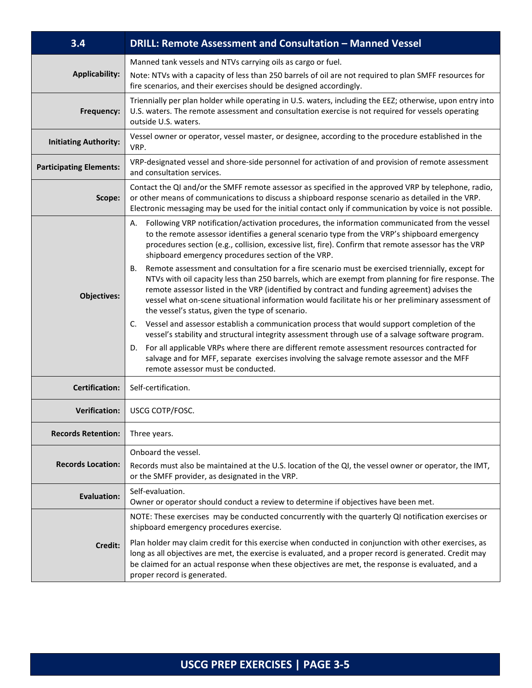| 3.4                            | <b>DRILL: Remote Assessment and Consultation - Manned Vessel</b>                                                                                                                                                                                                                                                                                                                                                                                                        |  |
|--------------------------------|-------------------------------------------------------------------------------------------------------------------------------------------------------------------------------------------------------------------------------------------------------------------------------------------------------------------------------------------------------------------------------------------------------------------------------------------------------------------------|--|
| <b>Applicability:</b>          | Manned tank vessels and NTVs carrying oils as cargo or fuel.<br>Note: NTVs with a capacity of less than 250 barrels of oil are not required to plan SMFF resources for<br>fire scenarios, and their exercises should be designed accordingly.                                                                                                                                                                                                                           |  |
| Frequency:                     | Triennially per plan holder while operating in U.S. waters, including the EEZ; otherwise, upon entry into<br>U.S. waters. The remote assessment and consultation exercise is not required for vessels operating<br>outside U.S. waters.                                                                                                                                                                                                                                 |  |
| <b>Initiating Authority:</b>   | Vessel owner or operator, vessel master, or designee, according to the procedure established in the<br>VRP.                                                                                                                                                                                                                                                                                                                                                             |  |
| <b>Participating Elements:</b> | VRP-designated vessel and shore-side personnel for activation of and provision of remote assessment<br>and consultation services.                                                                                                                                                                                                                                                                                                                                       |  |
| Scope:                         | Contact the QI and/or the SMFF remote assessor as specified in the approved VRP by telephone, radio,<br>or other means of communications to discuss a shipboard response scenario as detailed in the VRP.<br>Electronic messaging may be used for the initial contact only if communication by voice is not possible.                                                                                                                                                   |  |
| <b>Objectives:</b>             | Following VRP notification/activation procedures, the information communicated from the vessel<br>А.<br>to the remote assessor identifies a general scenario type from the VRP's shipboard emergency<br>procedures section (e.g., collision, excessive list, fire). Confirm that remote assessor has the VRP<br>shipboard emergency procedures section of the VRP.                                                                                                      |  |
|                                | Remote assessment and consultation for a fire scenario must be exercised triennially, except for<br>В.<br>NTVs with oil capacity less than 250 barrels, which are exempt from planning for fire response. The<br>remote assessor listed in the VRP (identified by contract and funding agreement) advises the<br>vessel what on-scene situational information would facilitate his or her preliminary assessment of<br>the vessel's status, given the type of scenario. |  |
|                                | C. Vessel and assessor establish a communication process that would support completion of the<br>vessel's stability and structural integrity assessment through use of a salvage software program.<br>For all applicable VRPs where there are different remote assessment resources contracted for<br>D.<br>salvage and for MFF, separate exercises involving the salvage remote assessor and the MFF<br>remote assessor must be conducted.                             |  |
| <b>Certification:</b>          | Self-certification.                                                                                                                                                                                                                                                                                                                                                                                                                                                     |  |
| <b>Verification:</b>           | USCG COTP/FOSC.                                                                                                                                                                                                                                                                                                                                                                                                                                                         |  |
| <b>Records Retention:</b>      | Three years.                                                                                                                                                                                                                                                                                                                                                                                                                                                            |  |
| <b>Records Location:</b>       | Onboard the vessel.<br>Records must also be maintained at the U.S. location of the QI, the vessel owner or operator, the IMT,<br>or the SMFF provider, as designated in the VRP.                                                                                                                                                                                                                                                                                        |  |
| <b>Evaluation:</b>             | Self-evaluation.<br>Owner or operator should conduct a review to determine if objectives have been met.                                                                                                                                                                                                                                                                                                                                                                 |  |
| Credit:                        | NOTE: These exercises may be conducted concurrently with the quarterly QI notification exercises or<br>shipboard emergency procedures exercise.                                                                                                                                                                                                                                                                                                                         |  |
|                                | Plan holder may claim credit for this exercise when conducted in conjunction with other exercises, as<br>long as all objectives are met, the exercise is evaluated, and a proper record is generated. Credit may<br>be claimed for an actual response when these objectives are met, the response is evaluated, and a<br>proper record is generated.                                                                                                                    |  |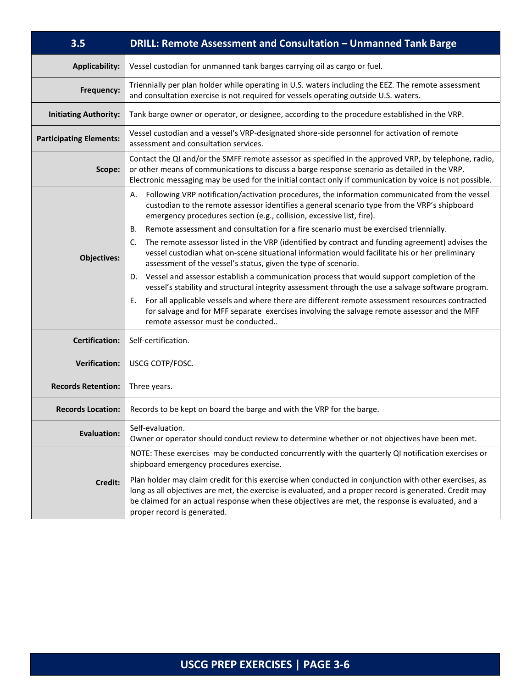| 3.5                            | <b>DRILL: Remote Assessment and Consultation - Unmanned Tank Barge</b>                                                                                                                                                                                                                                                                                                                                                                               |  |  |
|--------------------------------|------------------------------------------------------------------------------------------------------------------------------------------------------------------------------------------------------------------------------------------------------------------------------------------------------------------------------------------------------------------------------------------------------------------------------------------------------|--|--|
| <b>Applicability:</b>          | Vessel custodian for unmanned tank barges carrying oil as cargo or fuel.                                                                                                                                                                                                                                                                                                                                                                             |  |  |
| Frequency:                     | Triennially per plan holder while operating in U.S. waters including the EEZ. The remote assessment<br>and consultation exercise is not required for vessels operating outside U.S. waters.                                                                                                                                                                                                                                                          |  |  |
| <b>Initiating Authority:</b>   | Tank barge owner or operator, or designee, according to the procedure established in the VRP.                                                                                                                                                                                                                                                                                                                                                        |  |  |
| <b>Participating Elements:</b> | Vessel custodian and a vessel's VRP-designated shore-side personnel for activation of remote<br>assessment and consultation services.                                                                                                                                                                                                                                                                                                                |  |  |
| Scope:                         | Contact the QI and/or the SMFF remote assessor as specified in the approved VRP, by telephone, radio,<br>or other means of communications to discuss a barge response scenario as detailed in the VRP.<br>Electronic messaging may be used for the initial contact only if communication by voice is not possible.                                                                                                                                   |  |  |
| <b>Objectives:</b>             | Following VRP notification/activation procedures, the information communicated from the vessel<br>А.<br>custodian to the remote assessor identifies a general scenario type from the VRP's shipboard<br>emergency procedures section (e.g., collision, excessive list, fire).                                                                                                                                                                        |  |  |
|                                | Remote assessment and consultation for a fire scenario must be exercised triennially.<br>В.<br>The remote assessor listed in the VRP (identified by contract and funding agreement) advises the<br>C.<br>vessel custodian what on-scene situational information would facilitate his or her preliminary<br>assessment of the vessel's status, given the type of scenario.                                                                            |  |  |
|                                | Vessel and assessor establish a communication process that would support completion of the<br>D.<br>vessel's stability and structural integrity assessment through the use a salvage software program.<br>For all applicable vessels and where there are different remote assessment resources contracted<br>Ε.<br>for salvage and for MFF separate exercises involving the salvage remote assessor and the MFF<br>remote assessor must be conducted |  |  |
| <b>Certification:</b>          | Self-certification.                                                                                                                                                                                                                                                                                                                                                                                                                                  |  |  |
| <b>Verification:</b>           | USCG COTP/FOSC.                                                                                                                                                                                                                                                                                                                                                                                                                                      |  |  |
| <b>Records Retention:</b>      | Three years.                                                                                                                                                                                                                                                                                                                                                                                                                                         |  |  |
| <b>Records Location:</b>       | Records to be kept on board the barge and with the VRP for the barge.                                                                                                                                                                                                                                                                                                                                                                                |  |  |
| <b>Evaluation:</b>             | Self-evaluation.<br>Owner or operator should conduct review to determine whether or not objectives have been met.                                                                                                                                                                                                                                                                                                                                    |  |  |
| Credit:                        | NOTE: These exercises may be conducted concurrently with the quarterly QI notification exercises or<br>shipboard emergency procedures exercise.                                                                                                                                                                                                                                                                                                      |  |  |
|                                | Plan holder may claim credit for this exercise when conducted in conjunction with other exercises, as<br>long as all objectives are met, the exercise is evaluated, and a proper record is generated. Credit may<br>be claimed for an actual response when these objectives are met, the response is evaluated, and a<br>proper record is generated.                                                                                                 |  |  |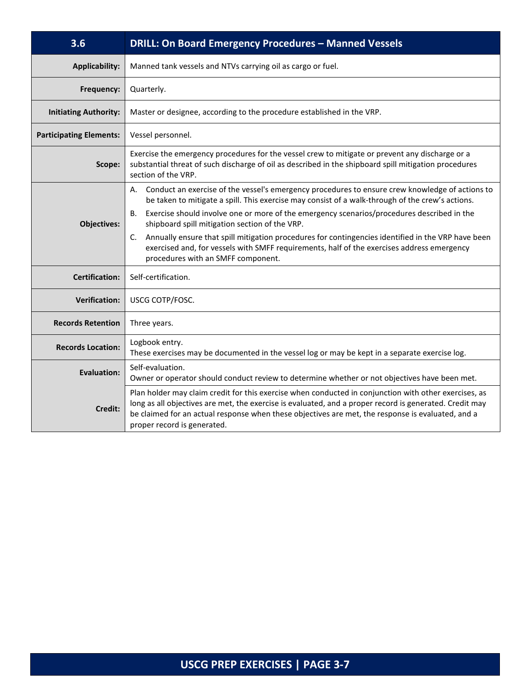| 3.6                            | <b>DRILL: On Board Emergency Procedures - Manned Vessels</b>                                                                                                                                                                                                                                                                                                                                                                                                                                                                                                                                                    |  |
|--------------------------------|-----------------------------------------------------------------------------------------------------------------------------------------------------------------------------------------------------------------------------------------------------------------------------------------------------------------------------------------------------------------------------------------------------------------------------------------------------------------------------------------------------------------------------------------------------------------------------------------------------------------|--|
| <b>Applicability:</b>          | Manned tank vessels and NTVs carrying oil as cargo or fuel.                                                                                                                                                                                                                                                                                                                                                                                                                                                                                                                                                     |  |
| Frequency:                     | Quarterly.                                                                                                                                                                                                                                                                                                                                                                                                                                                                                                                                                                                                      |  |
| <b>Initiating Authority:</b>   | Master or designee, according to the procedure established in the VRP.                                                                                                                                                                                                                                                                                                                                                                                                                                                                                                                                          |  |
| <b>Participating Elements:</b> | Vessel personnel.                                                                                                                                                                                                                                                                                                                                                                                                                                                                                                                                                                                               |  |
| Scope:                         | Exercise the emergency procedures for the vessel crew to mitigate or prevent any discharge or a<br>substantial threat of such discharge of oil as described in the shipboard spill mitigation procedures<br>section of the VRP.                                                                                                                                                                                                                                                                                                                                                                                 |  |
| <b>Objectives:</b>             | Conduct an exercise of the vessel's emergency procedures to ensure crew knowledge of actions to<br>А.<br>be taken to mitigate a spill. This exercise may consist of a walk-through of the crew's actions.<br>Exercise should involve one or more of the emergency scenarios/procedures described in the<br>В.<br>shipboard spill mitigation section of the VRP.<br>Annually ensure that spill mitigation procedures for contingencies identified in the VRP have been<br>C.<br>exercised and, for vessels with SMFF requirements, half of the exercises address emergency<br>procedures with an SMFF component. |  |
| <b>Certification:</b>          | Self-certification.                                                                                                                                                                                                                                                                                                                                                                                                                                                                                                                                                                                             |  |
| <b>Verification:</b>           | USCG COTP/FOSC.                                                                                                                                                                                                                                                                                                                                                                                                                                                                                                                                                                                                 |  |
| <b>Records Retention</b>       | Three years.                                                                                                                                                                                                                                                                                                                                                                                                                                                                                                                                                                                                    |  |
| <b>Records Location:</b>       | Logbook entry.<br>These exercises may be documented in the vessel log or may be kept in a separate exercise log.                                                                                                                                                                                                                                                                                                                                                                                                                                                                                                |  |
| <b>Evaluation:</b>             | Self-evaluation.<br>Owner or operator should conduct review to determine whether or not objectives have been met.                                                                                                                                                                                                                                                                                                                                                                                                                                                                                               |  |
| Credit:                        | Plan holder may claim credit for this exercise when conducted in conjunction with other exercises, as<br>long as all objectives are met, the exercise is evaluated, and a proper record is generated. Credit may<br>be claimed for an actual response when these objectives are met, the response is evaluated, and a<br>proper record is generated.                                                                                                                                                                                                                                                            |  |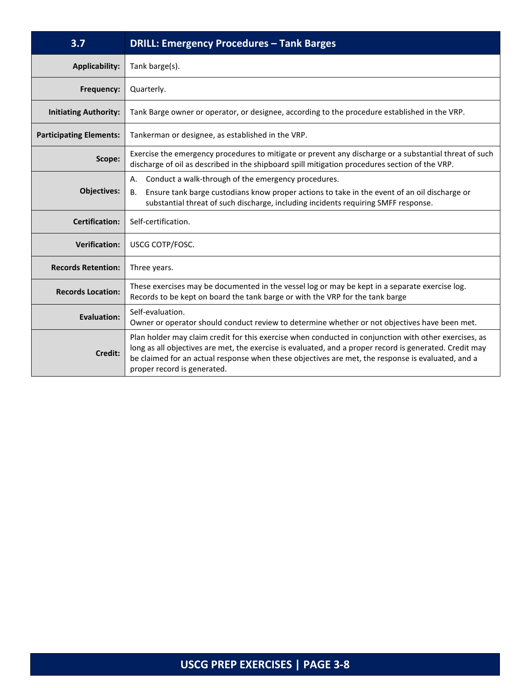| 3.7                            | <b>DRILL: Emergency Procedures - Tank Barges</b>                                                                                                                                                                                                                                                                                                     |
|--------------------------------|------------------------------------------------------------------------------------------------------------------------------------------------------------------------------------------------------------------------------------------------------------------------------------------------------------------------------------------------------|
| <b>Applicability:</b>          | Tank barge(s).                                                                                                                                                                                                                                                                                                                                       |
| Frequency:                     | Quarterly.                                                                                                                                                                                                                                                                                                                                           |
| <b>Initiating Authority:</b>   | Tank Barge owner or operator, or designee, according to the procedure established in the VRP.                                                                                                                                                                                                                                                        |
| <b>Participating Elements:</b> | Tankerman or designee, as established in the VRP.                                                                                                                                                                                                                                                                                                    |
| Scope:                         | Exercise the emergency procedures to mitigate or prevent any discharge or a substantial threat of such<br>discharge of oil as described in the shipboard spill mitigation procedures section of the VRP.                                                                                                                                             |
|                                | Conduct a walk-through of the emergency procedures.<br>А.                                                                                                                                                                                                                                                                                            |
| <b>Objectives:</b>             | Ensure tank barge custodians know proper actions to take in the event of an oil discharge or<br>В.<br>substantial threat of such discharge, including incidents requiring SMFF response.                                                                                                                                                             |
| <b>Certification:</b>          | Self-certification.                                                                                                                                                                                                                                                                                                                                  |
| <b>Verification:</b>           | USCG COTP/FOSC.                                                                                                                                                                                                                                                                                                                                      |
| <b>Records Retention:</b>      | Three years.                                                                                                                                                                                                                                                                                                                                         |
| <b>Records Location:</b>       | These exercises may be documented in the vessel log or may be kept in a separate exercise log.<br>Records to be kept on board the tank barge or with the VRP for the tank barge                                                                                                                                                                      |
| <b>Evaluation:</b>             | Self-evaluation.<br>Owner or operator should conduct review to determine whether or not objectives have been met.                                                                                                                                                                                                                                    |
| Credit:                        | Plan holder may claim credit for this exercise when conducted in conjunction with other exercises, as<br>long as all objectives are met, the exercise is evaluated, and a proper record is generated. Credit may<br>be claimed for an actual response when these objectives are met, the response is evaluated, and a<br>proper record is generated. |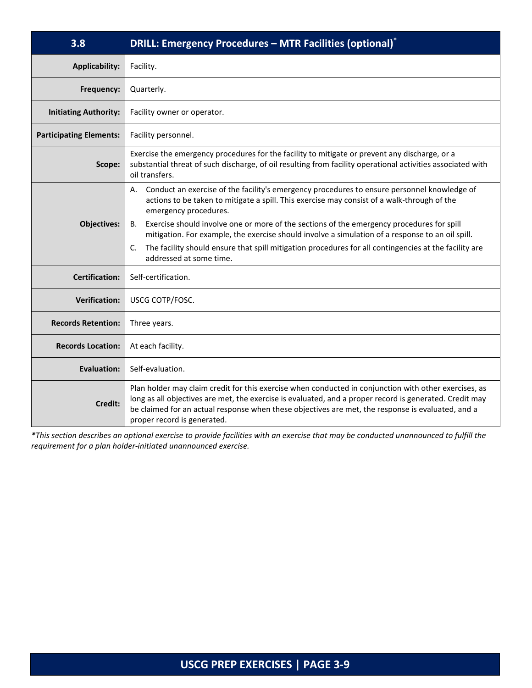| 3.8                            | DRILL: Emergency Procedures - MTR Facilities (optional)*                                                                                                                                                                                                                                                                                                                                                                                                                                                                                                                |  |
|--------------------------------|-------------------------------------------------------------------------------------------------------------------------------------------------------------------------------------------------------------------------------------------------------------------------------------------------------------------------------------------------------------------------------------------------------------------------------------------------------------------------------------------------------------------------------------------------------------------------|--|
| <b>Applicability:</b>          | Facility.                                                                                                                                                                                                                                                                                                                                                                                                                                                                                                                                                               |  |
| Frequency:                     | Quarterly.                                                                                                                                                                                                                                                                                                                                                                                                                                                                                                                                                              |  |
| <b>Initiating Authority:</b>   | Facility owner or operator.                                                                                                                                                                                                                                                                                                                                                                                                                                                                                                                                             |  |
| <b>Participating Elements:</b> | Facility personnel.                                                                                                                                                                                                                                                                                                                                                                                                                                                                                                                                                     |  |
| Scope:                         | Exercise the emergency procedures for the facility to mitigate or prevent any discharge, or a<br>substantial threat of such discharge, of oil resulting from facility operational activities associated with<br>oil transfers.                                                                                                                                                                                                                                                                                                                                          |  |
| <b>Objectives:</b>             | A. Conduct an exercise of the facility's emergency procedures to ensure personnel knowledge of<br>actions to be taken to mitigate a spill. This exercise may consist of a walk-through of the<br>emergency procedures.<br>Exercise should involve one or more of the sections of the emergency procedures for spill<br>В.<br>mitigation. For example, the exercise should involve a simulation of a response to an oil spill.<br>The facility should ensure that spill mitigation procedures for all contingencies at the facility are<br>C.<br>addressed at some time. |  |
| <b>Certification:</b>          | Self-certification.                                                                                                                                                                                                                                                                                                                                                                                                                                                                                                                                                     |  |
| <b>Verification:</b>           | USCG COTP/FOSC.                                                                                                                                                                                                                                                                                                                                                                                                                                                                                                                                                         |  |
| <b>Records Retention:</b>      | Three years.                                                                                                                                                                                                                                                                                                                                                                                                                                                                                                                                                            |  |
| <b>Records Location:</b>       | At each facility.                                                                                                                                                                                                                                                                                                                                                                                                                                                                                                                                                       |  |
| Evaluation:                    | Self-evaluation.                                                                                                                                                                                                                                                                                                                                                                                                                                                                                                                                                        |  |
| Credit:                        | Plan holder may claim credit for this exercise when conducted in conjunction with other exercises, as<br>long as all objectives are met, the exercise is evaluated, and a proper record is generated. Credit may<br>be claimed for an actual response when these objectives are met, the response is evaluated, and a<br>proper record is generated.                                                                                                                                                                                                                    |  |

*\*This section describes an optional exercise to provide facilities with an exercise that may be conducted unannounced to fulfill the requirement for a plan holder-initiated unannounced exercise.*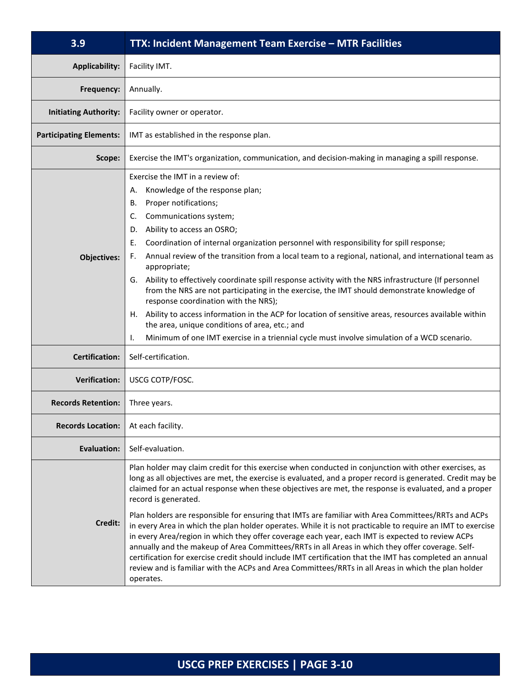| 3.9                            | TTX: Incident Management Team Exercise - MTR Facilities                                                                                                                                                                                                                                                                                                                                                                                                                                                                                                                                                                                                                                                                                                                                                                                                                                                                                                                                                          |  |
|--------------------------------|------------------------------------------------------------------------------------------------------------------------------------------------------------------------------------------------------------------------------------------------------------------------------------------------------------------------------------------------------------------------------------------------------------------------------------------------------------------------------------------------------------------------------------------------------------------------------------------------------------------------------------------------------------------------------------------------------------------------------------------------------------------------------------------------------------------------------------------------------------------------------------------------------------------------------------------------------------------------------------------------------------------|--|
| <b>Applicability:</b>          | Facility IMT.                                                                                                                                                                                                                                                                                                                                                                                                                                                                                                                                                                                                                                                                                                                                                                                                                                                                                                                                                                                                    |  |
| Frequency:                     | Annually.                                                                                                                                                                                                                                                                                                                                                                                                                                                                                                                                                                                                                                                                                                                                                                                                                                                                                                                                                                                                        |  |
| <b>Initiating Authority:</b>   | Facility owner or operator.                                                                                                                                                                                                                                                                                                                                                                                                                                                                                                                                                                                                                                                                                                                                                                                                                                                                                                                                                                                      |  |
| <b>Participating Elements:</b> | IMT as established in the response plan.                                                                                                                                                                                                                                                                                                                                                                                                                                                                                                                                                                                                                                                                                                                                                                                                                                                                                                                                                                         |  |
| Scope:                         | Exercise the IMT's organization, communication, and decision-making in managing a spill response.                                                                                                                                                                                                                                                                                                                                                                                                                                                                                                                                                                                                                                                                                                                                                                                                                                                                                                                |  |
| <b>Objectives:</b>             | Exercise the IMT in a review of:<br>Knowledge of the response plan;<br>Α.<br>Proper notifications;<br>В.<br>C.<br>Communications system;<br>Ability to access an OSRO;<br>D.<br>E.<br>Coordination of internal organization personnel with responsibility for spill response;<br>Annual review of the transition from a local team to a regional, national, and international team as<br>F.<br>appropriate;<br>Ability to effectively coordinate spill response activity with the NRS infrastructure (If personnel<br>G.<br>from the NRS are not participating in the exercise, the IMT should demonstrate knowledge of<br>response coordination with the NRS);<br>H. Ability to access information in the ACP for location of sensitive areas, resources available within<br>the area, unique conditions of area, etc.; and<br>Minimum of one IMT exercise in a triennial cycle must involve simulation of a WCD scenario.<br>Τ.                                                                                |  |
| <b>Certification:</b>          | Self-certification.                                                                                                                                                                                                                                                                                                                                                                                                                                                                                                                                                                                                                                                                                                                                                                                                                                                                                                                                                                                              |  |
| <b>Verification:</b>           | USCG COTP/FOSC.                                                                                                                                                                                                                                                                                                                                                                                                                                                                                                                                                                                                                                                                                                                                                                                                                                                                                                                                                                                                  |  |
| <b>Records Retention:</b>      | Three years.                                                                                                                                                                                                                                                                                                                                                                                                                                                                                                                                                                                                                                                                                                                                                                                                                                                                                                                                                                                                     |  |
| <b>Records Location:</b>       | At each facility.                                                                                                                                                                                                                                                                                                                                                                                                                                                                                                                                                                                                                                                                                                                                                                                                                                                                                                                                                                                                |  |
| <b>Evaluation:</b>             | Self-evaluation.                                                                                                                                                                                                                                                                                                                                                                                                                                                                                                                                                                                                                                                                                                                                                                                                                                                                                                                                                                                                 |  |
| Credit:                        | Plan holder may claim credit for this exercise when conducted in conjunction with other exercises, as<br>long as all objectives are met, the exercise is evaluated, and a proper record is generated. Credit may be<br>claimed for an actual response when these objectives are met, the response is evaluated, and a proper<br>record is generated.<br>Plan holders are responsible for ensuring that IMTs are familiar with Area Committees/RRTs and ACPs<br>in every Area in which the plan holder operates. While it is not practicable to require an IMT to exercise<br>in every Area/region in which they offer coverage each year, each IMT is expected to review ACPs<br>annually and the makeup of Area Committees/RRTs in all Areas in which they offer coverage. Self-<br>certification for exercise credit should include IMT certification that the IMT has completed an annual<br>review and is familiar with the ACPs and Area Committees/RRTs in all Areas in which the plan holder<br>operates. |  |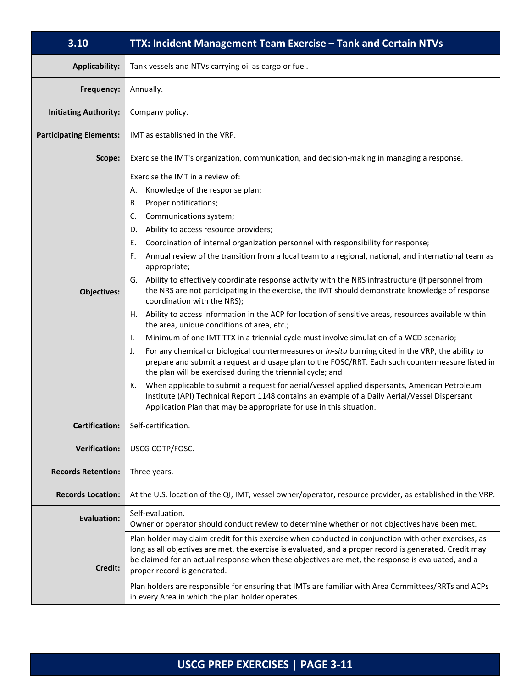| 3.10                           | TTX: Incident Management Team Exercise - Tank and Certain NTVs                                                                                                                                                                                                                                                                                                                                                                                                                                                                                                                                                                                                                                                                                                                                                                                                                                                                                                                                                                                                                                                                                                                                                                                                                                                                                                                                                                                                                         |  |
|--------------------------------|----------------------------------------------------------------------------------------------------------------------------------------------------------------------------------------------------------------------------------------------------------------------------------------------------------------------------------------------------------------------------------------------------------------------------------------------------------------------------------------------------------------------------------------------------------------------------------------------------------------------------------------------------------------------------------------------------------------------------------------------------------------------------------------------------------------------------------------------------------------------------------------------------------------------------------------------------------------------------------------------------------------------------------------------------------------------------------------------------------------------------------------------------------------------------------------------------------------------------------------------------------------------------------------------------------------------------------------------------------------------------------------------------------------------------------------------------------------------------------------|--|
| <b>Applicability:</b>          | Tank vessels and NTVs carrying oil as cargo or fuel.                                                                                                                                                                                                                                                                                                                                                                                                                                                                                                                                                                                                                                                                                                                                                                                                                                                                                                                                                                                                                                                                                                                                                                                                                                                                                                                                                                                                                                   |  |
| Frequency:                     | Annually.                                                                                                                                                                                                                                                                                                                                                                                                                                                                                                                                                                                                                                                                                                                                                                                                                                                                                                                                                                                                                                                                                                                                                                                                                                                                                                                                                                                                                                                                              |  |
| <b>Initiating Authority:</b>   | Company policy.                                                                                                                                                                                                                                                                                                                                                                                                                                                                                                                                                                                                                                                                                                                                                                                                                                                                                                                                                                                                                                                                                                                                                                                                                                                                                                                                                                                                                                                                        |  |
| <b>Participating Elements:</b> | IMT as established in the VRP.                                                                                                                                                                                                                                                                                                                                                                                                                                                                                                                                                                                                                                                                                                                                                                                                                                                                                                                                                                                                                                                                                                                                                                                                                                                                                                                                                                                                                                                         |  |
| Scope:                         | Exercise the IMT's organization, communication, and decision-making in managing a response.                                                                                                                                                                                                                                                                                                                                                                                                                                                                                                                                                                                                                                                                                                                                                                                                                                                                                                                                                                                                                                                                                                                                                                                                                                                                                                                                                                                            |  |
| <b>Objectives:</b>             | Exercise the IMT in a review of:<br>Knowledge of the response plan;<br>А.<br>Proper notifications;<br>В.<br>Communications system;<br>C.<br>Ability to access resource providers;<br>D.<br>Coordination of internal organization personnel with responsibility for response;<br>Ε.<br>Annual review of the transition from a local team to a regional, national, and international team as<br>F.<br>appropriate;<br>Ability to effectively coordinate response activity with the NRS infrastructure (If personnel from<br>G.<br>the NRS are not participating in the exercise, the IMT should demonstrate knowledge of response<br>coordination with the NRS);<br>Ability to access information in the ACP for location of sensitive areas, resources available within<br>Н.<br>the area, unique conditions of area, etc.;<br>Minimum of one IMT TTX in a triennial cycle must involve simulation of a WCD scenario;<br>Ι.<br>For any chemical or biological countermeasures or in-situ burning cited in the VRP, the ability to<br>J.<br>prepare and submit a request and usage plan to the FOSC/RRT. Each such countermeasure listed in<br>the plan will be exercised during the triennial cycle; and<br>When applicable to submit a request for aerial/vessel applied dispersants, American Petroleum<br>К.<br>Institute (API) Technical Report 1148 contains an example of a Daily Aerial/Vessel Dispersant<br>Application Plan that may be appropriate for use in this situation. |  |
| <b>Certification:</b>          | Self-certification.                                                                                                                                                                                                                                                                                                                                                                                                                                                                                                                                                                                                                                                                                                                                                                                                                                                                                                                                                                                                                                                                                                                                                                                                                                                                                                                                                                                                                                                                    |  |
| <b>Verification:</b>           | USCG COTP/FOSC.                                                                                                                                                                                                                                                                                                                                                                                                                                                                                                                                                                                                                                                                                                                                                                                                                                                                                                                                                                                                                                                                                                                                                                                                                                                                                                                                                                                                                                                                        |  |
| <b>Records Retention:</b>      | Three years.                                                                                                                                                                                                                                                                                                                                                                                                                                                                                                                                                                                                                                                                                                                                                                                                                                                                                                                                                                                                                                                                                                                                                                                                                                                                                                                                                                                                                                                                           |  |
| <b>Records Location:</b>       | At the U.S. location of the QI, IMT, vessel owner/operator, resource provider, as established in the VRP.                                                                                                                                                                                                                                                                                                                                                                                                                                                                                                                                                                                                                                                                                                                                                                                                                                                                                                                                                                                                                                                                                                                                                                                                                                                                                                                                                                              |  |
| <b>Evaluation:</b>             | Self-evaluation.<br>Owner or operator should conduct review to determine whether or not objectives have been met.                                                                                                                                                                                                                                                                                                                                                                                                                                                                                                                                                                                                                                                                                                                                                                                                                                                                                                                                                                                                                                                                                                                                                                                                                                                                                                                                                                      |  |
| Credit:                        | Plan holder may claim credit for this exercise when conducted in conjunction with other exercises, as<br>long as all objectives are met, the exercise is evaluated, and a proper record is generated. Credit may<br>be claimed for an actual response when these objectives are met, the response is evaluated, and a<br>proper record is generated.                                                                                                                                                                                                                                                                                                                                                                                                                                                                                                                                                                                                                                                                                                                                                                                                                                                                                                                                                                                                                                                                                                                                   |  |
|                                | Plan holders are responsible for ensuring that IMTs are familiar with Area Committees/RRTs and ACPs<br>in every Area in which the plan holder operates.                                                                                                                                                                                                                                                                                                                                                                                                                                                                                                                                                                                                                                                                                                                                                                                                                                                                                                                                                                                                                                                                                                                                                                                                                                                                                                                                |  |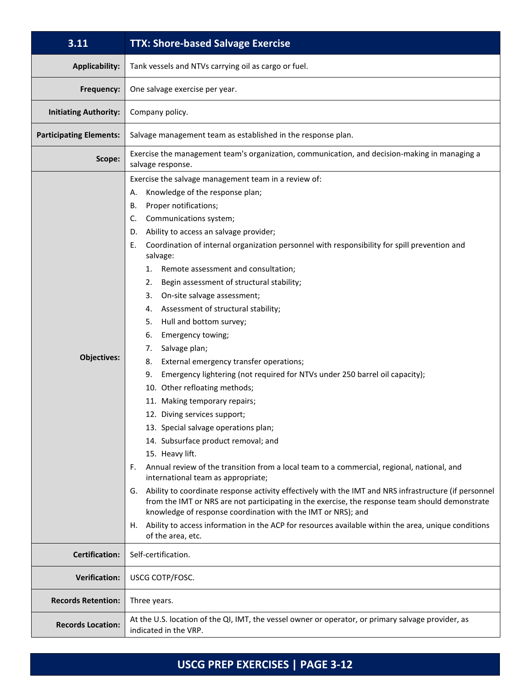| 3.11                           | <b>TTX: Shore-based Salvage Exercise</b>                                                                                                                                                                                                                                                                                                                                                                                                                                                                                                                                                                                                                                                                                                                                                                                                                                                                                                                                                                                                                                                                                                                                                                                                                                                                                                                                                                                                                                                                    |  |
|--------------------------------|-------------------------------------------------------------------------------------------------------------------------------------------------------------------------------------------------------------------------------------------------------------------------------------------------------------------------------------------------------------------------------------------------------------------------------------------------------------------------------------------------------------------------------------------------------------------------------------------------------------------------------------------------------------------------------------------------------------------------------------------------------------------------------------------------------------------------------------------------------------------------------------------------------------------------------------------------------------------------------------------------------------------------------------------------------------------------------------------------------------------------------------------------------------------------------------------------------------------------------------------------------------------------------------------------------------------------------------------------------------------------------------------------------------------------------------------------------------------------------------------------------------|--|
| <b>Applicability:</b>          | Tank vessels and NTVs carrying oil as cargo or fuel.                                                                                                                                                                                                                                                                                                                                                                                                                                                                                                                                                                                                                                                                                                                                                                                                                                                                                                                                                                                                                                                                                                                                                                                                                                                                                                                                                                                                                                                        |  |
| Frequency:                     | One salvage exercise per year.                                                                                                                                                                                                                                                                                                                                                                                                                                                                                                                                                                                                                                                                                                                                                                                                                                                                                                                                                                                                                                                                                                                                                                                                                                                                                                                                                                                                                                                                              |  |
| <b>Initiating Authority:</b>   | Company policy.                                                                                                                                                                                                                                                                                                                                                                                                                                                                                                                                                                                                                                                                                                                                                                                                                                                                                                                                                                                                                                                                                                                                                                                                                                                                                                                                                                                                                                                                                             |  |
| <b>Participating Elements:</b> | Salvage management team as established in the response plan.                                                                                                                                                                                                                                                                                                                                                                                                                                                                                                                                                                                                                                                                                                                                                                                                                                                                                                                                                                                                                                                                                                                                                                                                                                                                                                                                                                                                                                                |  |
| Scope:                         | Exercise the management team's organization, communication, and decision-making in managing a<br>salvage response.                                                                                                                                                                                                                                                                                                                                                                                                                                                                                                                                                                                                                                                                                                                                                                                                                                                                                                                                                                                                                                                                                                                                                                                                                                                                                                                                                                                          |  |
| <b>Objectives:</b>             | Exercise the salvage management team in a review of:<br>Knowledge of the response plan;<br>А.<br>Proper notifications;<br>В.<br>Communications system;<br>C.<br>Ability to access an salvage provider;<br>D.<br>Coordination of internal organization personnel with responsibility for spill prevention and<br>Е.<br>salvage:<br>Remote assessment and consultation;<br>1.<br>Begin assessment of structural stability;<br>2.<br>On-site salvage assessment;<br>3.<br>Assessment of structural stability;<br>4.<br>Hull and bottom survey;<br>5.<br>Emergency towing;<br>6.<br>Salvage plan;<br>7.<br>External emergency transfer operations;<br>8.<br>Emergency lightering (not required for NTVs under 250 barrel oil capacity);<br>9.<br>10. Other refloating methods;<br>11. Making temporary repairs;<br>12. Diving services support;<br>13. Special salvage operations plan;<br>14. Subsurface product removal; and<br>15. Heavy lift.<br>Annual review of the transition from a local team to a commercial, regional, national, and<br>F.<br>international team as appropriate;<br>Ability to coordinate response activity effectively with the IMT and NRS infrastructure (if personnel<br>G.<br>from the IMT or NRS are not participating in the exercise, the response team should demonstrate<br>knowledge of response coordination with the IMT or NRS); and<br>Ability to access information in the ACP for resources available within the area, unique conditions<br>Н.<br>of the area, etc. |  |
| <b>Certification:</b>          | Self-certification.                                                                                                                                                                                                                                                                                                                                                                                                                                                                                                                                                                                                                                                                                                                                                                                                                                                                                                                                                                                                                                                                                                                                                                                                                                                                                                                                                                                                                                                                                         |  |
| <b>Verification:</b>           | USCG COTP/FOSC.                                                                                                                                                                                                                                                                                                                                                                                                                                                                                                                                                                                                                                                                                                                                                                                                                                                                                                                                                                                                                                                                                                                                                                                                                                                                                                                                                                                                                                                                                             |  |
| <b>Records Retention:</b>      | Three years.                                                                                                                                                                                                                                                                                                                                                                                                                                                                                                                                                                                                                                                                                                                                                                                                                                                                                                                                                                                                                                                                                                                                                                                                                                                                                                                                                                                                                                                                                                |  |
| <b>Records Location:</b>       | At the U.S. location of the QI, IMT, the vessel owner or operator, or primary salvage provider, as<br>indicated in the VRP.                                                                                                                                                                                                                                                                                                                                                                                                                                                                                                                                                                                                                                                                                                                                                                                                                                                                                                                                                                                                                                                                                                                                                                                                                                                                                                                                                                                 |  |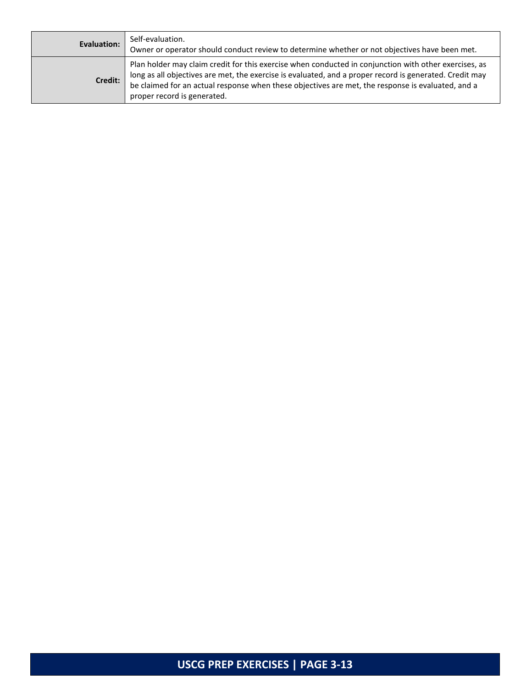| <b>Evaluation:</b> | Self-evaluation.<br>Owner or operator should conduct review to determine whether or not objectives have been met.                                                                                                                                                                                                                                    |
|--------------------|------------------------------------------------------------------------------------------------------------------------------------------------------------------------------------------------------------------------------------------------------------------------------------------------------------------------------------------------------|
| Credit:            | Plan holder may claim credit for this exercise when conducted in conjunction with other exercises, as<br>long as all objectives are met, the exercise is evaluated, and a proper record is generated. Credit may<br>be claimed for an actual response when these objectives are met, the response is evaluated, and a<br>proper record is generated. |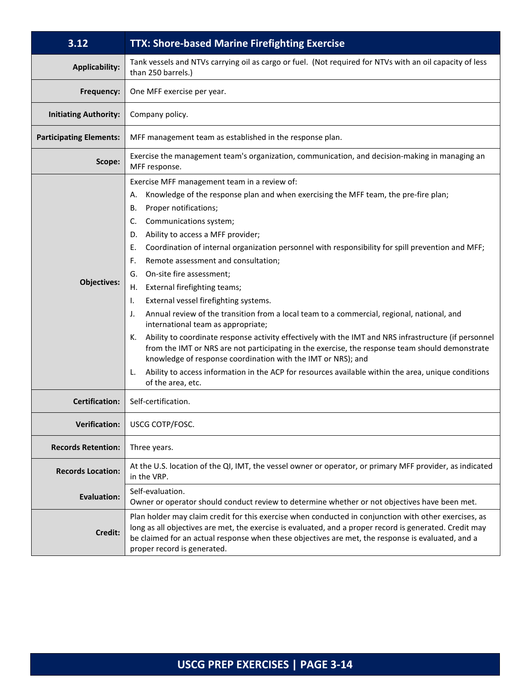| 3.12                           | TTX: Shore-based Marine Firefighting Exercise                                                                                                                                                                                                                                                                                                                                                                                                                                                                                                                                                                                                                                                                                                                                                                                                                                                                                                                                                                                                                                                    |
|--------------------------------|--------------------------------------------------------------------------------------------------------------------------------------------------------------------------------------------------------------------------------------------------------------------------------------------------------------------------------------------------------------------------------------------------------------------------------------------------------------------------------------------------------------------------------------------------------------------------------------------------------------------------------------------------------------------------------------------------------------------------------------------------------------------------------------------------------------------------------------------------------------------------------------------------------------------------------------------------------------------------------------------------------------------------------------------------------------------------------------------------|
| <b>Applicability:</b>          | Tank vessels and NTVs carrying oil as cargo or fuel. (Not required for NTVs with an oil capacity of less<br>than 250 barrels.)                                                                                                                                                                                                                                                                                                                                                                                                                                                                                                                                                                                                                                                                                                                                                                                                                                                                                                                                                                   |
| Frequency:                     | One MFF exercise per year.                                                                                                                                                                                                                                                                                                                                                                                                                                                                                                                                                                                                                                                                                                                                                                                                                                                                                                                                                                                                                                                                       |
| <b>Initiating Authority:</b>   | Company policy.                                                                                                                                                                                                                                                                                                                                                                                                                                                                                                                                                                                                                                                                                                                                                                                                                                                                                                                                                                                                                                                                                  |
| <b>Participating Elements:</b> | MFF management team as established in the response plan.                                                                                                                                                                                                                                                                                                                                                                                                                                                                                                                                                                                                                                                                                                                                                                                                                                                                                                                                                                                                                                         |
| Scope:                         | Exercise the management team's organization, communication, and decision-making in managing an<br>MFF response.                                                                                                                                                                                                                                                                                                                                                                                                                                                                                                                                                                                                                                                                                                                                                                                                                                                                                                                                                                                  |
| <b>Objectives:</b>             | Exercise MFF management team in a review of:<br>Knowledge of the response plan and when exercising the MFF team, the pre-fire plan;<br>А.<br>В.<br>Proper notifications;<br>Communications system;<br>C.<br>Ability to access a MFF provider;<br>D.<br>Coordination of internal organization personnel with responsibility for spill prevention and MFF;<br>Ε.<br>F.<br>Remote assessment and consultation;<br>On-site fire assessment;<br>G.<br>External firefighting teams;<br>H.<br>External vessel firefighting systems.<br>Ι.<br>Annual review of the transition from a local team to a commercial, regional, national, and<br>J.<br>international team as appropriate;<br>Ability to coordinate response activity effectively with the IMT and NRS infrastructure (if personnel<br>к.<br>from the IMT or NRS are not participating in the exercise, the response team should demonstrate<br>knowledge of response coordination with the IMT or NRS); and<br>Ability to access information in the ACP for resources available within the area, unique conditions<br>L.<br>of the area, etc. |
| <b>Certification:</b>          | Self-certification.                                                                                                                                                                                                                                                                                                                                                                                                                                                                                                                                                                                                                                                                                                                                                                                                                                                                                                                                                                                                                                                                              |
| <b>Verification:</b>           | USCG COTP/FOSC.                                                                                                                                                                                                                                                                                                                                                                                                                                                                                                                                                                                                                                                                                                                                                                                                                                                                                                                                                                                                                                                                                  |
| <b>Records Retention:</b>      | Three years.                                                                                                                                                                                                                                                                                                                                                                                                                                                                                                                                                                                                                                                                                                                                                                                                                                                                                                                                                                                                                                                                                     |
| <b>Records Location:</b>       | At the U.S. location of the QI, IMT, the vessel owner or operator, or primary MFF provider, as indicated<br>in the VRP.                                                                                                                                                                                                                                                                                                                                                                                                                                                                                                                                                                                                                                                                                                                                                                                                                                                                                                                                                                          |
| <b>Evaluation:</b>             | Self-evaluation.<br>Owner or operator should conduct review to determine whether or not objectives have been met.                                                                                                                                                                                                                                                                                                                                                                                                                                                                                                                                                                                                                                                                                                                                                                                                                                                                                                                                                                                |
| Credit:                        | Plan holder may claim credit for this exercise when conducted in conjunction with other exercises, as<br>long as all objectives are met, the exercise is evaluated, and a proper record is generated. Credit may<br>be claimed for an actual response when these objectives are met, the response is evaluated, and a<br>proper record is generated.                                                                                                                                                                                                                                                                                                                                                                                                                                                                                                                                                                                                                                                                                                                                             |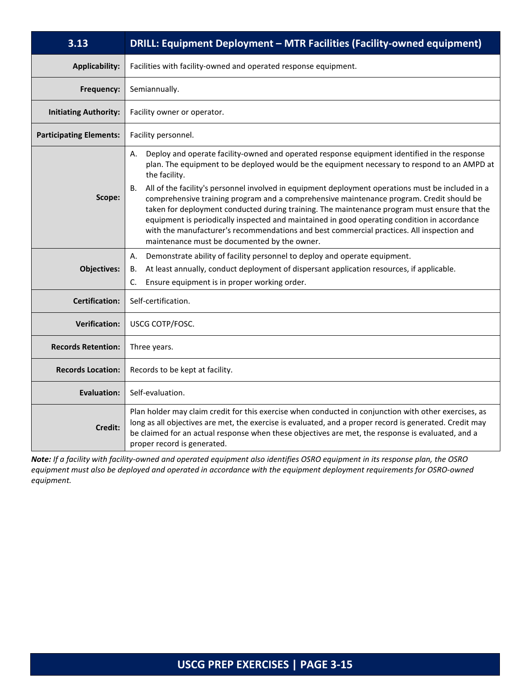| 3.13                           | DRILL: Equipment Deployment - MTR Facilities (Facility-owned equipment)                                                                                                                                                                                                                                                                                                                                                                                                                                                                                                                                                                                                                                                                                                 |
|--------------------------------|-------------------------------------------------------------------------------------------------------------------------------------------------------------------------------------------------------------------------------------------------------------------------------------------------------------------------------------------------------------------------------------------------------------------------------------------------------------------------------------------------------------------------------------------------------------------------------------------------------------------------------------------------------------------------------------------------------------------------------------------------------------------------|
| <b>Applicability:</b>          | Facilities with facility-owned and operated response equipment.                                                                                                                                                                                                                                                                                                                                                                                                                                                                                                                                                                                                                                                                                                         |
| Frequency:                     | Semiannually.                                                                                                                                                                                                                                                                                                                                                                                                                                                                                                                                                                                                                                                                                                                                                           |
| <b>Initiating Authority:</b>   | Facility owner or operator.                                                                                                                                                                                                                                                                                                                                                                                                                                                                                                                                                                                                                                                                                                                                             |
| <b>Participating Elements:</b> | Facility personnel.                                                                                                                                                                                                                                                                                                                                                                                                                                                                                                                                                                                                                                                                                                                                                     |
| Scope:                         | Deploy and operate facility-owned and operated response equipment identified in the response<br>А.<br>plan. The equipment to be deployed would be the equipment necessary to respond to an AMPD at<br>the facility.<br>All of the facility's personnel involved in equipment deployment operations must be included in a<br>В.<br>comprehensive training program and a comprehensive maintenance program. Credit should be<br>taken for deployment conducted during training. The maintenance program must ensure that the<br>equipment is periodically inspected and maintained in good operating condition in accordance<br>with the manufacturer's recommendations and best commercial practices. All inspection and<br>maintenance must be documented by the owner. |
| <b>Objectives:</b>             | Demonstrate ability of facility personnel to deploy and operate equipment.<br>А.<br>At least annually, conduct deployment of dispersant application resources, if applicable.<br>В.<br>Ensure equipment is in proper working order.<br>С.                                                                                                                                                                                                                                                                                                                                                                                                                                                                                                                               |
| <b>Certification:</b>          | Self-certification.                                                                                                                                                                                                                                                                                                                                                                                                                                                                                                                                                                                                                                                                                                                                                     |
| <b>Verification:</b>           | USCG COTP/FOSC.                                                                                                                                                                                                                                                                                                                                                                                                                                                                                                                                                                                                                                                                                                                                                         |
| <b>Records Retention:</b>      | Three years.                                                                                                                                                                                                                                                                                                                                                                                                                                                                                                                                                                                                                                                                                                                                                            |
| <b>Records Location:</b>       | Records to be kept at facility.                                                                                                                                                                                                                                                                                                                                                                                                                                                                                                                                                                                                                                                                                                                                         |
| Evaluation:                    | Self-evaluation.                                                                                                                                                                                                                                                                                                                                                                                                                                                                                                                                                                                                                                                                                                                                                        |
| Credit:                        | Plan holder may claim credit for this exercise when conducted in conjunction with other exercises, as<br>long as all objectives are met, the exercise is evaluated, and a proper record is generated. Credit may<br>be claimed for an actual response when these objectives are met, the response is evaluated, and a<br>proper record is generated.                                                                                                                                                                                                                                                                                                                                                                                                                    |

*Note: If a facility with facility-owned and operated equipment also identifies OSRO equipment in its response plan, the OSRO equipment must also be deployed and operated in accordance with the equipment deployment requirements for OSRO-owned equipment.*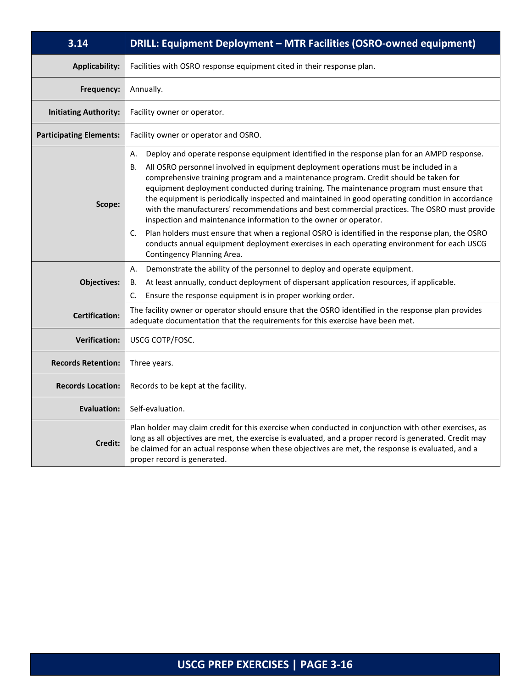| 3.14                           | DRILL: Equipment Deployment - MTR Facilities (OSRO-owned equipment)                                                                                                                                                                                                                                                                                                                                                                                                                                                                                                                                                                                                                                                                                                                                                                                                                              |
|--------------------------------|--------------------------------------------------------------------------------------------------------------------------------------------------------------------------------------------------------------------------------------------------------------------------------------------------------------------------------------------------------------------------------------------------------------------------------------------------------------------------------------------------------------------------------------------------------------------------------------------------------------------------------------------------------------------------------------------------------------------------------------------------------------------------------------------------------------------------------------------------------------------------------------------------|
| <b>Applicability:</b>          | Facilities with OSRO response equipment cited in their response plan.                                                                                                                                                                                                                                                                                                                                                                                                                                                                                                                                                                                                                                                                                                                                                                                                                            |
| <b>Frequency:</b>              | Annually.                                                                                                                                                                                                                                                                                                                                                                                                                                                                                                                                                                                                                                                                                                                                                                                                                                                                                        |
| <b>Initiating Authority:</b>   | Facility owner or operator.                                                                                                                                                                                                                                                                                                                                                                                                                                                                                                                                                                                                                                                                                                                                                                                                                                                                      |
| <b>Participating Elements:</b> | Facility owner or operator and OSRO.                                                                                                                                                                                                                                                                                                                                                                                                                                                                                                                                                                                                                                                                                                                                                                                                                                                             |
| Scope:                         | А.<br>Deploy and operate response equipment identified in the response plan for an AMPD response.<br>All OSRO personnel involved in equipment deployment operations must be included in a<br>В.<br>comprehensive training program and a maintenance program. Credit should be taken for<br>equipment deployment conducted during training. The maintenance program must ensure that<br>the equipment is periodically inspected and maintained in good operating condition in accordance<br>with the manufacturers' recommendations and best commercial practices. The OSRO must provide<br>inspection and maintenance information to the owner or operator.<br>Plan holders must ensure that when a regional OSRO is identified in the response plan, the OSRO<br>C.<br>conducts annual equipment deployment exercises in each operating environment for each USCG<br>Contingency Planning Area. |
| <b>Objectives:</b>             | А.<br>Demonstrate the ability of the personnel to deploy and operate equipment.<br>At least annually, conduct deployment of dispersant application resources, if applicable.<br>В.<br>Ensure the response equipment is in proper working order.<br>C.                                                                                                                                                                                                                                                                                                                                                                                                                                                                                                                                                                                                                                            |
| <b>Certification:</b>          | The facility owner or operator should ensure that the OSRO identified in the response plan provides<br>adequate documentation that the requirements for this exercise have been met.                                                                                                                                                                                                                                                                                                                                                                                                                                                                                                                                                                                                                                                                                                             |
| <b>Verification:</b>           | USCG COTP/FOSC.                                                                                                                                                                                                                                                                                                                                                                                                                                                                                                                                                                                                                                                                                                                                                                                                                                                                                  |
| <b>Records Retention:</b>      | Three years.                                                                                                                                                                                                                                                                                                                                                                                                                                                                                                                                                                                                                                                                                                                                                                                                                                                                                     |
| <b>Records Location:</b>       | Records to be kept at the facility.                                                                                                                                                                                                                                                                                                                                                                                                                                                                                                                                                                                                                                                                                                                                                                                                                                                              |
| <b>Evaluation:</b>             | Self-evaluation.                                                                                                                                                                                                                                                                                                                                                                                                                                                                                                                                                                                                                                                                                                                                                                                                                                                                                 |
| <b>Credit:</b>                 | Plan holder may claim credit for this exercise when conducted in conjunction with other exercises, as<br>long as all objectives are met, the exercise is evaluated, and a proper record is generated. Credit may<br>be claimed for an actual response when these objectives are met, the response is evaluated, and a<br>proper record is generated.                                                                                                                                                                                                                                                                                                                                                                                                                                                                                                                                             |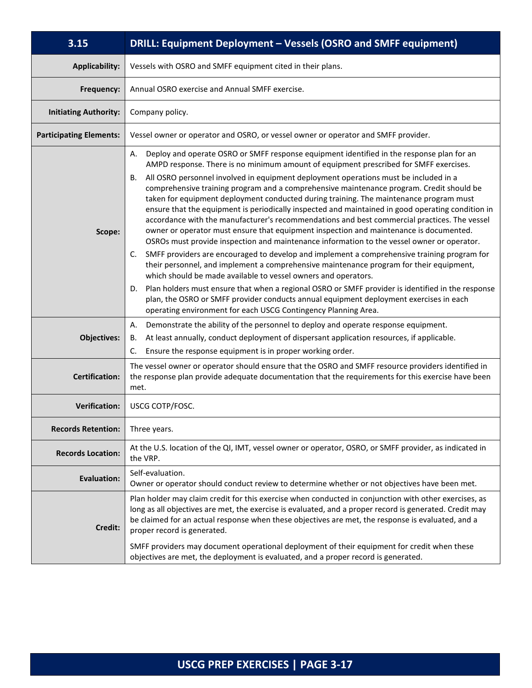| 3.15                           | DRILL: Equipment Deployment - Vessels (OSRO and SMFF equipment)                                                                                                                                                                                                                                                                                                                                                                                                                                                                                                                 |
|--------------------------------|---------------------------------------------------------------------------------------------------------------------------------------------------------------------------------------------------------------------------------------------------------------------------------------------------------------------------------------------------------------------------------------------------------------------------------------------------------------------------------------------------------------------------------------------------------------------------------|
| <b>Applicability:</b>          | Vessels with OSRO and SMFF equipment cited in their plans.                                                                                                                                                                                                                                                                                                                                                                                                                                                                                                                      |
| Frequency:                     | Annual OSRO exercise and Annual SMFF exercise.                                                                                                                                                                                                                                                                                                                                                                                                                                                                                                                                  |
| <b>Initiating Authority:</b>   | Company policy.                                                                                                                                                                                                                                                                                                                                                                                                                                                                                                                                                                 |
| <b>Participating Elements:</b> | Vessel owner or operator and OSRO, or vessel owner or operator and SMFF provider.                                                                                                                                                                                                                                                                                                                                                                                                                                                                                               |
|                                | Deploy and operate OSRO or SMFF response equipment identified in the response plan for an<br>А.<br>AMPD response. There is no minimum amount of equipment prescribed for SMFF exercises.<br>All OSRO personnel involved in equipment deployment operations must be included in a<br>В.                                                                                                                                                                                                                                                                                          |
| Scope:                         | comprehensive training program and a comprehensive maintenance program. Credit should be<br>taken for equipment deployment conducted during training. The maintenance program must<br>ensure that the equipment is periodically inspected and maintained in good operating condition in<br>accordance with the manufacturer's recommendations and best commercial practices. The vessel<br>owner or operator must ensure that equipment inspection and maintenance is documented.<br>OSROs must provide inspection and maintenance information to the vessel owner or operator. |
|                                | SMFF providers are encouraged to develop and implement a comprehensive training program for<br>C.<br>their personnel, and implement a comprehensive maintenance program for their equipment,<br>which should be made available to vessel owners and operators.                                                                                                                                                                                                                                                                                                                  |
|                                | Plan holders must ensure that when a regional OSRO or SMFF provider is identified in the response<br>D.<br>plan, the OSRO or SMFF provider conducts annual equipment deployment exercises in each<br>operating environment for each USCG Contingency Planning Area.                                                                                                                                                                                                                                                                                                             |
| <b>Objectives:</b>             | Demonstrate the ability of the personnel to deploy and operate response equipment.<br>А.<br>At least annually, conduct deployment of dispersant application resources, if applicable.<br>В.                                                                                                                                                                                                                                                                                                                                                                                     |
|                                | Ensure the response equipment is in proper working order.<br>C.                                                                                                                                                                                                                                                                                                                                                                                                                                                                                                                 |
| <b>Certification:</b>          | The vessel owner or operator should ensure that the OSRO and SMFF resource providers identified in<br>the response plan provide adequate documentation that the requirements for this exercise have been<br>met.                                                                                                                                                                                                                                                                                                                                                                |
| <b>Verification:</b>           | USCG COTP/FOSC.                                                                                                                                                                                                                                                                                                                                                                                                                                                                                                                                                                 |
| <b>Records Retention:</b>      | Three years.                                                                                                                                                                                                                                                                                                                                                                                                                                                                                                                                                                    |
| <b>Records Location:</b>       | At the U.S. location of the QI, IMT, vessel owner or operator, OSRO, or SMFF provider, as indicated in<br>the VRP.                                                                                                                                                                                                                                                                                                                                                                                                                                                              |
| <b>Evaluation:</b>             | Self-evaluation.<br>Owner or operator should conduct review to determine whether or not objectives have been met.                                                                                                                                                                                                                                                                                                                                                                                                                                                               |
| Credit:                        | Plan holder may claim credit for this exercise when conducted in conjunction with other exercises, as<br>long as all objectives are met, the exercise is evaluated, and a proper record is generated. Credit may<br>be claimed for an actual response when these objectives are met, the response is evaluated, and a<br>proper record is generated.                                                                                                                                                                                                                            |
|                                | SMFF providers may document operational deployment of their equipment for credit when these<br>objectives are met, the deployment is evaluated, and a proper record is generated.                                                                                                                                                                                                                                                                                                                                                                                               |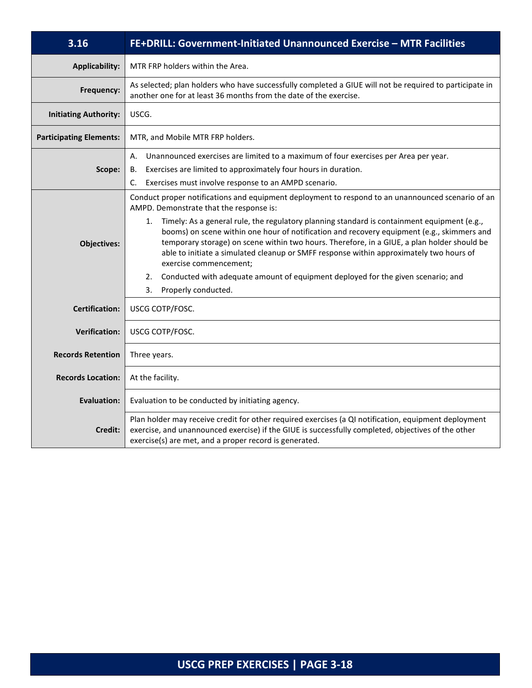| 3.16                           | FE+DRILL: Government-Initiated Unannounced Exercise - MTR Facilities                                                                                                                                                                                                                                                                                                                                                                                                                                                                                                                                                                                                                       |
|--------------------------------|--------------------------------------------------------------------------------------------------------------------------------------------------------------------------------------------------------------------------------------------------------------------------------------------------------------------------------------------------------------------------------------------------------------------------------------------------------------------------------------------------------------------------------------------------------------------------------------------------------------------------------------------------------------------------------------------|
| <b>Applicability:</b>          | MTR FRP holders within the Area.                                                                                                                                                                                                                                                                                                                                                                                                                                                                                                                                                                                                                                                           |
| Frequency:                     | As selected; plan holders who have successfully completed a GIUE will not be required to participate in<br>another one for at least 36 months from the date of the exercise.                                                                                                                                                                                                                                                                                                                                                                                                                                                                                                               |
| <b>Initiating Authority:</b>   | USCG.                                                                                                                                                                                                                                                                                                                                                                                                                                                                                                                                                                                                                                                                                      |
| <b>Participating Elements:</b> | MTR, and Mobile MTR FRP holders.                                                                                                                                                                                                                                                                                                                                                                                                                                                                                                                                                                                                                                                           |
| Scope:                         | Unannounced exercises are limited to a maximum of four exercises per Area per year.<br>А.<br>Exercises are limited to approximately four hours in duration.<br>В.<br>Exercises must involve response to an AMPD scenario.<br>C.                                                                                                                                                                                                                                                                                                                                                                                                                                                            |
| <b>Objectives:</b>             | Conduct proper notifications and equipment deployment to respond to an unannounced scenario of an<br>AMPD. Demonstrate that the response is:<br>Timely: As a general rule, the regulatory planning standard is containment equipment (e.g.,<br>1.<br>booms) on scene within one hour of notification and recovery equipment (e.g., skimmers and<br>temporary storage) on scene within two hours. Therefore, in a GIUE, a plan holder should be<br>able to initiate a simulated cleanup or SMFF response within approximately two hours of<br>exercise commencement;<br>Conducted with adequate amount of equipment deployed for the given scenario; and<br>2.<br>Properly conducted.<br>3. |
| <b>Certification:</b>          | USCG COTP/FOSC.                                                                                                                                                                                                                                                                                                                                                                                                                                                                                                                                                                                                                                                                            |
| <b>Verification:</b>           | USCG COTP/FOSC.                                                                                                                                                                                                                                                                                                                                                                                                                                                                                                                                                                                                                                                                            |
| <b>Records Retention</b>       | Three years.                                                                                                                                                                                                                                                                                                                                                                                                                                                                                                                                                                                                                                                                               |
| <b>Records Location:</b>       | At the facility.                                                                                                                                                                                                                                                                                                                                                                                                                                                                                                                                                                                                                                                                           |
| Evaluation:                    | Evaluation to be conducted by initiating agency.                                                                                                                                                                                                                                                                                                                                                                                                                                                                                                                                                                                                                                           |
| <b>Credit:</b>                 | Plan holder may receive credit for other required exercises (a QI notification, equipment deployment<br>exercise, and unannounced exercise) if the GIUE is successfully completed, objectives of the other<br>exercise(s) are met, and a proper record is generated.                                                                                                                                                                                                                                                                                                                                                                                                                       |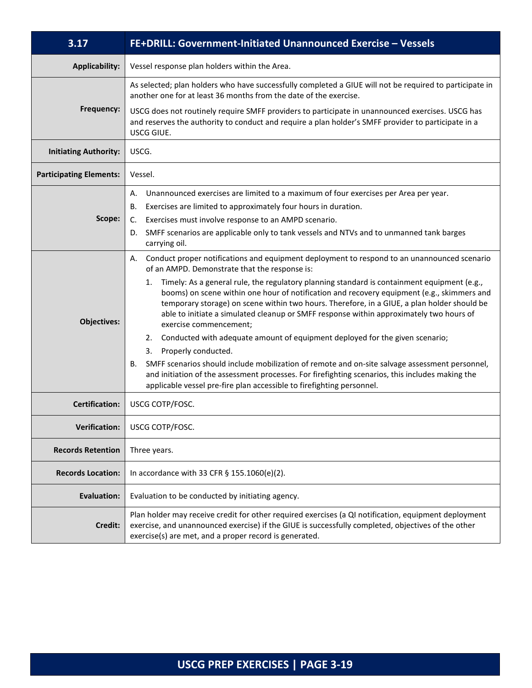| 3.17                           | FE+DRILL: Government-Initiated Unannounced Exercise - Vessels                                                                                                                                                                                                                                                                                                                                                                                                                                                                                                                                                                                                                                                                                                                                                                                                                                                                                                                  |
|--------------------------------|--------------------------------------------------------------------------------------------------------------------------------------------------------------------------------------------------------------------------------------------------------------------------------------------------------------------------------------------------------------------------------------------------------------------------------------------------------------------------------------------------------------------------------------------------------------------------------------------------------------------------------------------------------------------------------------------------------------------------------------------------------------------------------------------------------------------------------------------------------------------------------------------------------------------------------------------------------------------------------|
| <b>Applicability:</b>          | Vessel response plan holders within the Area.                                                                                                                                                                                                                                                                                                                                                                                                                                                                                                                                                                                                                                                                                                                                                                                                                                                                                                                                  |
|                                | As selected; plan holders who have successfully completed a GIUE will not be required to participate in<br>another one for at least 36 months from the date of the exercise.                                                                                                                                                                                                                                                                                                                                                                                                                                                                                                                                                                                                                                                                                                                                                                                                   |
| Frequency:                     | USCG does not routinely require SMFF providers to participate in unannounced exercises. USCG has<br>and reserves the authority to conduct and require a plan holder's SMFF provider to participate in a<br>USCG GIUE.                                                                                                                                                                                                                                                                                                                                                                                                                                                                                                                                                                                                                                                                                                                                                          |
| <b>Initiating Authority:</b>   | USCG.                                                                                                                                                                                                                                                                                                                                                                                                                                                                                                                                                                                                                                                                                                                                                                                                                                                                                                                                                                          |
| <b>Participating Elements:</b> | Vessel.                                                                                                                                                                                                                                                                                                                                                                                                                                                                                                                                                                                                                                                                                                                                                                                                                                                                                                                                                                        |
| Scope:                         | Unannounced exercises are limited to a maximum of four exercises per Area per year.<br>А.<br>Exercises are limited to approximately four hours in duration.<br>В.<br>C.<br>Exercises must involve response to an AMPD scenario.<br>SMFF scenarios are applicable only to tank vessels and NTVs and to unmanned tank barges<br>D.<br>carrying oil.                                                                                                                                                                                                                                                                                                                                                                                                                                                                                                                                                                                                                              |
| <b>Objectives:</b>             | Conduct proper notifications and equipment deployment to respond to an unannounced scenario<br>А.<br>of an AMPD. Demonstrate that the response is:<br>1. Timely: As a general rule, the regulatory planning standard is containment equipment (e.g.,<br>booms) on scene within one hour of notification and recovery equipment (e.g., skimmers and<br>temporary storage) on scene within two hours. Therefore, in a GIUE, a plan holder should be<br>able to initiate a simulated cleanup or SMFF response within approximately two hours of<br>exercise commencement;<br>Conducted with adequate amount of equipment deployed for the given scenario;<br>2.<br>Properly conducted.<br>3.<br>SMFF scenarios should include mobilization of remote and on-site salvage assessment personnel,<br>В.<br>and initiation of the assessment processes. For firefighting scenarios, this includes making the<br>applicable vessel pre-fire plan accessible to firefighting personnel. |
| <b>Certification:</b>          | USCG COTP/FOSC.                                                                                                                                                                                                                                                                                                                                                                                                                                                                                                                                                                                                                                                                                                                                                                                                                                                                                                                                                                |
| <b>Verification:</b>           | USCG COTP/FOSC.                                                                                                                                                                                                                                                                                                                                                                                                                                                                                                                                                                                                                                                                                                                                                                                                                                                                                                                                                                |
| <b>Records Retention</b>       | Three years.                                                                                                                                                                                                                                                                                                                                                                                                                                                                                                                                                                                                                                                                                                                                                                                                                                                                                                                                                                   |
| <b>Records Location:</b>       | In accordance with 33 CFR § 155.1060(e)(2).                                                                                                                                                                                                                                                                                                                                                                                                                                                                                                                                                                                                                                                                                                                                                                                                                                                                                                                                    |
| <b>Evaluation:</b>             | Evaluation to be conducted by initiating agency.                                                                                                                                                                                                                                                                                                                                                                                                                                                                                                                                                                                                                                                                                                                                                                                                                                                                                                                               |
| Credit:                        | Plan holder may receive credit for other required exercises (a QI notification, equipment deployment<br>exercise, and unannounced exercise) if the GIUE is successfully completed, objectives of the other<br>exercise(s) are met, and a proper record is generated.                                                                                                                                                                                                                                                                                                                                                                                                                                                                                                                                                                                                                                                                                                           |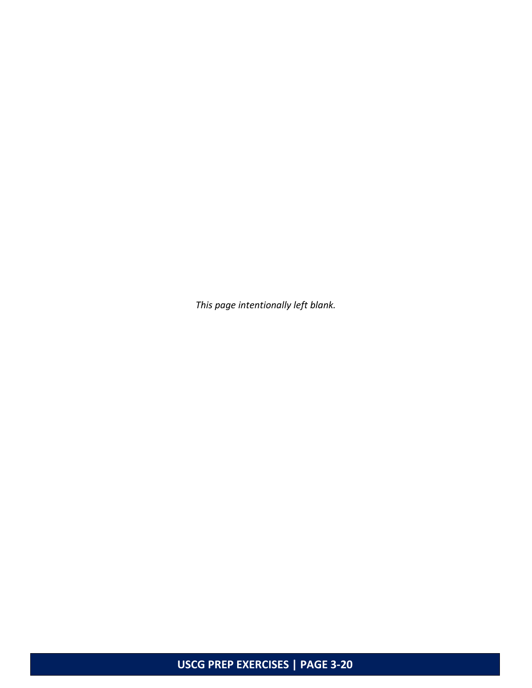*This page intentionally left blank.*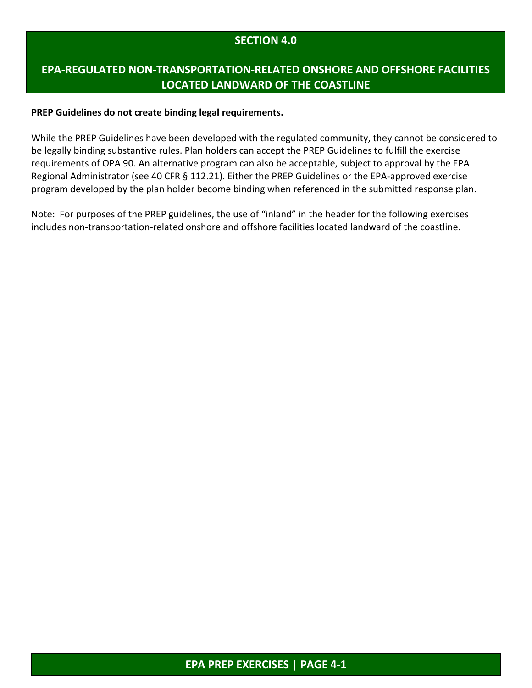### **SECTION 4.0**

# **EPA-REGULATED NON-TRANSPORTATION-RELATED ONSHORE AND OFFSHORE FACILITIES LOCATED LANDWARD OF THE COASTLINE**

#### **PREP Guidelines do not create binding legal requirements.**

While the PREP Guidelines have been developed with the regulated community, they cannot be considered to be legally binding substantive rules. Plan holders can accept the PREP Guidelines to fulfill the exercise requirements of OPA 90. An alternative program can also be acceptable, subject to approval by the EPA Regional Administrator (see 40 CFR § 112.21). Either the PREP Guidelines or the EPA-approved exercise program developed by the plan holder become binding when referenced in the submitted response plan.

Note: For purposes of the PREP guidelines, the use of "inland" in the header for the following exercises includes non-transportation-related onshore and offshore facilities located landward of the coastline.

## **EPA PREP EXERCISES | PAGE 4-1**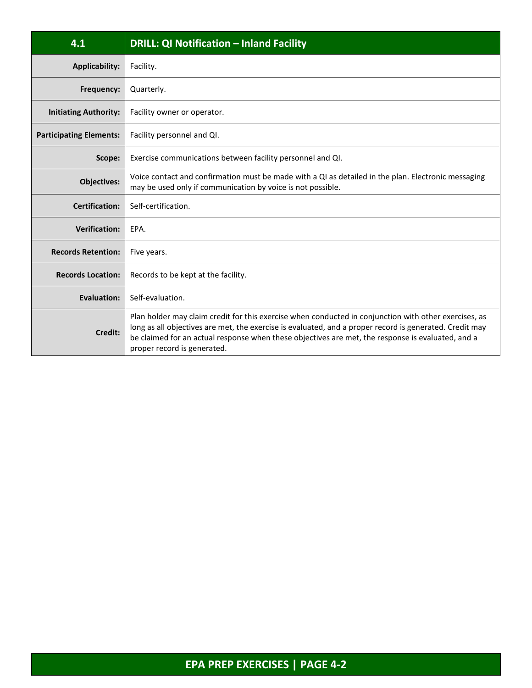| 4.1                            | <b>DRILL: QI Notification - Inland Facility</b>                                                                                                                                                                                                                                                                                                      |
|--------------------------------|------------------------------------------------------------------------------------------------------------------------------------------------------------------------------------------------------------------------------------------------------------------------------------------------------------------------------------------------------|
| <b>Applicability:</b>          | Facility.                                                                                                                                                                                                                                                                                                                                            |
| Frequency:                     | Quarterly.                                                                                                                                                                                                                                                                                                                                           |
| <b>Initiating Authority:</b>   | Facility owner or operator.                                                                                                                                                                                                                                                                                                                          |
| <b>Participating Elements:</b> | Facility personnel and QI.                                                                                                                                                                                                                                                                                                                           |
| Scope:                         | Exercise communications between facility personnel and QI.                                                                                                                                                                                                                                                                                           |
| <b>Objectives:</b>             | Voice contact and confirmation must be made with a QI as detailed in the plan. Electronic messaging<br>may be used only if communication by voice is not possible.                                                                                                                                                                                   |
| <b>Certification:</b>          | Self-certification.                                                                                                                                                                                                                                                                                                                                  |
| <b>Verification:</b>           | EPA.                                                                                                                                                                                                                                                                                                                                                 |
| <b>Records Retention:</b>      | Five years.                                                                                                                                                                                                                                                                                                                                          |
| <b>Records Location:</b>       | Records to be kept at the facility.                                                                                                                                                                                                                                                                                                                  |
| Evaluation:                    | Self-evaluation.                                                                                                                                                                                                                                                                                                                                     |
| Credit:                        | Plan holder may claim credit for this exercise when conducted in conjunction with other exercises, as<br>long as all objectives are met, the exercise is evaluated, and a proper record is generated. Credit may<br>be claimed for an actual response when these objectives are met, the response is evaluated, and a<br>proper record is generated. |

# **EPA PREP EXERCISES | PAGE 4-2**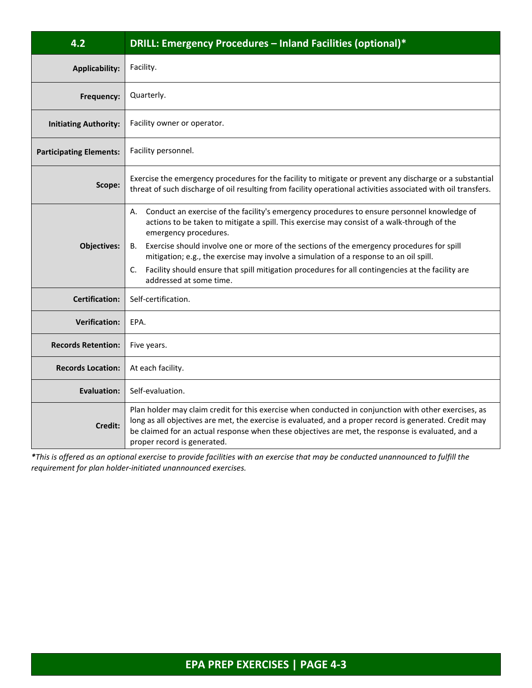| 4.2                            | <b>DRILL: Emergency Procedures - Inland Facilities (optional)*</b>                                                                                                                                                                                                                                                                                                                                                                                                                                                                                           |
|--------------------------------|--------------------------------------------------------------------------------------------------------------------------------------------------------------------------------------------------------------------------------------------------------------------------------------------------------------------------------------------------------------------------------------------------------------------------------------------------------------------------------------------------------------------------------------------------------------|
| <b>Applicability:</b>          | Facility.                                                                                                                                                                                                                                                                                                                                                                                                                                                                                                                                                    |
| Frequency:                     | Quarterly.                                                                                                                                                                                                                                                                                                                                                                                                                                                                                                                                                   |
| <b>Initiating Authority:</b>   | Facility owner or operator.                                                                                                                                                                                                                                                                                                                                                                                                                                                                                                                                  |
| <b>Participating Elements:</b> | Facility personnel.                                                                                                                                                                                                                                                                                                                                                                                                                                                                                                                                          |
| Scope:                         | Exercise the emergency procedures for the facility to mitigate or prevent any discharge or a substantial<br>threat of such discharge of oil resulting from facility operational activities associated with oil transfers.                                                                                                                                                                                                                                                                                                                                    |
| <b>Objectives:</b>             | Conduct an exercise of the facility's emergency procedures to ensure personnel knowledge of<br>А.<br>actions to be taken to mitigate a spill. This exercise may consist of a walk-through of the<br>emergency procedures.<br>Exercise should involve one or more of the sections of the emergency procedures for spill<br>В.<br>mitigation; e.g., the exercise may involve a simulation of a response to an oil spill.<br>Facility should ensure that spill mitigation procedures for all contingencies at the facility are<br>C.<br>addressed at some time. |
| <b>Certification:</b>          | Self-certification.                                                                                                                                                                                                                                                                                                                                                                                                                                                                                                                                          |
| <b>Verification:</b>           | EPA.                                                                                                                                                                                                                                                                                                                                                                                                                                                                                                                                                         |
| <b>Records Retention:</b>      | Five years.                                                                                                                                                                                                                                                                                                                                                                                                                                                                                                                                                  |
| <b>Records Location:</b>       | At each facility.                                                                                                                                                                                                                                                                                                                                                                                                                                                                                                                                            |
| <b>Evaluation:</b>             | Self-evaluation.                                                                                                                                                                                                                                                                                                                                                                                                                                                                                                                                             |
| <b>Credit:</b>                 | Plan holder may claim credit for this exercise when conducted in conjunction with other exercises, as<br>long as all objectives are met, the exercise is evaluated, and a proper record is generated. Credit may<br>be claimed for an actual response when these objectives are met, the response is evaluated, and a<br>proper record is generated.                                                                                                                                                                                                         |

*\*This is offered as an optional exercise to provide facilities with an exercise that may be conducted unannounced to fulfill the requirement for plan holder-initiated unannounced exercises.*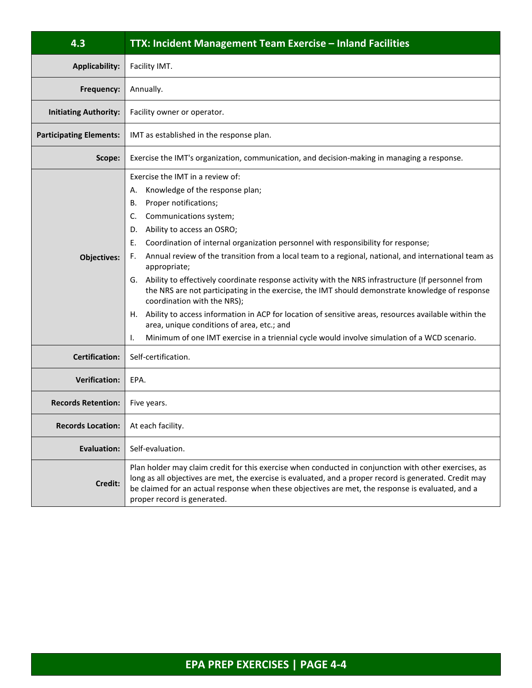| 4.3                            | TTX: Incident Management Team Exercise - Inland Facilities                                                                                                                                                                                                                                                                                                                                                                                                                                                                                                                                                                                                                                                                                                                                                                                                                                                            |
|--------------------------------|-----------------------------------------------------------------------------------------------------------------------------------------------------------------------------------------------------------------------------------------------------------------------------------------------------------------------------------------------------------------------------------------------------------------------------------------------------------------------------------------------------------------------------------------------------------------------------------------------------------------------------------------------------------------------------------------------------------------------------------------------------------------------------------------------------------------------------------------------------------------------------------------------------------------------|
| <b>Applicability:</b>          | Facility IMT.                                                                                                                                                                                                                                                                                                                                                                                                                                                                                                                                                                                                                                                                                                                                                                                                                                                                                                         |
| Frequency:                     | Annually.                                                                                                                                                                                                                                                                                                                                                                                                                                                                                                                                                                                                                                                                                                                                                                                                                                                                                                             |
| <b>Initiating Authority:</b>   | Facility owner or operator.                                                                                                                                                                                                                                                                                                                                                                                                                                                                                                                                                                                                                                                                                                                                                                                                                                                                                           |
| <b>Participating Elements:</b> | IMT as established in the response plan.                                                                                                                                                                                                                                                                                                                                                                                                                                                                                                                                                                                                                                                                                                                                                                                                                                                                              |
| Scope:                         | Exercise the IMT's organization, communication, and decision-making in managing a response.                                                                                                                                                                                                                                                                                                                                                                                                                                                                                                                                                                                                                                                                                                                                                                                                                           |
| <b>Objectives:</b>             | Exercise the IMT in a review of:<br>Knowledge of the response plan;<br>Α.<br>Proper notifications;<br>В.<br>C.<br>Communications system;<br>Ability to access an OSRO;<br>D.<br>E.<br>Coordination of internal organization personnel with responsibility for response;<br>Annual review of the transition from a local team to a regional, national, and international team as<br>F.<br>appropriate;<br>Ability to effectively coordinate response activity with the NRS infrastructure (If personnel from<br>G.<br>the NRS are not participating in the exercise, the IMT should demonstrate knowledge of response<br>coordination with the NRS);<br>Ability to access information in ACP for location of sensitive areas, resources available within the<br>Н.<br>area, unique conditions of area, etc.; and<br>Minimum of one IMT exercise in a triennial cycle would involve simulation of a WCD scenario.<br>I. |
| <b>Certification:</b>          | Self-certification.                                                                                                                                                                                                                                                                                                                                                                                                                                                                                                                                                                                                                                                                                                                                                                                                                                                                                                   |
| <b>Verification:</b>           | EPA.                                                                                                                                                                                                                                                                                                                                                                                                                                                                                                                                                                                                                                                                                                                                                                                                                                                                                                                  |
| <b>Records Retention:</b>      | Five years.                                                                                                                                                                                                                                                                                                                                                                                                                                                                                                                                                                                                                                                                                                                                                                                                                                                                                                           |
| <b>Records Location:</b>       | At each facility.                                                                                                                                                                                                                                                                                                                                                                                                                                                                                                                                                                                                                                                                                                                                                                                                                                                                                                     |
| <b>Evaluation:</b>             | Self-evaluation.                                                                                                                                                                                                                                                                                                                                                                                                                                                                                                                                                                                                                                                                                                                                                                                                                                                                                                      |
| Credit:                        | Plan holder may claim credit for this exercise when conducted in conjunction with other exercises, as<br>long as all objectives are met, the exercise is evaluated, and a proper record is generated. Credit may<br>be claimed for an actual response when these objectives are met, the response is evaluated, and a<br>proper record is generated.                                                                                                                                                                                                                                                                                                                                                                                                                                                                                                                                                                  |

# **EPA PREP EXERCISES | PAGE 4-4**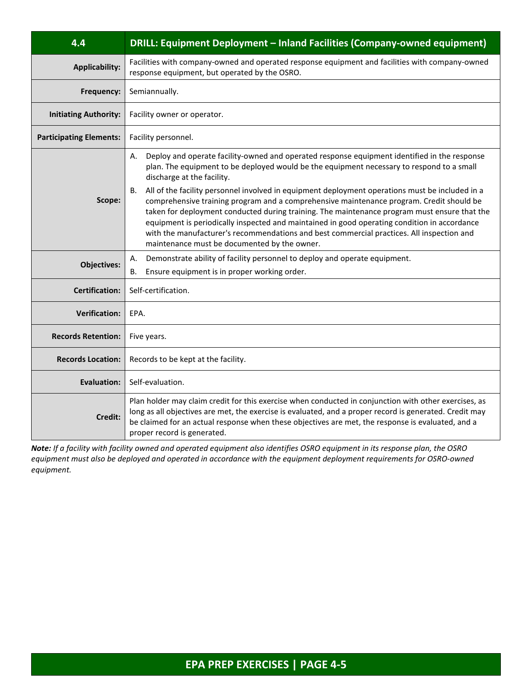| 4.4                            | DRILL: Equipment Deployment - Inland Facilities (Company-owned equipment)                                                                                                                                                                                                                                                                                                                                                                                                                                                                      |
|--------------------------------|------------------------------------------------------------------------------------------------------------------------------------------------------------------------------------------------------------------------------------------------------------------------------------------------------------------------------------------------------------------------------------------------------------------------------------------------------------------------------------------------------------------------------------------------|
| <b>Applicability:</b>          | Facilities with company-owned and operated response equipment and facilities with company-owned<br>response equipment, but operated by the OSRO.                                                                                                                                                                                                                                                                                                                                                                                               |
| Frequency:                     | Semiannually.                                                                                                                                                                                                                                                                                                                                                                                                                                                                                                                                  |
| <b>Initiating Authority:</b>   | Facility owner or operator.                                                                                                                                                                                                                                                                                                                                                                                                                                                                                                                    |
| <b>Participating Elements:</b> | Facility personnel.                                                                                                                                                                                                                                                                                                                                                                                                                                                                                                                            |
| Scope:                         | Deploy and operate facility-owned and operated response equipment identified in the response<br>А.<br>plan. The equipment to be deployed would be the equipment necessary to respond to a small<br>discharge at the facility.                                                                                                                                                                                                                                                                                                                  |
|                                | В.<br>All of the facility personnel involved in equipment deployment operations must be included in a<br>comprehensive training program and a comprehensive maintenance program. Credit should be<br>taken for deployment conducted during training. The maintenance program must ensure that the<br>equipment is periodically inspected and maintained in good operating condition in accordance<br>with the manufacturer's recommendations and best commercial practices. All inspection and<br>maintenance must be documented by the owner. |
| <b>Objectives:</b>             | Demonstrate ability of facility personnel to deploy and operate equipment.<br>А.                                                                                                                                                                                                                                                                                                                                                                                                                                                               |
| <b>Certification:</b>          | Ensure equipment is in proper working order.<br>Β.<br>Self-certification.                                                                                                                                                                                                                                                                                                                                                                                                                                                                      |
| <b>Verification:</b>           | EPA.                                                                                                                                                                                                                                                                                                                                                                                                                                                                                                                                           |
| <b>Records Retention:</b>      | Five years.                                                                                                                                                                                                                                                                                                                                                                                                                                                                                                                                    |
| <b>Records Location:</b>       | Records to be kept at the facility.                                                                                                                                                                                                                                                                                                                                                                                                                                                                                                            |
| <b>Evaluation:</b>             | Self-evaluation.                                                                                                                                                                                                                                                                                                                                                                                                                                                                                                                               |
| Credit:                        | Plan holder may claim credit for this exercise when conducted in conjunction with other exercises, as<br>long as all objectives are met, the exercise is evaluated, and a proper record is generated. Credit may<br>be claimed for an actual response when these objectives are met, the response is evaluated, and a<br>proper record is generated.                                                                                                                                                                                           |

*Note: If a facility with facility owned and operated equipment also identifies OSRO equipment in its response plan, the OSRO equipment must also be deployed and operated in accordance with the equipment deployment requirements for OSRO-owned equipment.*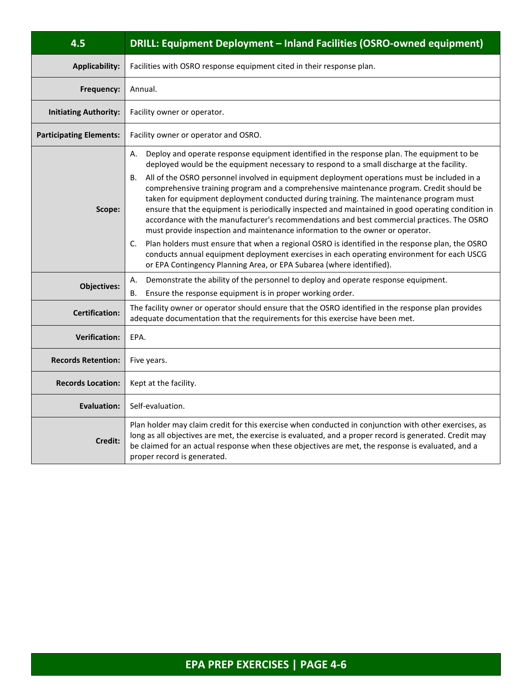| 4.5                            | DRILL: Equipment Deployment - Inland Facilities (OSRO-owned equipment)                                                                                                                                                                                                                                                                                                                                                                                                                                                                                                                         |
|--------------------------------|------------------------------------------------------------------------------------------------------------------------------------------------------------------------------------------------------------------------------------------------------------------------------------------------------------------------------------------------------------------------------------------------------------------------------------------------------------------------------------------------------------------------------------------------------------------------------------------------|
| <b>Applicability:</b>          | Facilities with OSRO response equipment cited in their response plan.                                                                                                                                                                                                                                                                                                                                                                                                                                                                                                                          |
| Frequency:                     | Annual.                                                                                                                                                                                                                                                                                                                                                                                                                                                                                                                                                                                        |
| <b>Initiating Authority:</b>   | Facility owner or operator.                                                                                                                                                                                                                                                                                                                                                                                                                                                                                                                                                                    |
| <b>Participating Elements:</b> | Facility owner or operator and OSRO.                                                                                                                                                                                                                                                                                                                                                                                                                                                                                                                                                           |
| Scope:                         | Deploy and operate response equipment identified in the response plan. The equipment to be<br>А.<br>deployed would be the equipment necessary to respond to a small discharge at the facility.<br>All of the OSRO personnel involved in equipment deployment operations must be included in a<br>В.<br>comprehensive training program and a comprehensive maintenance program. Credit should be<br>taken for equipment deployment conducted during training. The maintenance program must<br>ensure that the equipment is periodically inspected and maintained in good operating condition in |
|                                | accordance with the manufacturer's recommendations and best commercial practices. The OSRO<br>must provide inspection and maintenance information to the owner or operator.<br>Plan holders must ensure that when a regional OSRO is identified in the response plan, the OSRO<br>C.<br>conducts annual equipment deployment exercises in each operating environment for each USCG<br>or EPA Contingency Planning Area, or EPA Subarea (where identified).                                                                                                                                     |
| <b>Objectives:</b>             | Demonstrate the ability of the personnel to deploy and operate response equipment.<br>Α.<br>Ensure the response equipment is in proper working order.<br>В.                                                                                                                                                                                                                                                                                                                                                                                                                                    |
| <b>Certification:</b>          | The facility owner or operator should ensure that the OSRO identified in the response plan provides<br>adequate documentation that the requirements for this exercise have been met.                                                                                                                                                                                                                                                                                                                                                                                                           |
| <b>Verification:</b>           | EPA.                                                                                                                                                                                                                                                                                                                                                                                                                                                                                                                                                                                           |
| <b>Records Retention:</b>      | Five years.                                                                                                                                                                                                                                                                                                                                                                                                                                                                                                                                                                                    |
| <b>Records Location:</b>       | Kept at the facility.                                                                                                                                                                                                                                                                                                                                                                                                                                                                                                                                                                          |
| <b>Evaluation:</b>             | Self-evaluation.                                                                                                                                                                                                                                                                                                                                                                                                                                                                                                                                                                               |
| Credit:                        | Plan holder may claim credit for this exercise when conducted in conjunction with other exercises, as<br>long as all objectives are met, the exercise is evaluated, and a proper record is generated. Credit may<br>be claimed for an actual response when these objectives are met, the response is evaluated, and a<br>proper record is generated.                                                                                                                                                                                                                                           |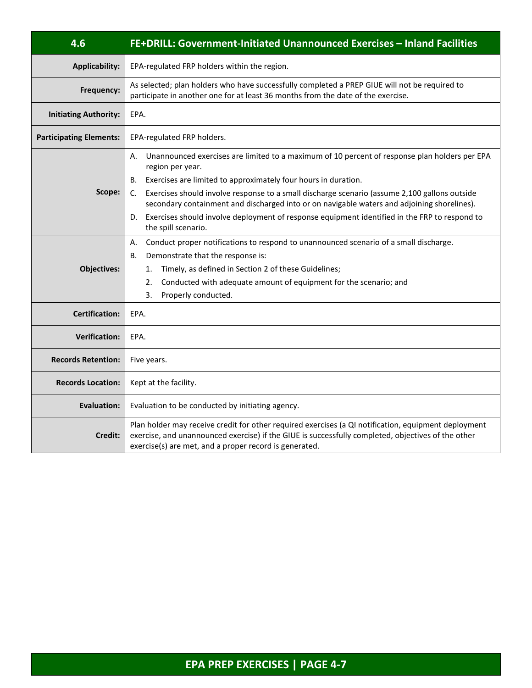| 4.6                            | FE+DRILL: Government-Initiated Unannounced Exercises - Inland Facilities                                                                                                                                                                                                                                                                                                                              |
|--------------------------------|-------------------------------------------------------------------------------------------------------------------------------------------------------------------------------------------------------------------------------------------------------------------------------------------------------------------------------------------------------------------------------------------------------|
| <b>Applicability:</b>          | EPA-regulated FRP holders within the region.                                                                                                                                                                                                                                                                                                                                                          |
| Frequency:                     | As selected; plan holders who have successfully completed a PREP GIUE will not be required to<br>participate in another one for at least 36 months from the date of the exercise.                                                                                                                                                                                                                     |
| <b>Initiating Authority:</b>   | EPA.                                                                                                                                                                                                                                                                                                                                                                                                  |
| <b>Participating Elements:</b> | EPA-regulated FRP holders.                                                                                                                                                                                                                                                                                                                                                                            |
| Scope:                         | Unannounced exercises are limited to a maximum of 10 percent of response plan holders per EPA<br>А.<br>region per year.<br>Exercises are limited to approximately four hours in duration.<br>В.<br>Exercises should involve response to a small discharge scenario (assume 2,100 gallons outside<br>C.<br>secondary containment and discharged into or on navigable waters and adjoining shorelines). |
|                                | Exercises should involve deployment of response equipment identified in the FRP to respond to<br>D.<br>the spill scenario.                                                                                                                                                                                                                                                                            |
| <b>Objectives:</b>             | Conduct proper notifications to respond to unannounced scenario of a small discharge.<br>А.<br>Demonstrate that the response is:<br>В.<br>Timely, as defined in Section 2 of these Guidelines;<br>1.<br>Conducted with adequate amount of equipment for the scenario; and<br>2.<br>Properly conducted.<br>3.                                                                                          |
| <b>Certification:</b>          | EPA.                                                                                                                                                                                                                                                                                                                                                                                                  |
| <b>Verification:</b>           | EPA.                                                                                                                                                                                                                                                                                                                                                                                                  |
| <b>Records Retention:</b>      | Five years.                                                                                                                                                                                                                                                                                                                                                                                           |
| <b>Records Location:</b>       | Kept at the facility.                                                                                                                                                                                                                                                                                                                                                                                 |
| Evaluation:                    | Evaluation to be conducted by initiating agency.                                                                                                                                                                                                                                                                                                                                                      |
| Credit:                        | Plan holder may receive credit for other required exercises (a QI notification, equipment deployment<br>exercise, and unannounced exercise) if the GIUE is successfully completed, objectives of the other<br>exercise(s) are met, and a proper record is generated.                                                                                                                                  |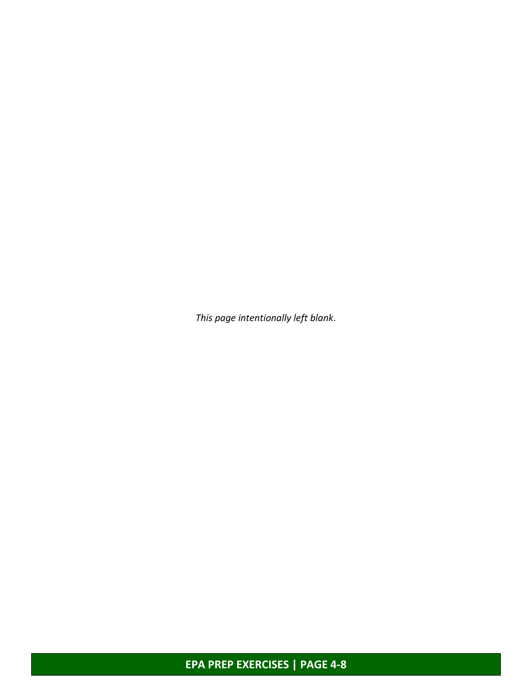*This page intentionally left blank*.

# **EPA PREP EXERCISES | PAGE 4-8**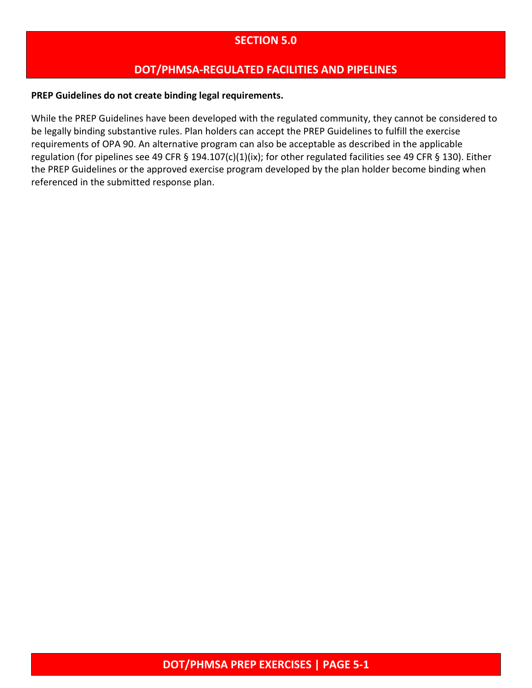#### **SECTION 5.0**

#### **DOT/PHMSA-REGULATED FACILITIES AND PIPELINES**

#### **PREP Guidelines do not create binding legal requirements.**

While the PREP Guidelines have been developed with the regulated community, they cannot be considered to be legally binding substantive rules. Plan holders can accept the PREP Guidelines to fulfill the exercise requirements of OPA 90. An alternative program can also be acceptable as described in the applicable regulation (for pipelines see 49 CFR § 194.107(c)(1)(ix); for other regulated facilities see 49 CFR § 130). Either the PREP Guidelines or the approved exercise program developed by the plan holder become binding when referenced in the submitted response plan.

#### **DOT/PHMSA PREP EXERCISES | PAGE 5-1**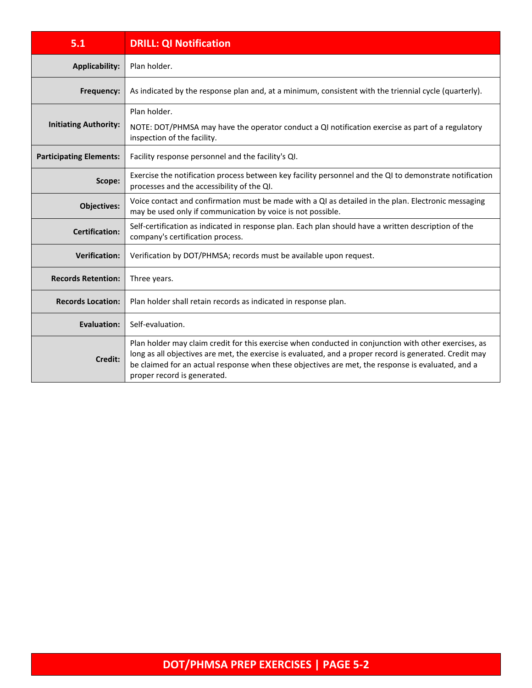| 5.1                            | <b>DRILL: QI Notification</b>                                                                                                                                                                                                                                                                                                                        |
|--------------------------------|------------------------------------------------------------------------------------------------------------------------------------------------------------------------------------------------------------------------------------------------------------------------------------------------------------------------------------------------------|
| <b>Applicability:</b>          | Plan holder.                                                                                                                                                                                                                                                                                                                                         |
| Frequency:                     | As indicated by the response plan and, at a minimum, consistent with the triennial cycle (quarterly).                                                                                                                                                                                                                                                |
| <b>Initiating Authority:</b>   | Plan holder.<br>NOTE: DOT/PHMSA may have the operator conduct a QI notification exercise as part of a regulatory<br>inspection of the facility.                                                                                                                                                                                                      |
| <b>Participating Elements:</b> | Facility response personnel and the facility's QI.                                                                                                                                                                                                                                                                                                   |
| Scope:                         | Exercise the notification process between key facility personnel and the QI to demonstrate notification<br>processes and the accessibility of the QI.                                                                                                                                                                                                |
| <b>Objectives:</b>             | Voice contact and confirmation must be made with a QI as detailed in the plan. Electronic messaging<br>may be used only if communication by voice is not possible.                                                                                                                                                                                   |
| <b>Certification:</b>          | Self-certification as indicated in response plan. Each plan should have a written description of the<br>company's certification process.                                                                                                                                                                                                             |
| <b>Verification:</b>           | Verification by DOT/PHMSA; records must be available upon request.                                                                                                                                                                                                                                                                                   |
| <b>Records Retention:</b>      | Three years.                                                                                                                                                                                                                                                                                                                                         |
| <b>Records Location:</b>       | Plan holder shall retain records as indicated in response plan.                                                                                                                                                                                                                                                                                      |
| Evaluation:                    | Self-evaluation.                                                                                                                                                                                                                                                                                                                                     |
| Credit:                        | Plan holder may claim credit for this exercise when conducted in conjunction with other exercises, as<br>long as all objectives are met, the exercise is evaluated, and a proper record is generated. Credit may<br>be claimed for an actual response when these objectives are met, the response is evaluated, and a<br>proper record is generated. |

## **DOT/PHMSA PREP EXERCISES | PAGE 5-2**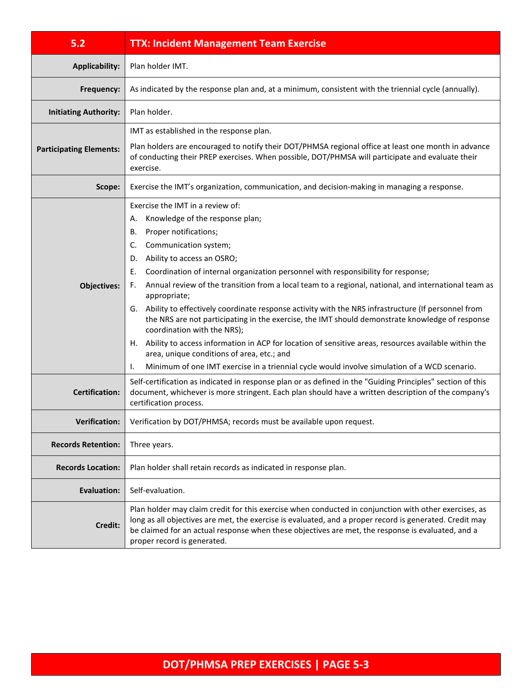| 5.2                            | <b>TTX: Incident Management Team Exercise</b>                                                                                                                                                                                                                                                                                                                                                                                                                                                                                                                                                                                                                                                                                                                                                                                                                                                                        |
|--------------------------------|----------------------------------------------------------------------------------------------------------------------------------------------------------------------------------------------------------------------------------------------------------------------------------------------------------------------------------------------------------------------------------------------------------------------------------------------------------------------------------------------------------------------------------------------------------------------------------------------------------------------------------------------------------------------------------------------------------------------------------------------------------------------------------------------------------------------------------------------------------------------------------------------------------------------|
| <b>Applicability:</b>          | Plan holder IMT.                                                                                                                                                                                                                                                                                                                                                                                                                                                                                                                                                                                                                                                                                                                                                                                                                                                                                                     |
| Frequency:                     | As indicated by the response plan and, at a minimum, consistent with the triennial cycle (annually).                                                                                                                                                                                                                                                                                                                                                                                                                                                                                                                                                                                                                                                                                                                                                                                                                 |
| <b>Initiating Authority:</b>   | Plan holder.                                                                                                                                                                                                                                                                                                                                                                                                                                                                                                                                                                                                                                                                                                                                                                                                                                                                                                         |
| <b>Participating Elements:</b> | IMT as established in the response plan.<br>Plan holders are encouraged to notify their DOT/PHMSA regional office at least one month in advance                                                                                                                                                                                                                                                                                                                                                                                                                                                                                                                                                                                                                                                                                                                                                                      |
|                                | of conducting their PREP exercises. When possible, DOT/PHMSA will participate and evaluate their<br>exercise.                                                                                                                                                                                                                                                                                                                                                                                                                                                                                                                                                                                                                                                                                                                                                                                                        |
| Scope:                         | Exercise the IMT's organization, communication, and decision-making in managing a response.                                                                                                                                                                                                                                                                                                                                                                                                                                                                                                                                                                                                                                                                                                                                                                                                                          |
| <b>Objectives:</b>             | Exercise the IMT in a review of:<br>Knowledge of the response plan;<br>А.<br>Proper notifications;<br>В.<br>C.<br>Communication system;<br>Ability to access an OSRO;<br>D.<br>Ε.<br>Coordination of internal organization personnel with responsibility for response;<br>Annual review of the transition from a local team to a regional, national, and international team as<br>F.<br>appropriate;<br>Ability to effectively coordinate response activity with the NRS infrastructure (If personnel from<br>G.<br>the NRS are not participating in the exercise, the IMT should demonstrate knowledge of response<br>coordination with the NRS);<br>Ability to access information in ACP for location of sensitive areas, resources available within the<br>Н.<br>area, unique conditions of area, etc.; and<br>Minimum of one IMT exercise in a triennial cycle would involve simulation of a WCD scenario.<br>ı. |
| <b>Certification:</b>          | Self-certification as indicated in response plan or as defined in the "Guiding Principles" section of this<br>document, whichever is more stringent. Each plan should have a written description of the company's<br>certification process.                                                                                                                                                                                                                                                                                                                                                                                                                                                                                                                                                                                                                                                                          |
| Verification:                  | Verification by DOT/PHMSA; records must be available upon request.                                                                                                                                                                                                                                                                                                                                                                                                                                                                                                                                                                                                                                                                                                                                                                                                                                                   |
| <b>Records Retention:</b>      | Three years.                                                                                                                                                                                                                                                                                                                                                                                                                                                                                                                                                                                                                                                                                                                                                                                                                                                                                                         |
| <b>Records Location:</b>       | Plan holder shall retain records as indicated in response plan.                                                                                                                                                                                                                                                                                                                                                                                                                                                                                                                                                                                                                                                                                                                                                                                                                                                      |
| <b>Evaluation:</b>             | Self-evaluation.                                                                                                                                                                                                                                                                                                                                                                                                                                                                                                                                                                                                                                                                                                                                                                                                                                                                                                     |
| Credit:                        | Plan holder may claim credit for this exercise when conducted in conjunction with other exercises, as<br>long as all objectives are met, the exercise is evaluated, and a proper record is generated. Credit may<br>be claimed for an actual response when these objectives are met, the response is evaluated, and a<br>proper record is generated.                                                                                                                                                                                                                                                                                                                                                                                                                                                                                                                                                                 |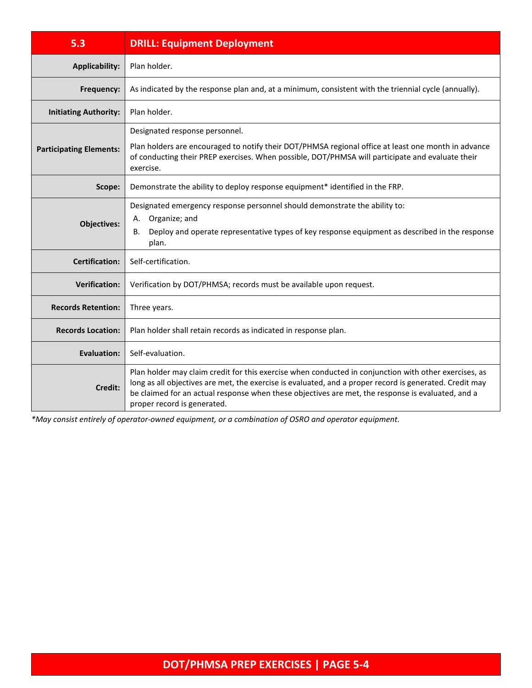| 5.3                            | <b>DRILL: Equipment Deployment</b>                                                                                                                                                                                                                                                                                                                   |
|--------------------------------|------------------------------------------------------------------------------------------------------------------------------------------------------------------------------------------------------------------------------------------------------------------------------------------------------------------------------------------------------|
| Applicability:                 | Plan holder.                                                                                                                                                                                                                                                                                                                                         |
| Frequency:                     | As indicated by the response plan and, at a minimum, consistent with the triennial cycle (annually).                                                                                                                                                                                                                                                 |
| <b>Initiating Authority:</b>   | Plan holder.                                                                                                                                                                                                                                                                                                                                         |
|                                | Designated response personnel.                                                                                                                                                                                                                                                                                                                       |
| <b>Participating Elements:</b> | Plan holders are encouraged to notify their DOT/PHMSA regional office at least one month in advance<br>of conducting their PREP exercises. When possible, DOT/PHMSA will participate and evaluate their<br>exercise.                                                                                                                                 |
| Scope:                         | Demonstrate the ability to deploy response equipment* identified in the FRP.                                                                                                                                                                                                                                                                         |
| <b>Objectives:</b>             | Designated emergency response personnel should demonstrate the ability to:<br>Organize; and<br>А.<br>Deploy and operate representative types of key response equipment as described in the response<br>В.<br>plan.                                                                                                                                   |
| <b>Certification:</b>          | Self-certification.                                                                                                                                                                                                                                                                                                                                  |
| <b>Verification:</b>           | Verification by DOT/PHMSA; records must be available upon request.                                                                                                                                                                                                                                                                                   |
| <b>Records Retention:</b>      | Three years.                                                                                                                                                                                                                                                                                                                                         |
| <b>Records Location:</b>       | Plan holder shall retain records as indicated in response plan.                                                                                                                                                                                                                                                                                      |
| <b>Evaluation:</b>             | Self-evaluation.                                                                                                                                                                                                                                                                                                                                     |
| Credit:                        | Plan holder may claim credit for this exercise when conducted in conjunction with other exercises, as<br>long as all objectives are met, the exercise is evaluated, and a proper record is generated. Credit may<br>be claimed for an actual response when these objectives are met, the response is evaluated, and a<br>proper record is generated. |

*\*May consist entirely of operator-owned equipment, or a combination of OSRO and operator equipment.*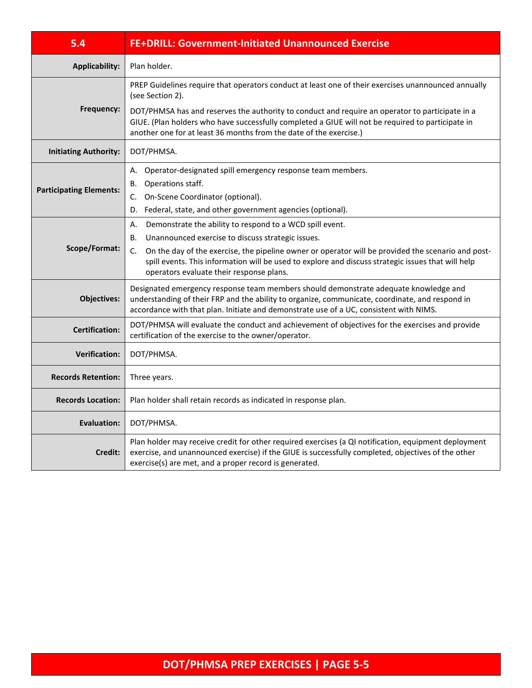| 5.4                            | <b>FE+DRILL: Government-Initiated Unannounced Exercise</b>                                                                                                                                                                                                                                                            |
|--------------------------------|-----------------------------------------------------------------------------------------------------------------------------------------------------------------------------------------------------------------------------------------------------------------------------------------------------------------------|
| <b>Applicability:</b>          | Plan holder.                                                                                                                                                                                                                                                                                                          |
| Frequency:                     | PREP Guidelines require that operators conduct at least one of their exercises unannounced annually<br>(see Section 2).                                                                                                                                                                                               |
|                                | DOT/PHMSA has and reserves the authority to conduct and require an operator to participate in a<br>GIUE. (Plan holders who have successfully completed a GIUE will not be required to participate in<br>another one for at least 36 months from the date of the exercise.)                                            |
| <b>Initiating Authority:</b>   | DOT/PHMSA.                                                                                                                                                                                                                                                                                                            |
| <b>Participating Elements:</b> | A. Operator-designated spill emergency response team members.<br>Operations staff.<br>В.<br>On-Scene Coordinator (optional).<br>C.<br>D. Federal, state, and other government agencies (optional).                                                                                                                    |
|                                | А.<br>Demonstrate the ability to respond to a WCD spill event.                                                                                                                                                                                                                                                        |
| Scope/Format:                  | Unannounced exercise to discuss strategic issues.<br>В.<br>C.<br>On the day of the exercise, the pipeline owner or operator will be provided the scenario and post-<br>spill events. This information will be used to explore and discuss strategic issues that will help<br>operators evaluate their response plans. |
| <b>Objectives:</b>             | Designated emergency response team members should demonstrate adequate knowledge and<br>understanding of their FRP and the ability to organize, communicate, coordinate, and respond in<br>accordance with that plan. Initiate and demonstrate use of a UC, consistent with NIMS.                                     |
| <b>Certification:</b>          | DOT/PHMSA will evaluate the conduct and achievement of objectives for the exercises and provide<br>certification of the exercise to the owner/operator.                                                                                                                                                               |
| <b>Verification:</b>           | DOT/PHMSA.                                                                                                                                                                                                                                                                                                            |
| <b>Records Retention:</b>      | Three years.                                                                                                                                                                                                                                                                                                          |
| <b>Records Location:</b>       | Plan holder shall retain records as indicated in response plan.                                                                                                                                                                                                                                                       |
| Evaluation:                    | DOT/PHMSA.                                                                                                                                                                                                                                                                                                            |
| Credit:                        | Plan holder may receive credit for other required exercises (a QI notification, equipment deployment<br>exercise, and unannounced exercise) if the GIUE is successfully completed, objectives of the other<br>exercise(s) are met, and a proper record is generated.                                                  |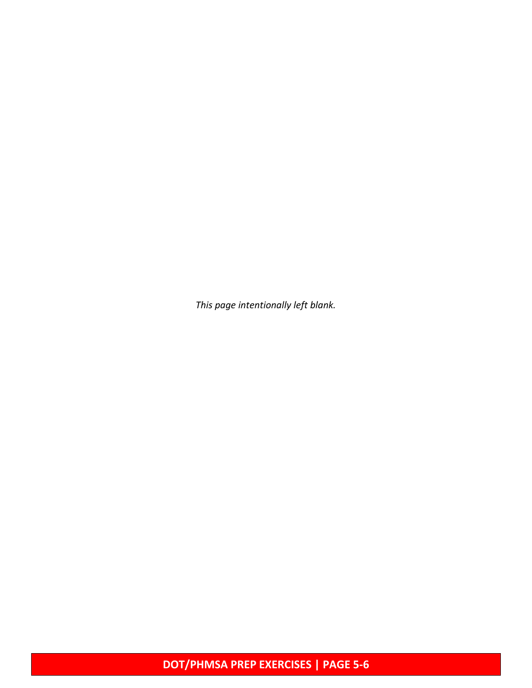*This page intentionally left blank.*

**DOT/PHMSA PREP EXERCISES | PAGE 5-6**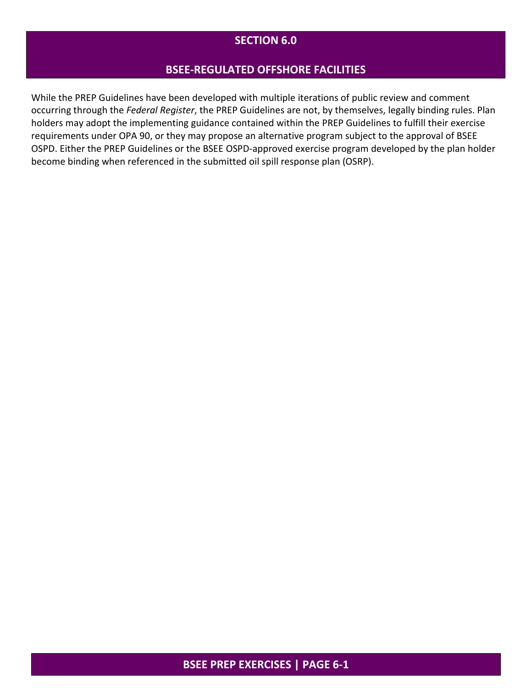#### **SECTION 6.0**

#### **BSEE-REGULATED OFFSHORE FACILITIES**

While the PREP Guidelines have been developed with multiple iterations of public review and comment occurring through the *Federal Register*, the PREP Guidelines are not, by themselves, legally binding rules. Plan holders may adopt the implementing guidance contained within the PREP Guidelines to fulfill their exercise requirements under OPA 90, or they may propose an alternative program subject to the approval of BSEE OSPD. Either the PREP Guidelines or the BSEE OSPD-approved exercise program developed by the plan holder become binding when referenced in the submitted oil spill response plan (OSRP).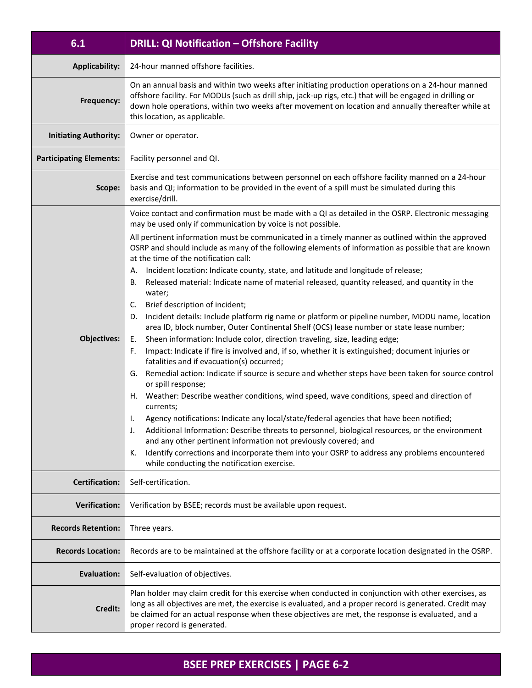| 6.1                            | <b>DRILL: QI Notification - Offshore Facility</b>                                                                                                                                                                                                                                                                                                                                                                                                                                                                                                                                                                                                                                                                                                                                                                                                                                                                                                                                                                                                                                                                                                                                                                                                                                                                                                                                                                                                                                                                                                                                                                                                            |
|--------------------------------|--------------------------------------------------------------------------------------------------------------------------------------------------------------------------------------------------------------------------------------------------------------------------------------------------------------------------------------------------------------------------------------------------------------------------------------------------------------------------------------------------------------------------------------------------------------------------------------------------------------------------------------------------------------------------------------------------------------------------------------------------------------------------------------------------------------------------------------------------------------------------------------------------------------------------------------------------------------------------------------------------------------------------------------------------------------------------------------------------------------------------------------------------------------------------------------------------------------------------------------------------------------------------------------------------------------------------------------------------------------------------------------------------------------------------------------------------------------------------------------------------------------------------------------------------------------------------------------------------------------------------------------------------------------|
| <b>Applicability:</b>          | 24-hour manned offshore facilities.                                                                                                                                                                                                                                                                                                                                                                                                                                                                                                                                                                                                                                                                                                                                                                                                                                                                                                                                                                                                                                                                                                                                                                                                                                                                                                                                                                                                                                                                                                                                                                                                                          |
| Frequency:                     | On an annual basis and within two weeks after initiating production operations on a 24-hour manned<br>offshore facility. For MODUs (such as drill ship, jack-up rigs, etc.) that will be engaged in drilling or<br>down hole operations, within two weeks after movement on location and annually thereafter while at<br>this location, as applicable.                                                                                                                                                                                                                                                                                                                                                                                                                                                                                                                                                                                                                                                                                                                                                                                                                                                                                                                                                                                                                                                                                                                                                                                                                                                                                                       |
| <b>Initiating Authority:</b>   | Owner or operator.                                                                                                                                                                                                                                                                                                                                                                                                                                                                                                                                                                                                                                                                                                                                                                                                                                                                                                                                                                                                                                                                                                                                                                                                                                                                                                                                                                                                                                                                                                                                                                                                                                           |
| <b>Participating Elements:</b> | Facility personnel and QI.                                                                                                                                                                                                                                                                                                                                                                                                                                                                                                                                                                                                                                                                                                                                                                                                                                                                                                                                                                                                                                                                                                                                                                                                                                                                                                                                                                                                                                                                                                                                                                                                                                   |
| Scope:                         | Exercise and test communications between personnel on each offshore facility manned on a 24-hour<br>basis and QI; information to be provided in the event of a spill must be simulated during this<br>exercise/drill.                                                                                                                                                                                                                                                                                                                                                                                                                                                                                                                                                                                                                                                                                                                                                                                                                                                                                                                                                                                                                                                                                                                                                                                                                                                                                                                                                                                                                                        |
| <b>Objectives:</b>             | Voice contact and confirmation must be made with a QI as detailed in the OSRP. Electronic messaging<br>may be used only if communication by voice is not possible.<br>All pertinent information must be communicated in a timely manner as outlined within the approved<br>OSRP and should include as many of the following elements of information as possible that are known<br>at the time of the notification call:<br>Incident location: Indicate county, state, and latitude and longitude of release;<br>А.<br>Released material: Indicate name of material released, quantity released, and quantity in the<br>В.<br>water;<br>Brief description of incident;<br>C.<br>Incident details: Include platform rig name or platform or pipeline number, MODU name, location<br>D.<br>area ID, block number, Outer Continental Shelf (OCS) lease number or state lease number;<br>Sheen information: Include color, direction traveling, size, leading edge;<br>Е.<br>Impact: Indicate if fire is involved and, if so, whether it is extinguished; document injuries or<br>F.<br>fatalities and if evacuation(s) occurred;<br>Remedial action: Indicate if source is secure and whether steps have been taken for source control<br>G.<br>or spill response;<br>Weather: Describe weather conditions, wind speed, wave conditions, speed and direction of<br>Н.<br>currents;<br>Agency notifications: Indicate any local/state/federal agencies that have been notified;<br>ı.<br>Additional Information: Describe threats to personnel, biological resources, or the environment<br>J.<br>and any other pertinent information not previously covered; and |
|                                | Identify corrections and incorporate them into your OSRP to address any problems encountered<br>К.<br>while conducting the notification exercise.                                                                                                                                                                                                                                                                                                                                                                                                                                                                                                                                                                                                                                                                                                                                                                                                                                                                                                                                                                                                                                                                                                                                                                                                                                                                                                                                                                                                                                                                                                            |
| <b>Certification:</b>          | Self-certification.                                                                                                                                                                                                                                                                                                                                                                                                                                                                                                                                                                                                                                                                                                                                                                                                                                                                                                                                                                                                                                                                                                                                                                                                                                                                                                                                                                                                                                                                                                                                                                                                                                          |
| <b>Verification:</b>           | Verification by BSEE; records must be available upon request.                                                                                                                                                                                                                                                                                                                                                                                                                                                                                                                                                                                                                                                                                                                                                                                                                                                                                                                                                                                                                                                                                                                                                                                                                                                                                                                                                                                                                                                                                                                                                                                                |
| <b>Records Retention:</b>      | Three years.                                                                                                                                                                                                                                                                                                                                                                                                                                                                                                                                                                                                                                                                                                                                                                                                                                                                                                                                                                                                                                                                                                                                                                                                                                                                                                                                                                                                                                                                                                                                                                                                                                                 |
| <b>Records Location:</b>       | Records are to be maintained at the offshore facility or at a corporate location designated in the OSRP.                                                                                                                                                                                                                                                                                                                                                                                                                                                                                                                                                                                                                                                                                                                                                                                                                                                                                                                                                                                                                                                                                                                                                                                                                                                                                                                                                                                                                                                                                                                                                     |
| <b>Evaluation:</b>             | Self-evaluation of objectives.                                                                                                                                                                                                                                                                                                                                                                                                                                                                                                                                                                                                                                                                                                                                                                                                                                                                                                                                                                                                                                                                                                                                                                                                                                                                                                                                                                                                                                                                                                                                                                                                                               |
| Credit:                        | Plan holder may claim credit for this exercise when conducted in conjunction with other exercises, as<br>long as all objectives are met, the exercise is evaluated, and a proper record is generated. Credit may<br>be claimed for an actual response when these objectives are met, the response is evaluated, and a<br>proper record is generated.                                                                                                                                                                                                                                                                                                                                                                                                                                                                                                                                                                                                                                                                                                                                                                                                                                                                                                                                                                                                                                                                                                                                                                                                                                                                                                         |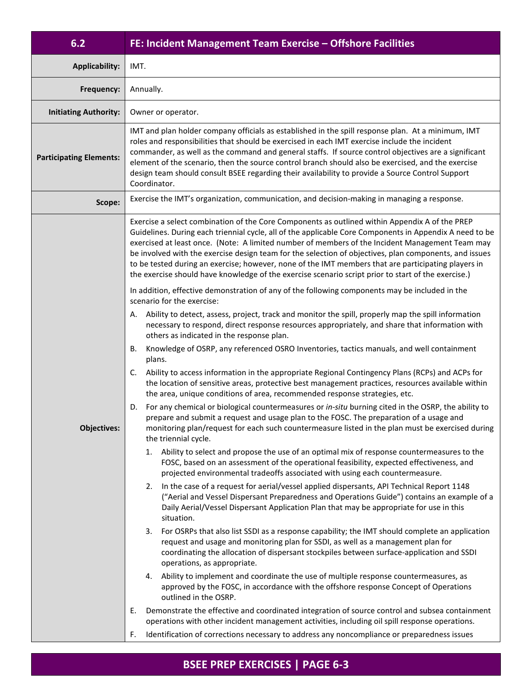| 6.2                            | FE: Incident Management Team Exercise - Offshore Facilities                                                                                                                                                                                                                                                                                                                                                                                                                                                                                                                                                                                                                                                                                                                                                                                                                                                                                                                                                                                                                                                                                                                                                                                                                                                                                                                                                                                                                                                                                                                                                                                                                                                                                                                                                                                                                                                                                                                                                                                                                                                                                                                                                                                                                                                                                                                                                                                                                                                                                                                                                                                                                                                                                                                                                                                                                         |
|--------------------------------|-------------------------------------------------------------------------------------------------------------------------------------------------------------------------------------------------------------------------------------------------------------------------------------------------------------------------------------------------------------------------------------------------------------------------------------------------------------------------------------------------------------------------------------------------------------------------------------------------------------------------------------------------------------------------------------------------------------------------------------------------------------------------------------------------------------------------------------------------------------------------------------------------------------------------------------------------------------------------------------------------------------------------------------------------------------------------------------------------------------------------------------------------------------------------------------------------------------------------------------------------------------------------------------------------------------------------------------------------------------------------------------------------------------------------------------------------------------------------------------------------------------------------------------------------------------------------------------------------------------------------------------------------------------------------------------------------------------------------------------------------------------------------------------------------------------------------------------------------------------------------------------------------------------------------------------------------------------------------------------------------------------------------------------------------------------------------------------------------------------------------------------------------------------------------------------------------------------------------------------------------------------------------------------------------------------------------------------------------------------------------------------------------------------------------------------------------------------------------------------------------------------------------------------------------------------------------------------------------------------------------------------------------------------------------------------------------------------------------------------------------------------------------------------------------------------------------------------------------------------------------------------|
| <b>Applicability:</b>          | IMT.                                                                                                                                                                                                                                                                                                                                                                                                                                                                                                                                                                                                                                                                                                                                                                                                                                                                                                                                                                                                                                                                                                                                                                                                                                                                                                                                                                                                                                                                                                                                                                                                                                                                                                                                                                                                                                                                                                                                                                                                                                                                                                                                                                                                                                                                                                                                                                                                                                                                                                                                                                                                                                                                                                                                                                                                                                                                                |
| Frequency:                     | Annually.                                                                                                                                                                                                                                                                                                                                                                                                                                                                                                                                                                                                                                                                                                                                                                                                                                                                                                                                                                                                                                                                                                                                                                                                                                                                                                                                                                                                                                                                                                                                                                                                                                                                                                                                                                                                                                                                                                                                                                                                                                                                                                                                                                                                                                                                                                                                                                                                                                                                                                                                                                                                                                                                                                                                                                                                                                                                           |
| <b>Initiating Authority:</b>   | Owner or operator.                                                                                                                                                                                                                                                                                                                                                                                                                                                                                                                                                                                                                                                                                                                                                                                                                                                                                                                                                                                                                                                                                                                                                                                                                                                                                                                                                                                                                                                                                                                                                                                                                                                                                                                                                                                                                                                                                                                                                                                                                                                                                                                                                                                                                                                                                                                                                                                                                                                                                                                                                                                                                                                                                                                                                                                                                                                                  |
| <b>Participating Elements:</b> | IMT and plan holder company officials as established in the spill response plan. At a minimum, IMT<br>roles and responsibilities that should be exercised in each IMT exercise include the incident<br>commander, as well as the command and general staffs. If source control objectives are a significant<br>element of the scenario, then the source control branch should also be exercised, and the exercise<br>design team should consult BSEE regarding their availability to provide a Source Control Support<br>Coordinator.                                                                                                                                                                                                                                                                                                                                                                                                                                                                                                                                                                                                                                                                                                                                                                                                                                                                                                                                                                                                                                                                                                                                                                                                                                                                                                                                                                                                                                                                                                                                                                                                                                                                                                                                                                                                                                                                                                                                                                                                                                                                                                                                                                                                                                                                                                                                               |
| Scope:                         | Exercise the IMT's organization, communication, and decision-making in managing a response.                                                                                                                                                                                                                                                                                                                                                                                                                                                                                                                                                                                                                                                                                                                                                                                                                                                                                                                                                                                                                                                                                                                                                                                                                                                                                                                                                                                                                                                                                                                                                                                                                                                                                                                                                                                                                                                                                                                                                                                                                                                                                                                                                                                                                                                                                                                                                                                                                                                                                                                                                                                                                                                                                                                                                                                         |
| <b>Objectives:</b>             | Exercise a select combination of the Core Components as outlined within Appendix A of the PREP<br>Guidelines. During each triennial cycle, all of the applicable Core Components in Appendix A need to be<br>exercised at least once. (Note: A limited number of members of the Incident Management Team may<br>be involved with the exercise design team for the selection of objectives, plan components, and issues<br>to be tested during an exercise; however, none of the IMT members that are participating players in<br>the exercise should have knowledge of the exercise scenario script prior to start of the exercise.)<br>In addition, effective demonstration of any of the following components may be included in the<br>scenario for the exercise:<br>A. Ability to detect, assess, project, track and monitor the spill, properly map the spill information<br>necessary to respond, direct response resources appropriately, and share that information with<br>others as indicated in the response plan.<br>Knowledge of OSRP, any referenced OSRO Inventories, tactics manuals, and well containment<br>В.<br>plans.<br>Ability to access information in the appropriate Regional Contingency Plans (RCPs) and ACPs for<br>C.<br>the location of sensitive areas, protective best management practices, resources available within<br>the area, unique conditions of area, recommended response strategies, etc.<br>For any chemical or biological countermeasures or in-situ burning cited in the OSRP, the ability to<br>D.<br>prepare and submit a request and usage plan to the FOSC. The preparation of a usage and<br>monitoring plan/request for each such countermeasure listed in the plan must be exercised during<br>the triennial cycle.<br>Ability to select and propose the use of an optimal mix of response countermeasures to the<br>1.<br>FOSC, based on an assessment of the operational feasibility, expected effectiveness, and<br>projected environmental tradeoffs associated with using each countermeasure.<br>In the case of a request for aerial/vessel applied dispersants, API Technical Report 1148<br>2.<br>("Aerial and Vessel Dispersant Preparedness and Operations Guide") contains an example of a<br>Daily Aerial/Vessel Dispersant Application Plan that may be appropriate for use in this<br>situation.<br>For OSRPs that also list SSDI as a response capability; the IMT should complete an application<br>3.<br>request and usage and monitoring plan for SSDI, as well as a management plan for<br>coordinating the allocation of dispersant stockpiles between surface-application and SSDI<br>operations, as appropriate.<br>Ability to implement and coordinate the use of multiple response countermeasures, as<br>4.<br>approved by the FOSC, in accordance with the offshore response Concept of Operations |
|                                | outlined in the OSRP.<br>Demonstrate the effective and coordinated integration of source control and subsea containment<br>Ε.<br>operations with other incident management activities, including oil spill response operations.                                                                                                                                                                                                                                                                                                                                                                                                                                                                                                                                                                                                                                                                                                                                                                                                                                                                                                                                                                                                                                                                                                                                                                                                                                                                                                                                                                                                                                                                                                                                                                                                                                                                                                                                                                                                                                                                                                                                                                                                                                                                                                                                                                                                                                                                                                                                                                                                                                                                                                                                                                                                                                                     |
|                                | Identification of corrections necessary to address any noncompliance or preparedness issues<br>F.                                                                                                                                                                                                                                                                                                                                                                                                                                                                                                                                                                                                                                                                                                                                                                                                                                                                                                                                                                                                                                                                                                                                                                                                                                                                                                                                                                                                                                                                                                                                                                                                                                                                                                                                                                                                                                                                                                                                                                                                                                                                                                                                                                                                                                                                                                                                                                                                                                                                                                                                                                                                                                                                                                                                                                                   |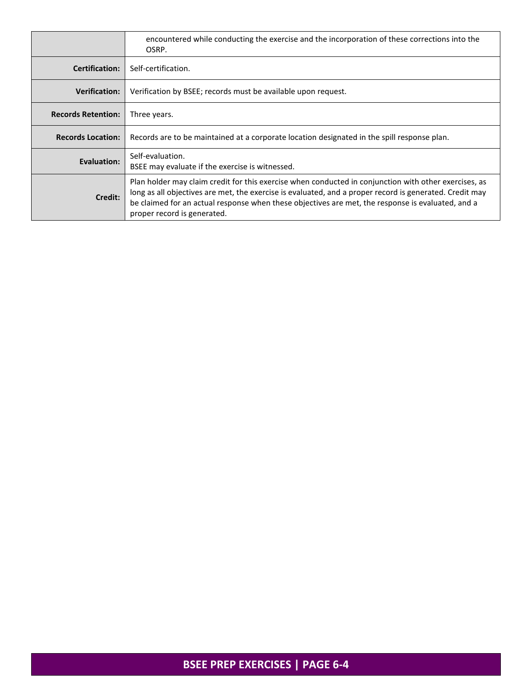|                           | encountered while conducting the exercise and the incorporation of these corrections into the<br>OSRP.                                                                                                                                                                                                                                               |
|---------------------------|------------------------------------------------------------------------------------------------------------------------------------------------------------------------------------------------------------------------------------------------------------------------------------------------------------------------------------------------------|
| <b>Certification:</b>     | Self-certification.                                                                                                                                                                                                                                                                                                                                  |
| <b>Verification:</b>      | Verification by BSEE; records must be available upon request.                                                                                                                                                                                                                                                                                        |
| <b>Records Retention:</b> | Three years.                                                                                                                                                                                                                                                                                                                                         |
| <b>Records Location:</b>  | Records are to be maintained at a corporate location designated in the spill response plan.                                                                                                                                                                                                                                                          |
| Evaluation:               | Self-evaluation.<br>BSEE may evaluate if the exercise is witnessed.                                                                                                                                                                                                                                                                                  |
| Credit:                   | Plan holder may claim credit for this exercise when conducted in conjunction with other exercises, as<br>long as all objectives are met, the exercise is evaluated, and a proper record is generated. Credit may<br>be claimed for an actual response when these objectives are met, the response is evaluated, and a<br>proper record is generated. |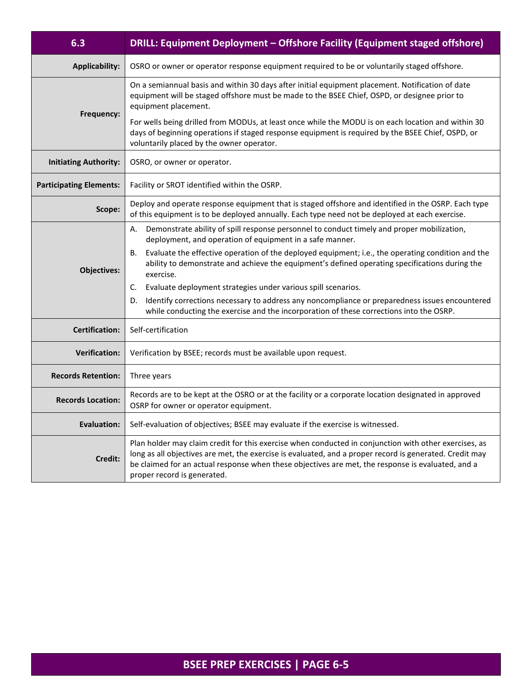| 6.3                            | DRILL: Equipment Deployment - Offshore Facility (Equipment staged offshore)                                                                                                                                                                                                                                                                                                                                                                                                                                                                                                                                                                                      |
|--------------------------------|------------------------------------------------------------------------------------------------------------------------------------------------------------------------------------------------------------------------------------------------------------------------------------------------------------------------------------------------------------------------------------------------------------------------------------------------------------------------------------------------------------------------------------------------------------------------------------------------------------------------------------------------------------------|
| <b>Applicability:</b>          | OSRO or owner or operator response equipment required to be or voluntarily staged offshore.                                                                                                                                                                                                                                                                                                                                                                                                                                                                                                                                                                      |
| <b>Frequency:</b>              | On a semiannual basis and within 30 days after initial equipment placement. Notification of date<br>equipment will be staged offshore must be made to the BSEE Chief, OSPD, or designee prior to<br>equipment placement.                                                                                                                                                                                                                                                                                                                                                                                                                                         |
|                                | For wells being drilled from MODUs, at least once while the MODU is on each location and within 30<br>days of beginning operations if staged response equipment is required by the BSEE Chief, OSPD, or<br>voluntarily placed by the owner operator.                                                                                                                                                                                                                                                                                                                                                                                                             |
| <b>Initiating Authority:</b>   | OSRO, or owner or operator.                                                                                                                                                                                                                                                                                                                                                                                                                                                                                                                                                                                                                                      |
| <b>Participating Elements:</b> | Facility or SROT identified within the OSRP.                                                                                                                                                                                                                                                                                                                                                                                                                                                                                                                                                                                                                     |
| Scope:                         | Deploy and operate response equipment that is staged offshore and identified in the OSRP. Each type<br>of this equipment is to be deployed annually. Each type need not be deployed at each exercise.                                                                                                                                                                                                                                                                                                                                                                                                                                                            |
| <b>Objectives:</b>             | Demonstrate ability of spill response personnel to conduct timely and proper mobilization,<br>А.<br>deployment, and operation of equipment in a safe manner.<br>Evaluate the effective operation of the deployed equipment; i.e., the operating condition and the<br>В.<br>ability to demonstrate and achieve the equipment's defined operating specifications during the<br>exercise.<br>Evaluate deployment strategies under various spill scenarios.<br>C.<br>Identify corrections necessary to address any noncompliance or preparedness issues encountered<br>D.<br>while conducting the exercise and the incorporation of these corrections into the OSRP. |
| <b>Certification:</b>          | Self-certification                                                                                                                                                                                                                                                                                                                                                                                                                                                                                                                                                                                                                                               |
| <b>Verification:</b>           | Verification by BSEE; records must be available upon request.                                                                                                                                                                                                                                                                                                                                                                                                                                                                                                                                                                                                    |
| <b>Records Retention:</b>      | Three years                                                                                                                                                                                                                                                                                                                                                                                                                                                                                                                                                                                                                                                      |
| <b>Records Location:</b>       | Records are to be kept at the OSRO or at the facility or a corporate location designated in approved<br>OSRP for owner or operator equipment.                                                                                                                                                                                                                                                                                                                                                                                                                                                                                                                    |
| <b>Evaluation:</b>             | Self-evaluation of objectives; BSEE may evaluate if the exercise is witnessed.                                                                                                                                                                                                                                                                                                                                                                                                                                                                                                                                                                                   |
| Credit:                        | Plan holder may claim credit for this exercise when conducted in conjunction with other exercises, as<br>long as all objectives are met, the exercise is evaluated, and a proper record is generated. Credit may<br>be claimed for an actual response when these objectives are met, the response is evaluated, and a<br>proper record is generated.                                                                                                                                                                                                                                                                                                             |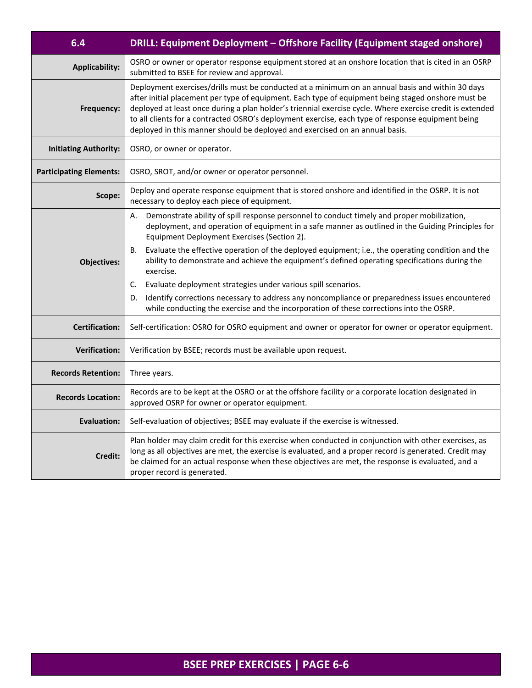| 6.4                            | DRILL: Equipment Deployment - Offshore Facility (Equipment staged onshore)                                                                                                                                                                                                                                                                                                                                                                                                                                                                                                                                                                                                                                                                               |
|--------------------------------|----------------------------------------------------------------------------------------------------------------------------------------------------------------------------------------------------------------------------------------------------------------------------------------------------------------------------------------------------------------------------------------------------------------------------------------------------------------------------------------------------------------------------------------------------------------------------------------------------------------------------------------------------------------------------------------------------------------------------------------------------------|
| <b>Applicability:</b>          | OSRO or owner or operator response equipment stored at an onshore location that is cited in an OSRP<br>submitted to BSEE for review and approval.                                                                                                                                                                                                                                                                                                                                                                                                                                                                                                                                                                                                        |
| Frequency:                     | Deployment exercises/drills must be conducted at a minimum on an annual basis and within 30 days<br>after initial placement per type of equipment. Each type of equipment being staged onshore must be<br>deployed at least once during a plan holder's triennial exercise cycle. Where exercise credit is extended<br>to all clients for a contracted OSRO's deployment exercise, each type of response equipment being<br>deployed in this manner should be deployed and exercised on an annual basis.                                                                                                                                                                                                                                                 |
| <b>Initiating Authority:</b>   | OSRO, or owner or operator.                                                                                                                                                                                                                                                                                                                                                                                                                                                                                                                                                                                                                                                                                                                              |
| <b>Participating Elements:</b> | OSRO, SROT, and/or owner or operator personnel.                                                                                                                                                                                                                                                                                                                                                                                                                                                                                                                                                                                                                                                                                                          |
| Scope:                         | Deploy and operate response equipment that is stored onshore and identified in the OSRP. It is not<br>necessary to deploy each piece of equipment.                                                                                                                                                                                                                                                                                                                                                                                                                                                                                                                                                                                                       |
| <b>Objectives:</b>             | Demonstrate ability of spill response personnel to conduct timely and proper mobilization,<br>А.<br>deployment, and operation of equipment in a safe manner as outlined in the Guiding Principles for<br>Equipment Deployment Exercises (Section 2).<br>Evaluate the effective operation of the deployed equipment; i.e., the operating condition and the<br>В.<br>ability to demonstrate and achieve the equipment's defined operating specifications during the<br>exercise.<br>Evaluate deployment strategies under various spill scenarios.<br>C.<br>Identify corrections necessary to address any noncompliance or preparedness issues encountered<br>D.<br>while conducting the exercise and the incorporation of these corrections into the OSRP. |
| <b>Certification:</b>          | Self-certification: OSRO for OSRO equipment and owner or operator for owner or operator equipment.                                                                                                                                                                                                                                                                                                                                                                                                                                                                                                                                                                                                                                                       |
| <b>Verification:</b>           | Verification by BSEE; records must be available upon request.                                                                                                                                                                                                                                                                                                                                                                                                                                                                                                                                                                                                                                                                                            |
| <b>Records Retention:</b>      | Three years.                                                                                                                                                                                                                                                                                                                                                                                                                                                                                                                                                                                                                                                                                                                                             |
| <b>Records Location:</b>       | Records are to be kept at the OSRO or at the offshore facility or a corporate location designated in<br>approved OSRP for owner or operator equipment.                                                                                                                                                                                                                                                                                                                                                                                                                                                                                                                                                                                                   |
| Evaluation:                    | Self-evaluation of objectives; BSEE may evaluate if the exercise is witnessed.                                                                                                                                                                                                                                                                                                                                                                                                                                                                                                                                                                                                                                                                           |
| Credit:                        | Plan holder may claim credit for this exercise when conducted in conjunction with other exercises, as<br>long as all objectives are met, the exercise is evaluated, and a proper record is generated. Credit may<br>be claimed for an actual response when these objectives are met, the response is evaluated, and a<br>proper record is generated.                                                                                                                                                                                                                                                                                                                                                                                                     |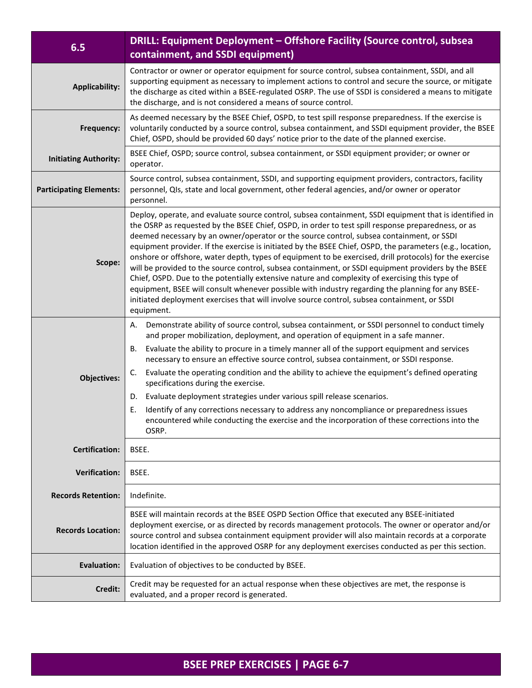| 6.5                            | DRILL: Equipment Deployment - Offshore Facility (Source control, subsea<br>containment, and SSDI equipment)                                                                                                                                                                                                                                                                                                                                                                                                                                                                                                                                                                                                                                                                                                                                                                                                                                                  |
|--------------------------------|--------------------------------------------------------------------------------------------------------------------------------------------------------------------------------------------------------------------------------------------------------------------------------------------------------------------------------------------------------------------------------------------------------------------------------------------------------------------------------------------------------------------------------------------------------------------------------------------------------------------------------------------------------------------------------------------------------------------------------------------------------------------------------------------------------------------------------------------------------------------------------------------------------------------------------------------------------------|
| <b>Applicability:</b>          | Contractor or owner or operator equipment for source control, subsea containment, SSDI, and all<br>supporting equipment as necessary to implement actions to control and secure the source, or mitigate<br>the discharge as cited within a BSEE-regulated OSRP. The use of SSDI is considered a means to mitigate<br>the discharge, and is not considered a means of source control.                                                                                                                                                                                                                                                                                                                                                                                                                                                                                                                                                                         |
| Frequency:                     | As deemed necessary by the BSEE Chief, OSPD, to test spill response preparedness. If the exercise is<br>voluntarily conducted by a source control, subsea containment, and SSDI equipment provider, the BSEE<br>Chief, OSPD, should be provided 60 days' notice prior to the date of the planned exercise.                                                                                                                                                                                                                                                                                                                                                                                                                                                                                                                                                                                                                                                   |
| <b>Initiating Authority:</b>   | BSEE Chief, OSPD; source control, subsea containment, or SSDI equipment provider; or owner or<br>operator.                                                                                                                                                                                                                                                                                                                                                                                                                                                                                                                                                                                                                                                                                                                                                                                                                                                   |
| <b>Participating Elements:</b> | Source control, subsea containment, SSDI, and supporting equipment providers, contractors, facility<br>personnel, QIs, state and local government, other federal agencies, and/or owner or operator<br>personnel.                                                                                                                                                                                                                                                                                                                                                                                                                                                                                                                                                                                                                                                                                                                                            |
| Scope:                         | Deploy, operate, and evaluate source control, subsea containment, SSDI equipment that is identified in<br>the OSRP as requested by the BSEE Chief, OSPD, in order to test spill response preparedness, or as<br>deemed necessary by an owner/operator or the source control, subsea containment, or SSDI<br>equipment provider. If the exercise is initiated by the BSEE Chief, OSPD, the parameters (e.g., location,<br>onshore or offshore, water depth, types of equipment to be exercised, drill protocols) for the exercise<br>will be provided to the source control, subsea containment, or SSDI equipment providers by the BSEE<br>Chief, OSPD. Due to the potentially extensive nature and complexity of exercising this type of<br>equipment, BSEE will consult whenever possible with industry regarding the planning for any BSEE-<br>initiated deployment exercises that will involve source control, subsea containment, or SSDI<br>equipment. |
| <b>Objectives:</b>             | Demonstrate ability of source control, subsea containment, or SSDI personnel to conduct timely<br>А.<br>and proper mobilization, deployment, and operation of equipment in a safe manner.<br>Evaluate the ability to procure in a timely manner all of the support equipment and services<br>В.<br>necessary to ensure an effective source control, subsea containment, or SSDI response.<br>Evaluate the operating condition and the ability to achieve the equipment's defined operating<br>C.<br>specifications during the exercise.<br>Evaluate deployment strategies under various spill release scenarios.<br>D.<br>Ε.<br>Identify of any corrections necessary to address any noncompliance or preparedness issues<br>encountered while conducting the exercise and the incorporation of these corrections into the<br>OSRP.                                                                                                                          |
| <b>Certification:</b>          | BSEE.                                                                                                                                                                                                                                                                                                                                                                                                                                                                                                                                                                                                                                                                                                                                                                                                                                                                                                                                                        |
| <b>Verification:</b>           | BSEE.                                                                                                                                                                                                                                                                                                                                                                                                                                                                                                                                                                                                                                                                                                                                                                                                                                                                                                                                                        |
| <b>Records Retention:</b>      | Indefinite.                                                                                                                                                                                                                                                                                                                                                                                                                                                                                                                                                                                                                                                                                                                                                                                                                                                                                                                                                  |
| <b>Records Location:</b>       | BSEE will maintain records at the BSEE OSPD Section Office that executed any BSEE-initiated<br>deployment exercise, or as directed by records management protocols. The owner or operator and/or<br>source control and subsea containment equipment provider will also maintain records at a corporate<br>location identified in the approved OSRP for any deployment exercises conducted as per this section.                                                                                                                                                                                                                                                                                                                                                                                                                                                                                                                                               |
| <b>Evaluation:</b>             | Evaluation of objectives to be conducted by BSEE.                                                                                                                                                                                                                                                                                                                                                                                                                                                                                                                                                                                                                                                                                                                                                                                                                                                                                                            |
| Credit:                        | Credit may be requested for an actual response when these objectives are met, the response is<br>evaluated, and a proper record is generated.                                                                                                                                                                                                                                                                                                                                                                                                                                                                                                                                                                                                                                                                                                                                                                                                                |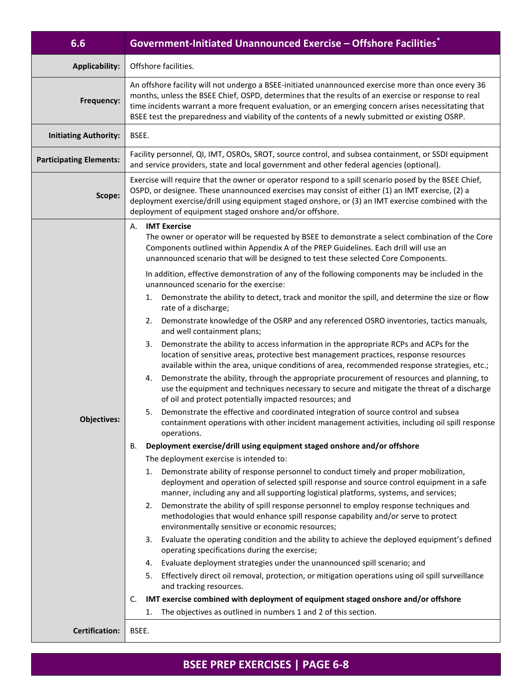| 6.6                            | Government-Initiated Unannounced Exercise - Offshore Facilities <sup>*</sup>                                                                                                                                                                                                                                                                                                                                                                                                                                                                                                                                                                                                                                                                                                                                                                                                                                                                                                                                                                                                                                                                                                                                                                                                                                                                                                                                                                                                                                                                                                                                                                                                                                                                                                                                                                                                                                                                                                                                                                                                                                                                                                                                                                                                                                                                                                                                                                                                                                                                                                                                                                                                                           |  |  |  |  |
|--------------------------------|--------------------------------------------------------------------------------------------------------------------------------------------------------------------------------------------------------------------------------------------------------------------------------------------------------------------------------------------------------------------------------------------------------------------------------------------------------------------------------------------------------------------------------------------------------------------------------------------------------------------------------------------------------------------------------------------------------------------------------------------------------------------------------------------------------------------------------------------------------------------------------------------------------------------------------------------------------------------------------------------------------------------------------------------------------------------------------------------------------------------------------------------------------------------------------------------------------------------------------------------------------------------------------------------------------------------------------------------------------------------------------------------------------------------------------------------------------------------------------------------------------------------------------------------------------------------------------------------------------------------------------------------------------------------------------------------------------------------------------------------------------------------------------------------------------------------------------------------------------------------------------------------------------------------------------------------------------------------------------------------------------------------------------------------------------------------------------------------------------------------------------------------------------------------------------------------------------------------------------------------------------------------------------------------------------------------------------------------------------------------------------------------------------------------------------------------------------------------------------------------------------------------------------------------------------------------------------------------------------------------------------------------------------------------------------------------------------|--|--|--|--|
| <b>Applicability:</b>          | Offshore facilities.                                                                                                                                                                                                                                                                                                                                                                                                                                                                                                                                                                                                                                                                                                                                                                                                                                                                                                                                                                                                                                                                                                                                                                                                                                                                                                                                                                                                                                                                                                                                                                                                                                                                                                                                                                                                                                                                                                                                                                                                                                                                                                                                                                                                                                                                                                                                                                                                                                                                                                                                                                                                                                                                                   |  |  |  |  |
| Frequency:                     | An offshore facility will not undergo a BSEE-initiated unannounced exercise more than once every 36<br>months, unless the BSEE Chief, OSPD, determines that the results of an exercise or response to real<br>time incidents warrant a more frequent evaluation, or an emerging concern arises necessitating that<br>BSEE test the preparedness and viability of the contents of a newly submitted or existing OSRP.                                                                                                                                                                                                                                                                                                                                                                                                                                                                                                                                                                                                                                                                                                                                                                                                                                                                                                                                                                                                                                                                                                                                                                                                                                                                                                                                                                                                                                                                                                                                                                                                                                                                                                                                                                                                                                                                                                                                                                                                                                                                                                                                                                                                                                                                                   |  |  |  |  |
| <b>Initiating Authority:</b>   | BSEE.                                                                                                                                                                                                                                                                                                                                                                                                                                                                                                                                                                                                                                                                                                                                                                                                                                                                                                                                                                                                                                                                                                                                                                                                                                                                                                                                                                                                                                                                                                                                                                                                                                                                                                                                                                                                                                                                                                                                                                                                                                                                                                                                                                                                                                                                                                                                                                                                                                                                                                                                                                                                                                                                                                  |  |  |  |  |
| <b>Participating Elements:</b> | Facility personnel, QI, IMT, OSROs, SROT, source control, and subsea containment, or SSDI equipment<br>and service providers, state and local government and other federal agencies (optional).                                                                                                                                                                                                                                                                                                                                                                                                                                                                                                                                                                                                                                                                                                                                                                                                                                                                                                                                                                                                                                                                                                                                                                                                                                                                                                                                                                                                                                                                                                                                                                                                                                                                                                                                                                                                                                                                                                                                                                                                                                                                                                                                                                                                                                                                                                                                                                                                                                                                                                        |  |  |  |  |
| Scope:                         | Exercise will require that the owner or operator respond to a spill scenario posed by the BSEE Chief,<br>OSPD, or designee. These unannounced exercises may consist of either (1) an IMT exercise, (2) a<br>deployment exercise/drill using equipment staged onshore, or (3) an IMT exercise combined with the<br>deployment of equipment staged onshore and/or offshore.                                                                                                                                                                                                                                                                                                                                                                                                                                                                                                                                                                                                                                                                                                                                                                                                                                                                                                                                                                                                                                                                                                                                                                                                                                                                                                                                                                                                                                                                                                                                                                                                                                                                                                                                                                                                                                                                                                                                                                                                                                                                                                                                                                                                                                                                                                                              |  |  |  |  |
| <b>Objectives:</b>             | <b>IMT Exercise</b><br>А.<br>The owner or operator will be requested by BSEE to demonstrate a select combination of the Core<br>Components outlined within Appendix A of the PREP Guidelines. Each drill will use an<br>unannounced scenario that will be designed to test these selected Core Components.<br>In addition, effective demonstration of any of the following components may be included in the<br>unannounced scenario for the exercise:<br>Demonstrate the ability to detect, track and monitor the spill, and determine the size or flow<br>1.<br>rate of a discharge;<br>Demonstrate knowledge of the OSRP and any referenced OSRO inventories, tactics manuals,<br>2.<br>and well containment plans;<br>Demonstrate the ability to access information in the appropriate RCPs and ACPs for the<br>3.<br>location of sensitive areas, protective best management practices, response resources<br>available within the area, unique conditions of area, recommended response strategies, etc.;<br>Demonstrate the ability, through the appropriate procurement of resources and planning, to<br>4.<br>use the equipment and techniques necessary to secure and mitigate the threat of a discharge<br>of oil and protect potentially impacted resources; and<br>Demonstrate the effective and coordinated integration of source control and subsea<br>5.<br>containment operations with other incident management activities, including oil spill response<br>operations.<br>Deployment exercise/drill using equipment staged onshore and/or offshore<br>В.<br>The deployment exercise is intended to:<br>Demonstrate ability of response personnel to conduct timely and proper mobilization,<br>1.<br>deployment and operation of selected spill response and source control equipment in a safe<br>manner, including any and all supporting logistical platforms, systems, and services;<br>Demonstrate the ability of spill response personnel to employ response techniques and<br>2.<br>methodologies that would enhance spill response capability and/or serve to protect<br>environmentally sensitive or economic resources;<br>Evaluate the operating condition and the ability to achieve the deployed equipment's defined<br>3.<br>operating specifications during the exercise;<br>Evaluate deployment strategies under the unannounced spill scenario; and<br>4.<br>Effectively direct oil removal, protection, or mitigation operations using oil spill surveillance<br>5.<br>and tracking resources.<br>IMT exercise combined with deployment of equipment staged onshore and/or offshore<br>C.<br>The objectives as outlined in numbers 1 and 2 of this section.<br>1. |  |  |  |  |
| <b>Certification:</b>          | BSEE.                                                                                                                                                                                                                                                                                                                                                                                                                                                                                                                                                                                                                                                                                                                                                                                                                                                                                                                                                                                                                                                                                                                                                                                                                                                                                                                                                                                                                                                                                                                                                                                                                                                                                                                                                                                                                                                                                                                                                                                                                                                                                                                                                                                                                                                                                                                                                                                                                                                                                                                                                                                                                                                                                                  |  |  |  |  |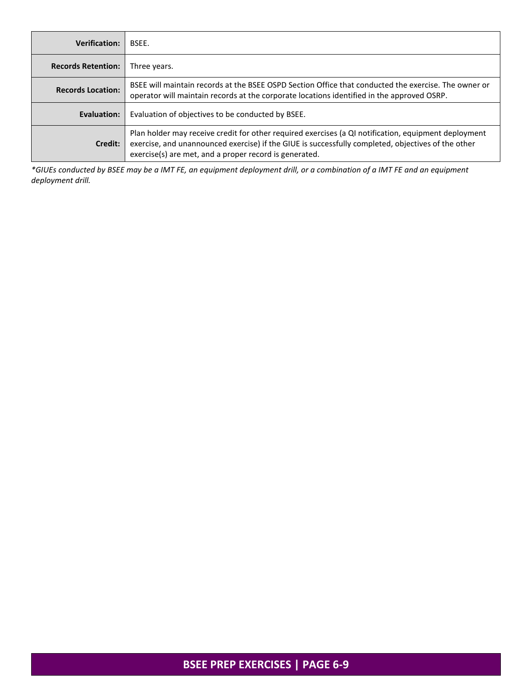| <b>Verification:</b>      | BSEE.                                                                                                                                                                                                                                                                |
|---------------------------|----------------------------------------------------------------------------------------------------------------------------------------------------------------------------------------------------------------------------------------------------------------------|
| <b>Records Retention:</b> | Three years.                                                                                                                                                                                                                                                         |
| <b>Records Location:</b>  | BSEE will maintain records at the BSEE OSPD Section Office that conducted the exercise. The owner or<br>operator will maintain records at the corporate locations identified in the approved OSRP.                                                                   |
| Evaluation:               | Evaluation of objectives to be conducted by BSEE.                                                                                                                                                                                                                    |
| Credit:                   | Plan holder may receive credit for other required exercises (a QI notification, equipment deployment<br>exercise, and unannounced exercise) if the GIUE is successfully completed, objectives of the other<br>exercise(s) are met, and a proper record is generated. |

*\*GIUEs conducted by BSEE may be a IMT FE, an equipment deployment drill, or a combination of a IMT FE and an equipment deployment drill.*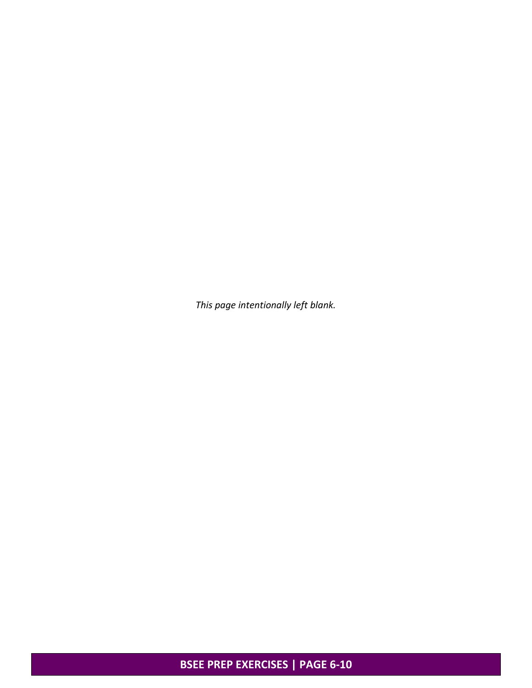*This page intentionally left blank.*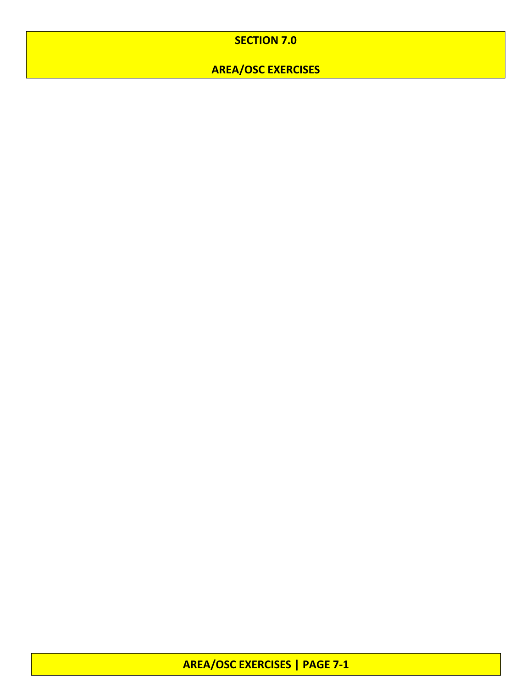#### **SECTION 7.0**

**AREA/OSC EXERCISES**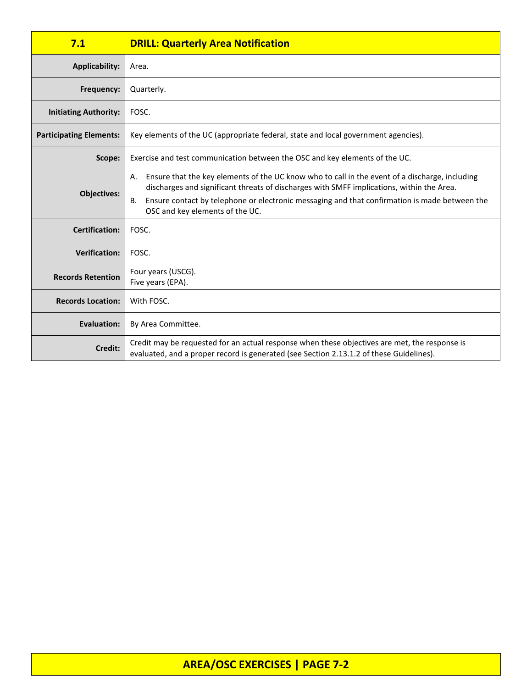| 7.1                            | <b>DRILL: Quarterly Area Notification</b>                                                                                                                                                                                                                                                                                                          |  |  |  |  |
|--------------------------------|----------------------------------------------------------------------------------------------------------------------------------------------------------------------------------------------------------------------------------------------------------------------------------------------------------------------------------------------------|--|--|--|--|
| <b>Applicability:</b>          | Area.                                                                                                                                                                                                                                                                                                                                              |  |  |  |  |
| Frequency:                     | Quarterly.                                                                                                                                                                                                                                                                                                                                         |  |  |  |  |
| <b>Initiating Authority:</b>   | FOSC.                                                                                                                                                                                                                                                                                                                                              |  |  |  |  |
| <b>Participating Elements:</b> | Key elements of the UC (appropriate federal, state and local government agencies).                                                                                                                                                                                                                                                                 |  |  |  |  |
| Scope:                         | Exercise and test communication between the OSC and key elements of the UC.                                                                                                                                                                                                                                                                        |  |  |  |  |
| <b>Objectives:</b>             | Ensure that the key elements of the UC know who to call in the event of a discharge, including<br>А.<br>discharges and significant threats of discharges with SMFF implications, within the Area.<br>Ensure contact by telephone or electronic messaging and that confirmation is made between the<br><b>B.</b><br>OSC and key elements of the UC. |  |  |  |  |
| <b>Certification:</b>          | FOSC.                                                                                                                                                                                                                                                                                                                                              |  |  |  |  |
| <b>Verification:</b>           | FOSC.                                                                                                                                                                                                                                                                                                                                              |  |  |  |  |
| <b>Records Retention</b>       | Four years (USCG).<br>Five years (EPA).                                                                                                                                                                                                                                                                                                            |  |  |  |  |
| <b>Records Location:</b>       | With FOSC.                                                                                                                                                                                                                                                                                                                                         |  |  |  |  |
| Evaluation:                    | By Area Committee.                                                                                                                                                                                                                                                                                                                                 |  |  |  |  |
| Credit:                        | Credit may be requested for an actual response when these objectives are met, the response is<br>evaluated, and a proper record is generated (see Section 2.13.1.2 of these Guidelines).                                                                                                                                                           |  |  |  |  |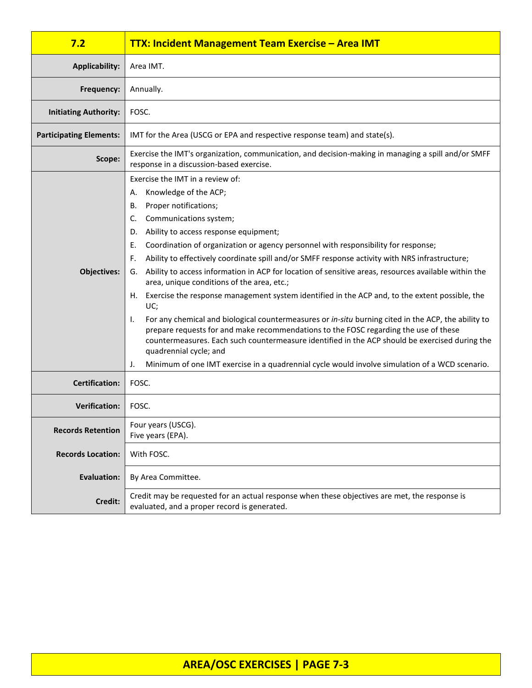| 7.2                            | <b>TTX: Incident Management Team Exercise - Area IMT</b>                                                                                                                                                                                                                                                                                                                                                                                                                                                                                                                                                                                                                                                                                                                                                                                                                                                                                                                                                                                                                                              |  |  |  |
|--------------------------------|-------------------------------------------------------------------------------------------------------------------------------------------------------------------------------------------------------------------------------------------------------------------------------------------------------------------------------------------------------------------------------------------------------------------------------------------------------------------------------------------------------------------------------------------------------------------------------------------------------------------------------------------------------------------------------------------------------------------------------------------------------------------------------------------------------------------------------------------------------------------------------------------------------------------------------------------------------------------------------------------------------------------------------------------------------------------------------------------------------|--|--|--|
| <b>Applicability:</b>          | Area IMT.                                                                                                                                                                                                                                                                                                                                                                                                                                                                                                                                                                                                                                                                                                                                                                                                                                                                                                                                                                                                                                                                                             |  |  |  |
| Frequency:                     | Annually.                                                                                                                                                                                                                                                                                                                                                                                                                                                                                                                                                                                                                                                                                                                                                                                                                                                                                                                                                                                                                                                                                             |  |  |  |
| <b>Initiating Authority:</b>   | FOSC.                                                                                                                                                                                                                                                                                                                                                                                                                                                                                                                                                                                                                                                                                                                                                                                                                                                                                                                                                                                                                                                                                                 |  |  |  |
| <b>Participating Elements:</b> | IMT for the Area (USCG or EPA and respective response team) and state(s).                                                                                                                                                                                                                                                                                                                                                                                                                                                                                                                                                                                                                                                                                                                                                                                                                                                                                                                                                                                                                             |  |  |  |
| Scope:                         | Exercise the IMT's organization, communication, and decision-making in managing a spill and/or SMFF<br>response in a discussion-based exercise.                                                                                                                                                                                                                                                                                                                                                                                                                                                                                                                                                                                                                                                                                                                                                                                                                                                                                                                                                       |  |  |  |
| <b>Objectives:</b>             | Exercise the IMT in a review of:<br>Knowledge of the ACP;<br>А.<br>Proper notifications;<br>В.<br>C.<br>Communications system;<br>Ability to access response equipment;<br>D.<br>Ε.<br>Coordination of organization or agency personnel with responsibility for response;<br>Ability to effectively coordinate spill and/or SMFF response activity with NRS infrastructure;<br>F.<br>Ability to access information in ACP for location of sensitive areas, resources available within the<br>G.<br>area, unique conditions of the area, etc.;<br>Exercise the response management system identified in the ACP and, to the extent possible, the<br>Н.<br>UC;<br>For any chemical and biological countermeasures or in-situ burning cited in the ACP, the ability to<br>Ι.<br>prepare requests for and make recommendations to the FOSC regarding the use of these<br>countermeasures. Each such countermeasure identified in the ACP should be exercised during the<br>quadrennial cycle; and<br>Minimum of one IMT exercise in a quadrennial cycle would involve simulation of a WCD scenario.<br>J. |  |  |  |
| <b>Certification:</b>          | FOSC.                                                                                                                                                                                                                                                                                                                                                                                                                                                                                                                                                                                                                                                                                                                                                                                                                                                                                                                                                                                                                                                                                                 |  |  |  |
| <b>Verification:</b>           | FOSC.                                                                                                                                                                                                                                                                                                                                                                                                                                                                                                                                                                                                                                                                                                                                                                                                                                                                                                                                                                                                                                                                                                 |  |  |  |
| <b>Records Retention</b>       | Four years (USCG).<br>Five years (EPA).                                                                                                                                                                                                                                                                                                                                                                                                                                                                                                                                                                                                                                                                                                                                                                                                                                                                                                                                                                                                                                                               |  |  |  |
| <b>Records Location:</b>       | With FOSC.                                                                                                                                                                                                                                                                                                                                                                                                                                                                                                                                                                                                                                                                                                                                                                                                                                                                                                                                                                                                                                                                                            |  |  |  |
| <b>Evaluation:</b>             | By Area Committee.                                                                                                                                                                                                                                                                                                                                                                                                                                                                                                                                                                                                                                                                                                                                                                                                                                                                                                                                                                                                                                                                                    |  |  |  |
| Credit:                        | Credit may be requested for an actual response when these objectives are met, the response is<br>evaluated, and a proper record is generated.                                                                                                                                                                                                                                                                                                                                                                                                                                                                                                                                                                                                                                                                                                                                                                                                                                                                                                                                                         |  |  |  |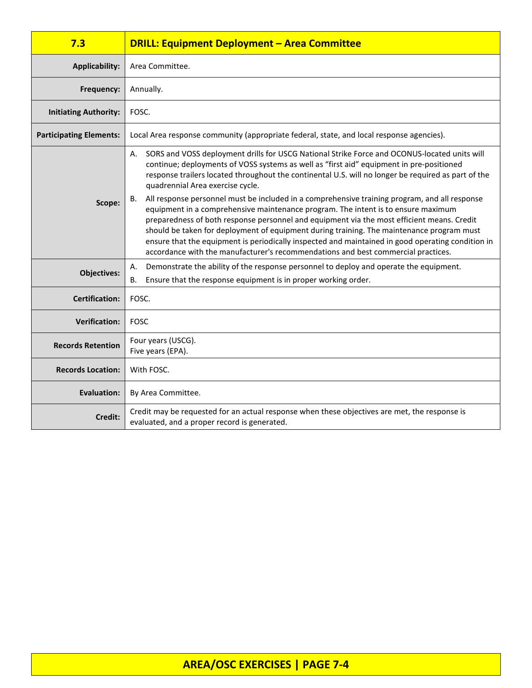| 7.3                            | <b>DRILL: Equipment Deployment - Area Committee</b>                                                                                                                                                                                                                                                                                                                                                                                                                                                                                                                           |  |  |  |  |
|--------------------------------|-------------------------------------------------------------------------------------------------------------------------------------------------------------------------------------------------------------------------------------------------------------------------------------------------------------------------------------------------------------------------------------------------------------------------------------------------------------------------------------------------------------------------------------------------------------------------------|--|--|--|--|
| <b>Applicability:</b>          | Area Committee.                                                                                                                                                                                                                                                                                                                                                                                                                                                                                                                                                               |  |  |  |  |
| Frequency:                     | Annually.                                                                                                                                                                                                                                                                                                                                                                                                                                                                                                                                                                     |  |  |  |  |
| <b>Initiating Authority:</b>   | FOSC.                                                                                                                                                                                                                                                                                                                                                                                                                                                                                                                                                                         |  |  |  |  |
| <b>Participating Elements:</b> | Local Area response community (appropriate federal, state, and local response agencies).                                                                                                                                                                                                                                                                                                                                                                                                                                                                                      |  |  |  |  |
|                                | SORS and VOSS deployment drills for USCG National Strike Force and OCONUS-located units will<br>А.<br>continue; deployments of VOSS systems as well as "first aid" equipment in pre-positioned<br>response trailers located throughout the continental U.S. will no longer be required as part of the<br>quadrennial Area exercise cycle.                                                                                                                                                                                                                                     |  |  |  |  |
| Scope:                         | All response personnel must be included in a comprehensive training program, and all response<br>В.<br>equipment in a comprehensive maintenance program. The intent is to ensure maximum<br>preparedness of both response personnel and equipment via the most efficient means. Credit<br>should be taken for deployment of equipment during training. The maintenance program must<br>ensure that the equipment is periodically inspected and maintained in good operating condition in<br>accordance with the manufacturer's recommendations and best commercial practices. |  |  |  |  |
| <b>Objectives:</b>             | Demonstrate the ability of the response personnel to deploy and operate the equipment.<br>А.<br>Ensure that the response equipment is in proper working order.<br>В.                                                                                                                                                                                                                                                                                                                                                                                                          |  |  |  |  |
| <b>Certification:</b>          | FOSC.                                                                                                                                                                                                                                                                                                                                                                                                                                                                                                                                                                         |  |  |  |  |
| <b>Verification:</b>           | <b>FOSC</b>                                                                                                                                                                                                                                                                                                                                                                                                                                                                                                                                                                   |  |  |  |  |
| <b>Records Retention</b>       | Four years (USCG).<br>Five years (EPA).                                                                                                                                                                                                                                                                                                                                                                                                                                                                                                                                       |  |  |  |  |
| <b>Records Location:</b>       | With FOSC.                                                                                                                                                                                                                                                                                                                                                                                                                                                                                                                                                                    |  |  |  |  |
| <b>Evaluation:</b>             | By Area Committee.                                                                                                                                                                                                                                                                                                                                                                                                                                                                                                                                                            |  |  |  |  |
| Credit:                        | Credit may be requested for an actual response when these objectives are met, the response is<br>evaluated, and a proper record is generated.                                                                                                                                                                                                                                                                                                                                                                                                                                 |  |  |  |  |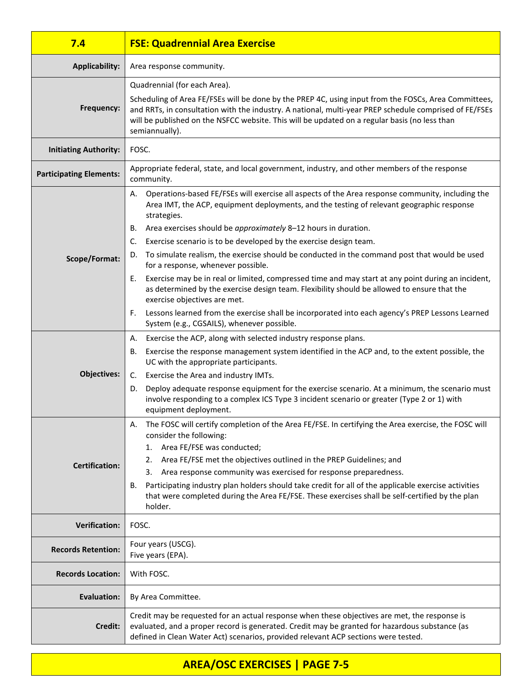| 7.4                                 | <b>FSE: Quadrennial Area Exercise</b>                                                                                                                                                                                                                                                                                                                                                                                                                                                                                                                                                                                                                                                                                                                                                                                                                                                                                                                                                                                                                                                                                                                                                                                                                                                                                                                                                                                 |  |  |  |  |
|-------------------------------------|-----------------------------------------------------------------------------------------------------------------------------------------------------------------------------------------------------------------------------------------------------------------------------------------------------------------------------------------------------------------------------------------------------------------------------------------------------------------------------------------------------------------------------------------------------------------------------------------------------------------------------------------------------------------------------------------------------------------------------------------------------------------------------------------------------------------------------------------------------------------------------------------------------------------------------------------------------------------------------------------------------------------------------------------------------------------------------------------------------------------------------------------------------------------------------------------------------------------------------------------------------------------------------------------------------------------------------------------------------------------------------------------------------------------------|--|--|--|--|
| <b>Applicability:</b>               | Area response community.                                                                                                                                                                                                                                                                                                                                                                                                                                                                                                                                                                                                                                                                                                                                                                                                                                                                                                                                                                                                                                                                                                                                                                                                                                                                                                                                                                                              |  |  |  |  |
| Frequency:                          | Quadrennial (for each Area).<br>Scheduling of Area FE/FSEs will be done by the PREP 4C, using input from the FOSCs, Area Committees,<br>and RRTs, in consultation with the industry. A national, multi-year PREP schedule comprised of FE/FSEs<br>will be published on the NSFCC website. This will be updated on a regular basis (no less than<br>semiannually).                                                                                                                                                                                                                                                                                                                                                                                                                                                                                                                                                                                                                                                                                                                                                                                                                                                                                                                                                                                                                                                     |  |  |  |  |
| <b>Initiating Authority:</b>        | FOSC.                                                                                                                                                                                                                                                                                                                                                                                                                                                                                                                                                                                                                                                                                                                                                                                                                                                                                                                                                                                                                                                                                                                                                                                                                                                                                                                                                                                                                 |  |  |  |  |
| <b>Participating Elements:</b>      | Appropriate federal, state, and local government, industry, and other members of the response<br>community.                                                                                                                                                                                                                                                                                                                                                                                                                                                                                                                                                                                                                                                                                                                                                                                                                                                                                                                                                                                                                                                                                                                                                                                                                                                                                                           |  |  |  |  |
| Scope/Format:<br><b>Objectives:</b> | Operations-based FE/FSEs will exercise all aspects of the Area response community, including the<br>А.<br>Area IMT, the ACP, equipment deployments, and the testing of relevant geographic response<br>strategies.<br>Area exercises should be approximately 8-12 hours in duration.<br>В.<br>Exercise scenario is to be developed by the exercise design team.<br>C.<br>To simulate realism, the exercise should be conducted in the command post that would be used<br>D.<br>for a response, whenever possible.<br>Exercise may be in real or limited, compressed time and may start at any point during an incident,<br>Ε.<br>as determined by the exercise design team. Flexibility should be allowed to ensure that the<br>exercise objectives are met.<br>Lessons learned from the exercise shall be incorporated into each agency's PREP Lessons Learned<br>F.<br>System (e.g., CGSAILS), whenever possible.<br>Exercise the ACP, along with selected industry response plans.<br>А.<br>Exercise the response management system identified in the ACP and, to the extent possible, the<br>В.<br>UC with the appropriate participants.<br>C. Exercise the Area and industry IMTs.<br>Deploy adequate response equipment for the exercise scenario. At a minimum, the scenario must<br>D.<br>involve responding to a complex ICS Type 3 incident scenario or greater (Type 2 or 1) with<br>equipment deployment. |  |  |  |  |
| <b>Certification:</b>               | А.<br>The FOSC will certify completion of the Area FE/FSE. In certifying the Area exercise, the FOSC will<br>consider the following:<br>Area FE/FSE was conducted;<br>1.<br>Area FE/FSE met the objectives outlined in the PREP Guidelines; and<br>2.<br>Area response community was exercised for response preparedness.<br>3.<br>Participating industry plan holders should take credit for all of the applicable exercise activities<br>В.<br>that were completed during the Area FE/FSE. These exercises shall be self-certified by the plan<br>holder.                                                                                                                                                                                                                                                                                                                                                                                                                                                                                                                                                                                                                                                                                                                                                                                                                                                           |  |  |  |  |
| <b>Verification:</b>                | FOSC.                                                                                                                                                                                                                                                                                                                                                                                                                                                                                                                                                                                                                                                                                                                                                                                                                                                                                                                                                                                                                                                                                                                                                                                                                                                                                                                                                                                                                 |  |  |  |  |
| <b>Records Retention:</b>           | Four years (USCG).<br>Five years (EPA).                                                                                                                                                                                                                                                                                                                                                                                                                                                                                                                                                                                                                                                                                                                                                                                                                                                                                                                                                                                                                                                                                                                                                                                                                                                                                                                                                                               |  |  |  |  |
| <b>Records Location:</b>            | With FOSC.                                                                                                                                                                                                                                                                                                                                                                                                                                                                                                                                                                                                                                                                                                                                                                                                                                                                                                                                                                                                                                                                                                                                                                                                                                                                                                                                                                                                            |  |  |  |  |
| <b>Evaluation:</b>                  | By Area Committee.                                                                                                                                                                                                                                                                                                                                                                                                                                                                                                                                                                                                                                                                                                                                                                                                                                                                                                                                                                                                                                                                                                                                                                                                                                                                                                                                                                                                    |  |  |  |  |
| Credit:                             | Credit may be requested for an actual response when these objectives are met, the response is<br>evaluated, and a proper record is generated. Credit may be granted for hazardous substance (as<br>defined in Clean Water Act) scenarios, provided relevant ACP sections were tested.                                                                                                                                                                                                                                                                                                                                                                                                                                                                                                                                                                                                                                                                                                                                                                                                                                                                                                                                                                                                                                                                                                                                 |  |  |  |  |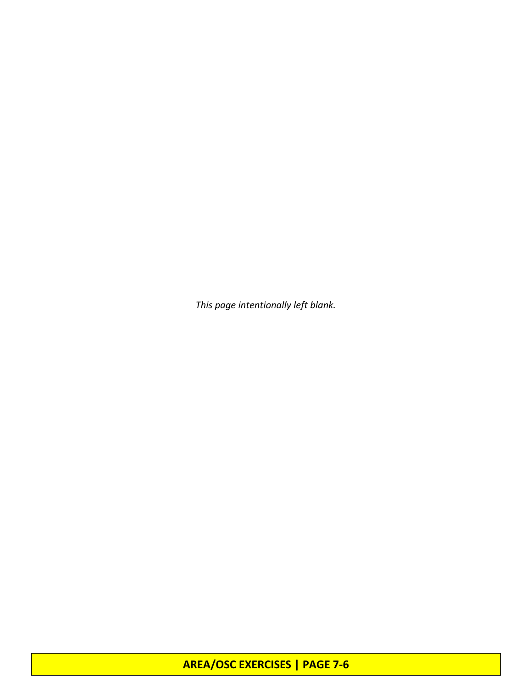*This page intentionally left blank.*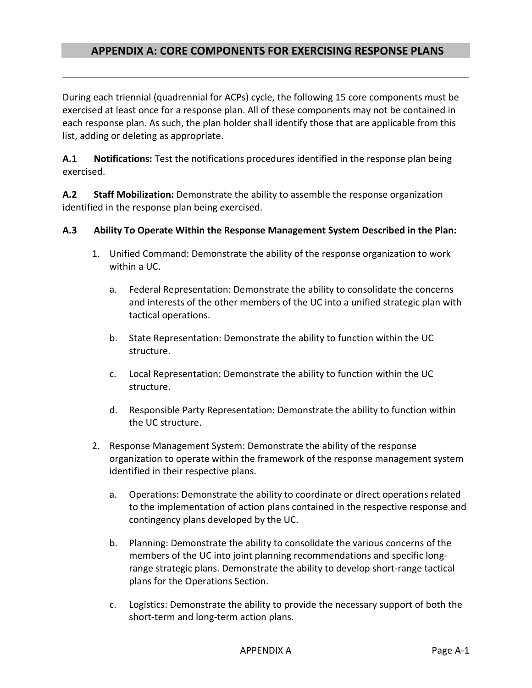#### **APPENDIX A: CORE COMPONENTS FOR EXERCISING RESPONSE PLANS**

During each triennial (quadrennial for ACPs) cycle, the following 15 core components must be exercised at least once for a response plan. All of these components may not be contained in each response plan. As such, the plan holder shall identify those that are applicable from this list, adding or deleting as appropriate.

**A.1 Notifications:** Test the notifications procedures identified in the response plan being exercised.

**A.2 Staff Mobilization:** Demonstrate the ability to assemble the response organization identified in the response plan being exercised.

#### **A.3 Ability To Operate Within the Response Management System Described in the Plan:**

- 1. Unified Command: Demonstrate the ability of the response organization to work within a UC.
	- a. Federal Representation: Demonstrate the ability to consolidate the concerns and interests of the other members of the UC into a unified strategic plan with tactical operations.
	- b. State Representation: Demonstrate the ability to function within the UC structure.
	- c. Local Representation: Demonstrate the ability to function within the UC structure.
	- d. Responsible Party Representation: Demonstrate the ability to function within the UC structure.
- 2. Response Management System: Demonstrate the ability of the response organization to operate within the framework of the response management system identified in their respective plans.
	- a. Operations: Demonstrate the ability to coordinate or direct operations related to the implementation of action plans contained in the respective response and contingency plans developed by the UC.
	- b. Planning: Demonstrate the ability to consolidate the various concerns of the members of the UC into joint planning recommendations and specific longrange strategic plans. Demonstrate the ability to develop short-range tactical plans for the Operations Section.
	- c. Logistics: Demonstrate the ability to provide the necessary support of both the short-term and long-term action plans.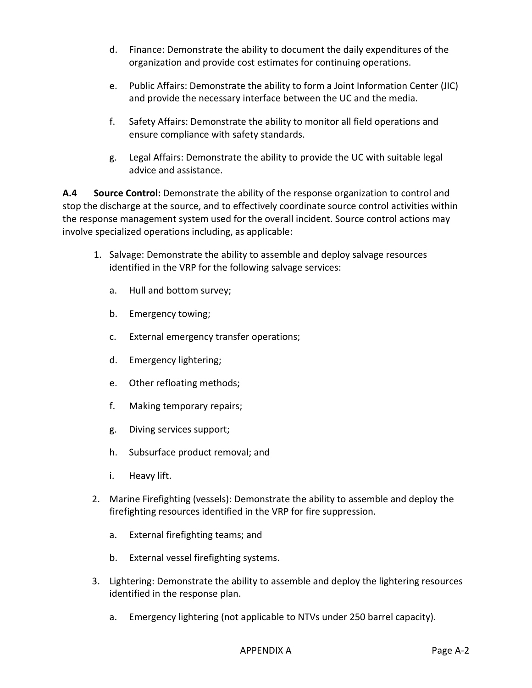- d. Finance: Demonstrate the ability to document the daily expenditures of the organization and provide cost estimates for continuing operations.
- e. Public Affairs: Demonstrate the ability to form a Joint Information Center (JIC) and provide the necessary interface between the UC and the media.
- f. Safety Affairs: Demonstrate the ability to monitor all field operations and ensure compliance with safety standards.
- g. Legal Affairs: Demonstrate the ability to provide the UC with suitable legal advice and assistance.

**A.4 Source Control:** Demonstrate the ability of the response organization to control and stop the discharge at the source, and to effectively coordinate source control activities within the response management system used for the overall incident. Source control actions may involve specialized operations including, as applicable:

- 1. Salvage: Demonstrate the ability to assemble and deploy salvage resources identified in the VRP for the following salvage services:
	- a. Hull and bottom survey;
	- b. Emergency towing;
	- c. External emergency transfer operations;
	- d. Emergency lightering;
	- e. Other refloating methods;
	- f. Making temporary repairs;
	- g. Diving services support;
	- h. Subsurface product removal; and
	- i. Heavy lift.
- 2. Marine Firefighting (vessels): Demonstrate the ability to assemble and deploy the firefighting resources identified in the VRP for fire suppression.
	- a. External firefighting teams; and
	- b. External vessel firefighting systems.
- 3. Lightering: Demonstrate the ability to assemble and deploy the lightering resources identified in the response plan.
	- a. Emergency lightering (not applicable to NTVs under 250 barrel capacity).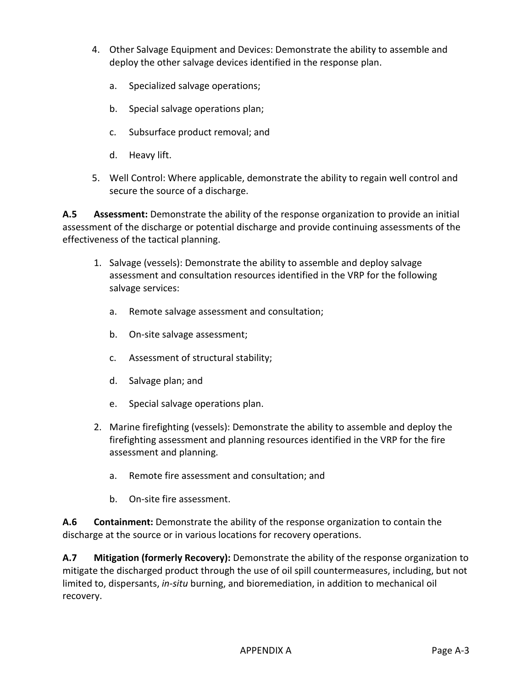- 4. Other Salvage Equipment and Devices: Demonstrate the ability to assemble and deploy the other salvage devices identified in the response plan.
	- a. Specialized salvage operations;
	- b. Special salvage operations plan;
	- c. Subsurface product removal; and
	- d. Heavy lift.
- 5. Well Control: Where applicable, demonstrate the ability to regain well control and secure the source of a discharge.

**A.5 Assessment:** Demonstrate the ability of the response organization to provide an initial assessment of the discharge or potential discharge and provide continuing assessments of the effectiveness of the tactical planning.

- 1. Salvage (vessels): Demonstrate the ability to assemble and deploy salvage assessment and consultation resources identified in the VRP for the following salvage services:
	- a. Remote salvage assessment and consultation;
	- b. On-site salvage assessment;
	- c. Assessment of structural stability;
	- d. Salvage plan; and
	- e. Special salvage operations plan.
- 2. Marine firefighting (vessels): Demonstrate the ability to assemble and deploy the firefighting assessment and planning resources identified in the VRP for the fire assessment and planning.
	- a. Remote fire assessment and consultation; and
	- b. On-site fire assessment.

**A.6 Containment:** Demonstrate the ability of the response organization to contain the discharge at the source or in various locations for recovery operations.

**A.7 Mitigation (formerly Recovery):** Demonstrate the ability of the response organization to mitigate the discharged product through the use of oil spill countermeasures, including, but not limited to, dispersants, *in-situ* burning, and bioremediation, in addition to mechanical oil recovery.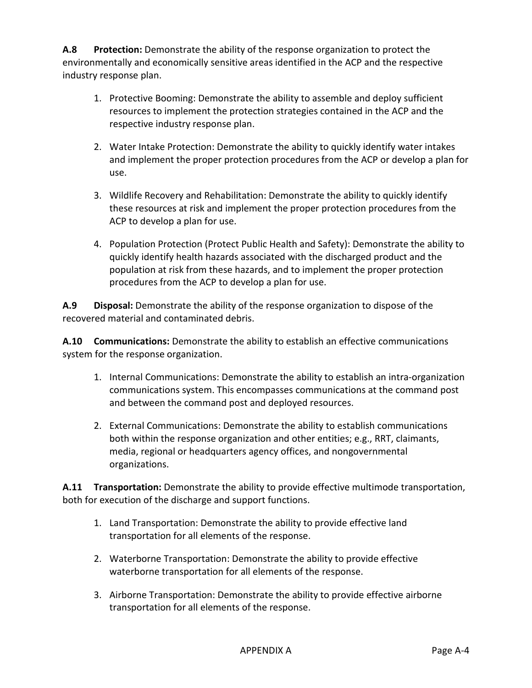**A.8 Protection:** Demonstrate the ability of the response organization to protect the environmentally and economically sensitive areas identified in the ACP and the respective industry response plan.

- 1. Protective Booming: Demonstrate the ability to assemble and deploy sufficient resources to implement the protection strategies contained in the ACP and the respective industry response plan.
- 2. Water Intake Protection: Demonstrate the ability to quickly identify water intakes and implement the proper protection procedures from the ACP or develop a plan for use.
- 3. Wildlife Recovery and Rehabilitation: Demonstrate the ability to quickly identify these resources at risk and implement the proper protection procedures from the ACP to develop a plan for use.
- 4. Population Protection (Protect Public Health and Safety): Demonstrate the ability to quickly identify health hazards associated with the discharged product and the population at risk from these hazards, and to implement the proper protection procedures from the ACP to develop a plan for use.

**A.9 Disposal:** Demonstrate the ability of the response organization to dispose of the recovered material and contaminated debris.

**A.10 Communications:** Demonstrate the ability to establish an effective communications system for the response organization.

- 1. Internal Communications: Demonstrate the ability to establish an intra-organization communications system. This encompasses communications at the command post and between the command post and deployed resources.
- 2. External Communications: Demonstrate the ability to establish communications both within the response organization and other entities; e.g., RRT, claimants, media, regional or headquarters agency offices, and nongovernmental organizations.

**A.11 Transportation:** Demonstrate the ability to provide effective multimode transportation, both for execution of the discharge and support functions.

- 1. Land Transportation: Demonstrate the ability to provide effective land transportation for all elements of the response.
- 2. Waterborne Transportation: Demonstrate the ability to provide effective waterborne transportation for all elements of the response.
- 3. Airborne Transportation: Demonstrate the ability to provide effective airborne transportation for all elements of the response.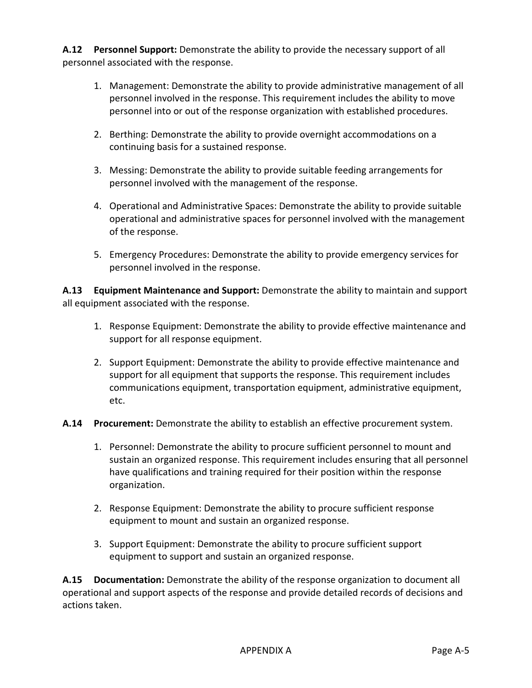**A.12 Personnel Support:** Demonstrate the ability to provide the necessary support of all personnel associated with the response.

- 1. Management: Demonstrate the ability to provide administrative management of all personnel involved in the response. This requirement includes the ability to move personnel into or out of the response organization with established procedures.
- 2. Berthing: Demonstrate the ability to provide overnight accommodations on a continuing basis for a sustained response.
- 3. Messing: Demonstrate the ability to provide suitable feeding arrangements for personnel involved with the management of the response.
- 4. Operational and Administrative Spaces: Demonstrate the ability to provide suitable operational and administrative spaces for personnel involved with the management of the response.
- 5. Emergency Procedures: Demonstrate the ability to provide emergency services for personnel involved in the response.

**A.13 Equipment Maintenance and Support:** Demonstrate the ability to maintain and support all equipment associated with the response.

- 1. Response Equipment: Demonstrate the ability to provide effective maintenance and support for all response equipment.
- 2. Support Equipment: Demonstrate the ability to provide effective maintenance and support for all equipment that supports the response. This requirement includes communications equipment, transportation equipment, administrative equipment, etc.
- **A.14 Procurement:** Demonstrate the ability to establish an effective procurement system.
	- 1. Personnel: Demonstrate the ability to procure sufficient personnel to mount and sustain an organized response. This requirement includes ensuring that all personnel have qualifications and training required for their position within the response organization.
	- 2. Response Equipment: Demonstrate the ability to procure sufficient response equipment to mount and sustain an organized response.
	- 3. Support Equipment: Demonstrate the ability to procure sufficient support equipment to support and sustain an organized response.

**A.15 Documentation:** Demonstrate the ability of the response organization to document all operational and support aspects of the response and provide detailed records of decisions and actions taken.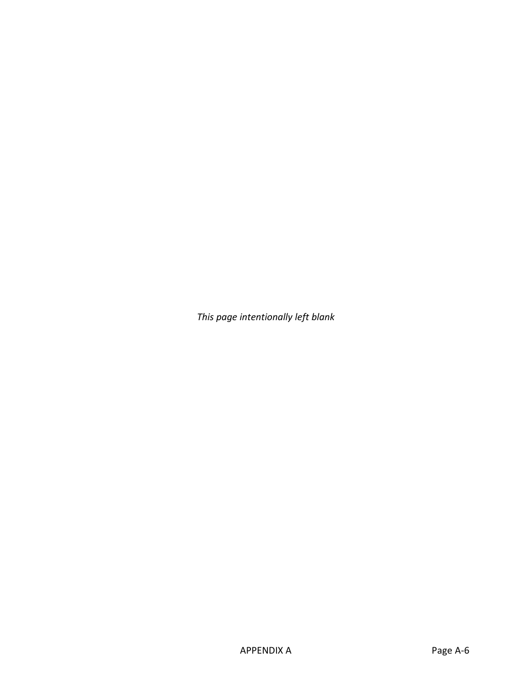*This page intentionally left blank*